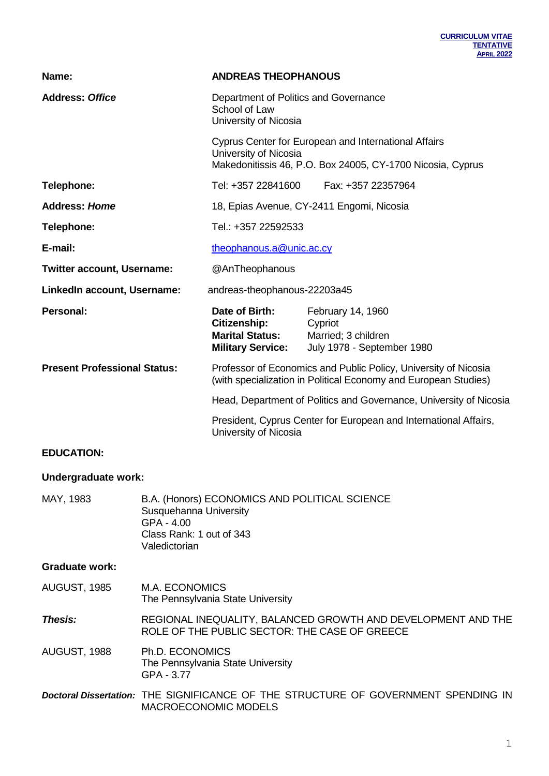| Name:                               | <b>ANDREAS THEOPHANOUS</b>                                                           |                                                                                                                                    |
|-------------------------------------|--------------------------------------------------------------------------------------|------------------------------------------------------------------------------------------------------------------------------------|
| <b>Address: Office</b>              | Department of Politics and Governance<br>School of Law<br>University of Nicosia      |                                                                                                                                    |
|                                     | University of Nicosia                                                                | Cyprus Center for European and International Affairs<br>Makedonitissis 46, P.O. Box 24005, CY-1700 Nicosia, Cyprus                 |
| Telephone:                          | Tel: +357 22841600                                                                   | Fax: +357 22357964                                                                                                                 |
| <b>Address: Home</b>                |                                                                                      | 18, Epias Avenue, CY-2411 Engomi, Nicosia                                                                                          |
| Telephone:                          | Tel.: +357 22592533                                                                  |                                                                                                                                    |
| E-mail:                             | theophanous.a@unic.ac.cy                                                             |                                                                                                                                    |
| <b>Twitter account, Username:</b>   | @AnTheophanous                                                                       |                                                                                                                                    |
| LinkedIn account, Username:         | andreas-theophanous-22203a45                                                         |                                                                                                                                    |
| <b>Personal:</b>                    | Date of Birth:<br>Citizenship:<br><b>Marital Status:</b><br><b>Military Service:</b> | February 14, 1960<br>Cypriot<br>Married; 3 children<br>July 1978 - September 1980                                                  |
| <b>Present Professional Status:</b> |                                                                                      | Professor of Economics and Public Policy, University of Nicosia<br>(with specialization in Political Economy and European Studies) |
|                                     |                                                                                      | Head, Department of Politics and Governance, University of Nicosia                                                                 |
|                                     | University of Nicosia                                                                | President, Cyprus Center for European and International Affairs,                                                                   |
|                                     |                                                                                      |                                                                                                                                    |

## **EDUCATION:**

## **Undergraduate work:**

| MAY, 1983             | B.A. (Honors) ECONOMICS AND POLITICAL SCIENCE<br>Susquehanna University<br>GPA - 4.00<br>Class Rank: 1 out of 343<br>Valedictorian |
|-----------------------|------------------------------------------------------------------------------------------------------------------------------------|
| <b>Graduate work:</b> |                                                                                                                                    |
| AUGUST, 1985          | M.A. ECONOMICS<br>The Pennsylvania State University                                                                                |
| <b>Thesis:</b>        | REGIONAL INEQUALITY, BALANCED GROWTH AND DEVELOPMENT AND THE<br>ROLE OF THE PUBLIC SECTOR: THE CASE OF GREECE                      |
| AUGUST, 1988          | Ph.D. ECONOMICS<br>The Pennsylvania State University<br>GPA - 3.77                                                                 |
|                       | <b>Doctoral Dissertation: THE SIGNIFICANCE OF THE STRUCTURE OF GOVERNMENT SPENDING IN</b><br><b>MACROECONOMIC MODELS</b>           |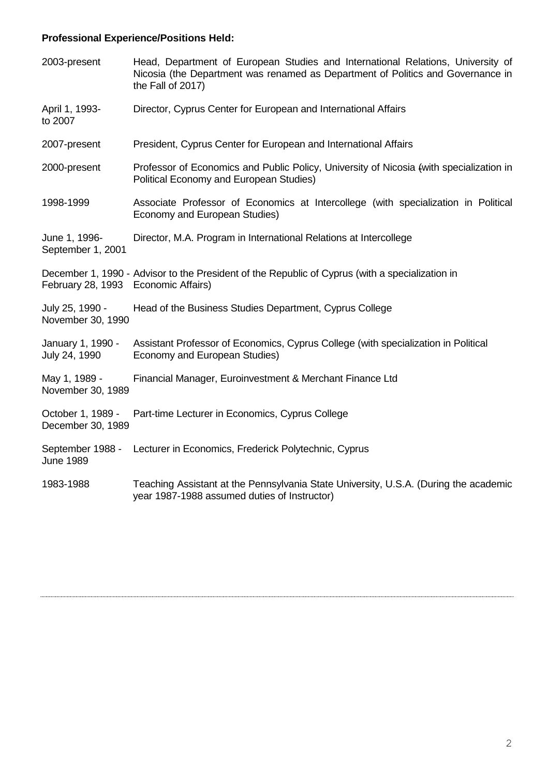# **Professional Experience/Positions Held:**

| 2003-present                           | Head, Department of European Studies and International Relations, University of<br>Nicosia (the Department was renamed as Department of Politics and Governance in<br>the Fall of 2017) |
|----------------------------------------|-----------------------------------------------------------------------------------------------------------------------------------------------------------------------------------------|
| April 1, 1993-<br>to 2007              | Director, Cyprus Center for European and International Affairs                                                                                                                          |
| 2007-present                           | President, Cyprus Center for European and International Affairs                                                                                                                         |
| 2000-present                           | Professor of Economics and Public Policy, University of Nicosia (with specialization in<br>Political Economy and European Studies)                                                      |
| 1998-1999                              | Associate Professor of Economics at Intercollege (with specialization in Political<br>Economy and European Studies)                                                                     |
| June 1, 1996-<br>September 1, 2001     | Director, M.A. Program in International Relations at Intercollege                                                                                                                       |
| February 28, 1993 Economic Affairs)    | December 1, 1990 - Advisor to the President of the Republic of Cyprus (with a specialization in                                                                                         |
| July 25, 1990 -<br>November 30, 1990   | Head of the Business Studies Department, Cyprus College                                                                                                                                 |
| January 1, 1990 -<br>July 24, 1990     | Assistant Professor of Economics, Cyprus College (with specialization in Political<br>Economy and European Studies)                                                                     |
| May 1, 1989 -<br>November 30, 1989     | Financial Manager, Euroinvestment & Merchant Finance Ltd                                                                                                                                |
| October 1, 1989 -<br>December 30, 1989 | Part-time Lecturer in Economics, Cyprus College                                                                                                                                         |
| September 1988 -<br><b>June 1989</b>   | Lecturer in Economics, Frederick Polytechnic, Cyprus                                                                                                                                    |
| 1983-1988                              | Teaching Assistant at the Pennsylvania State University, U.S.A. (During the academic<br>year 1987-1988 assumed duties of Instructor)                                                    |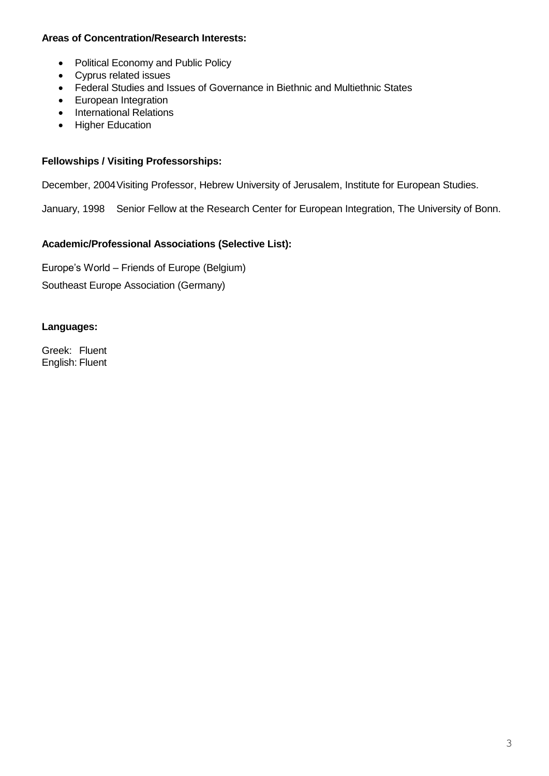## **Areas of Concentration/Research Interests:**

- Political Economy and Public Policy
- Cyprus related issues
- Federal Studies and Issues of Governance in Biethnic and Multiethnic States
- European Integration
- International Relations
- Higher Education

## **Fellowships / Visiting Professorships:**

December, 2004Visiting Professor, Hebrew University of Jerusalem, Institute for European Studies.

January, 1998 Senior Fellow at the Research Center for European Integration, The University of Bonn.

## **Academic/Professional Associations (Selective List):**

Europe's World – Friends of Europe (Belgium) Southeast Europe Association (Germany)

## **Languages:**

Greek: Fluent English: Fluent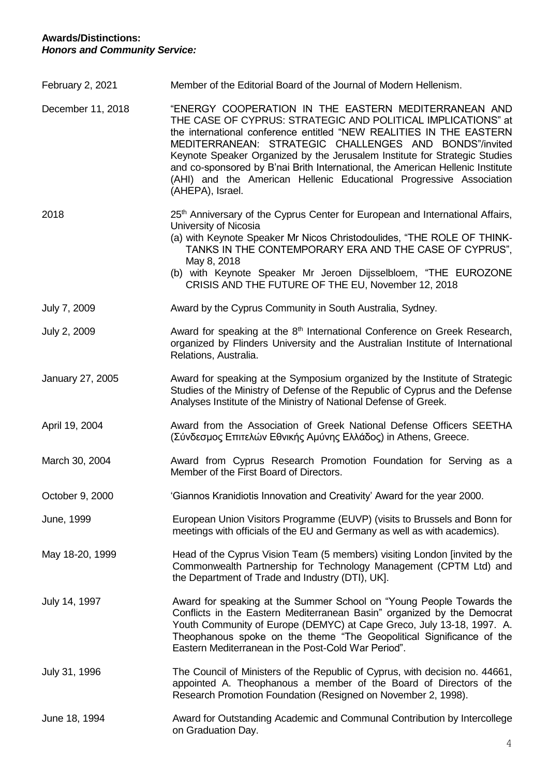## **Awards/Distinctions:** *Honors and Community Service:*

| February 2, 2021  | Member of the Editorial Board of the Journal of Modern Hellenism.                                                                                                                                                                                                                                                                                                                                                                                                                                                |
|-------------------|------------------------------------------------------------------------------------------------------------------------------------------------------------------------------------------------------------------------------------------------------------------------------------------------------------------------------------------------------------------------------------------------------------------------------------------------------------------------------------------------------------------|
| December 11, 2018 | "ENERGY COOPERATION IN THE EASTERN MEDITERRANEAN AND<br>THE CASE OF CYPRUS: STRATEGIC AND POLITICAL IMPLICATIONS" at<br>the international conference entitled "NEW REALITIES IN THE EASTERN<br>MEDITERRANEAN: STRATEGIC CHALLENGES AND BONDS"/invited<br>Keynote Speaker Organized by the Jerusalem Institute for Strategic Studies<br>and co-sponsored by B'nai Brith International, the American Hellenic Institute<br>(AHI) and the American Hellenic Educational Progressive Association<br>(AHEPA), Israel. |
| 2018              | 25 <sup>th</sup> Anniversary of the Cyprus Center for European and International Affairs,<br>University of Nicosia<br>(a) with Keynote Speaker Mr Nicos Christodoulides, "THE ROLE OF THINK-<br>TANKS IN THE CONTEMPORARY ERA AND THE CASE OF CYPRUS",<br>May 8, 2018<br>(b) with Keynote Speaker Mr Jeroen Dijsselbloem, "THE EUROZONE<br>CRISIS AND THE FUTURE OF THE EU, November 12, 2018                                                                                                                    |
| July 7, 2009      | Award by the Cyprus Community in South Australia, Sydney.                                                                                                                                                                                                                                                                                                                                                                                                                                                        |
| July 2, 2009      | Award for speaking at the 8 <sup>th</sup> International Conference on Greek Research,<br>organized by Flinders University and the Australian Institute of International<br>Relations, Australia.                                                                                                                                                                                                                                                                                                                 |
| January 27, 2005  | Award for speaking at the Symposium organized by the Institute of Strategic<br>Studies of the Ministry of Defense of the Republic of Cyprus and the Defense<br>Analyses Institute of the Ministry of National Defense of Greek.                                                                                                                                                                                                                                                                                  |
| April 19, 2004    | Award from the Association of Greek National Defense Officers SEETHA<br>(Σύνδεσμος Επιτελών Εθνικής Αμύνης Ελλάδος) in Athens, Greece.                                                                                                                                                                                                                                                                                                                                                                           |
| March 30, 2004    | Award from Cyprus Research Promotion Foundation for Serving as a<br>Member of the First Board of Directors.                                                                                                                                                                                                                                                                                                                                                                                                      |
| October 9, 2000   | 'Giannos Kranidiotis Innovation and Creativity' Award for the year 2000.                                                                                                                                                                                                                                                                                                                                                                                                                                         |
| June, 1999        | European Union Visitors Programme (EUVP) (visits to Brussels and Bonn for<br>meetings with officials of the EU and Germany as well as with academics).                                                                                                                                                                                                                                                                                                                                                           |
| May 18-20, 1999   | Head of the Cyprus Vision Team (5 members) visiting London [invited by the<br>Commonwealth Partnership for Technology Management (CPTM Ltd) and<br>the Department of Trade and Industry (DTI), UK].                                                                                                                                                                                                                                                                                                              |
| July 14, 1997     | Award for speaking at the Summer School on "Young People Towards the<br>Conflicts in the Eastern Mediterranean Basin" organized by the Democrat<br>Youth Community of Europe (DEMYC) at Cape Greco, July 13-18, 1997. A.<br>Theophanous spoke on the theme "The Geopolitical Significance of the<br>Eastern Mediterranean in the Post-Cold War Period".                                                                                                                                                          |
| July 31, 1996     | The Council of Ministers of the Republic of Cyprus, with decision no. 44661,<br>appointed A. Theophanous a member of the Board of Directors of the<br>Research Promotion Foundation (Resigned on November 2, 1998).                                                                                                                                                                                                                                                                                              |
| June 18, 1994     | Award for Outstanding Academic and Communal Contribution by Intercollege<br>on Graduation Day.                                                                                                                                                                                                                                                                                                                                                                                                                   |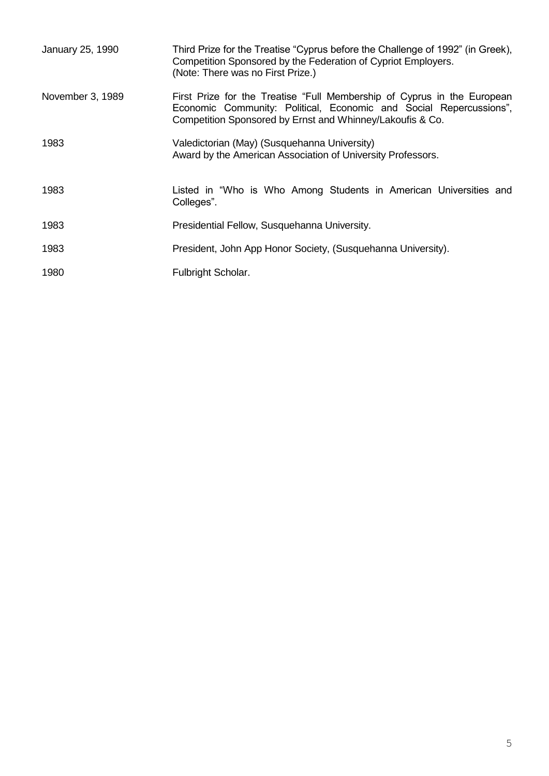| January 25, 1990 | Third Prize for the Treatise "Cyprus before the Challenge of 1992" (in Greek),<br>Competition Sponsored by the Federation of Cypriot Employers.<br>(Note: There was no First Prize.)                       |
|------------------|------------------------------------------------------------------------------------------------------------------------------------------------------------------------------------------------------------|
| November 3, 1989 | First Prize for the Treatise "Full Membership of Cyprus in the European<br>Economic Community: Political, Economic and Social Repercussions",<br>Competition Sponsored by Ernst and Whinney/Lakoufis & Co. |
| 1983             | Valedictorian (May) (Susquehanna University)<br>Award by the American Association of University Professors.                                                                                                |
| 1983             | Listed in "Who is Who Among Students in American Universities and<br>Colleges".                                                                                                                            |
| 1983             | Presidential Fellow, Susquehanna University.                                                                                                                                                               |
| 1983             | President, John App Honor Society, (Susquehanna University).                                                                                                                                               |
| 1980             | Fulbright Scholar.                                                                                                                                                                                         |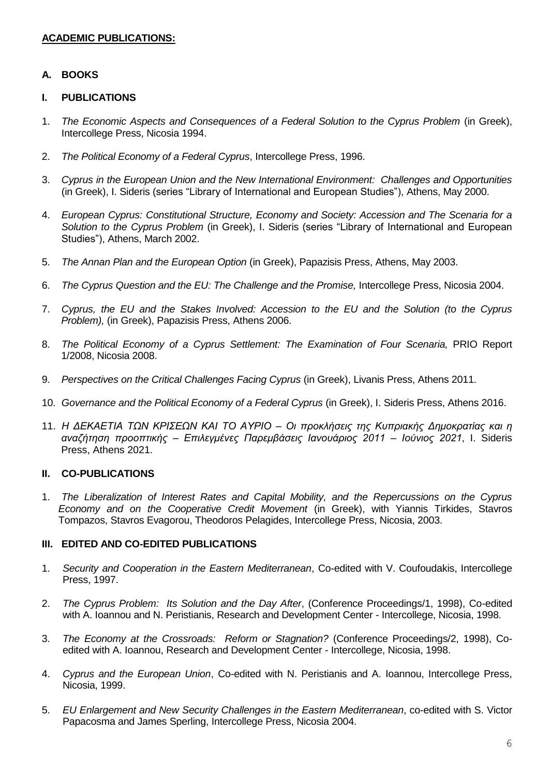## **ACADEMIC PUBLICATIONS:**

## **A. BOOKS**

#### **I. PUBLICATIONS**

- 1. *The Economic Aspects and Consequences of a Federal Solution to the Cyprus Problem* (in Greek), Intercollege Press, Nicosia 1994.
- 2. *The Political Economy of a Federal Cyprus*, Intercollege Press, 1996.
- 3. *Cyprus in the European Union and the New International Environment: Challenges and Opportunities* (in Greek), I. Sideris (series "Library of International and European Studies"), Athens, May 2000.
- 4. *European Cyprus: Constitutional Structure, Economy and Society: Accession and The Scenaria for a Solution to the Cyprus Problem* (in Greek), I. Sideris (series "Library of International and European Studies"), Athens, March 2002.
- 5. *The Annan Plan and the European Option* (in Greek), Papazisis Press, Athens, May 2003.
- 6. *The Cyprus Question and the EU: The Challenge and the Promise,* Intercollege Press, Nicosia 2004.
- 7. *Cyprus, the EU and the Stakes Involved: Accession to the EU and the Solution (to the Cyprus Problem),* (in Greek), Papazisis Press, Athens 2006.
- 8. *The Political Economy of a Cyprus Settlement: The Examination of Four Scenaria*, PRIO Report 1/2008, Nicosia 2008.
- 9. *Perspectives on the Critical Challenges Facing Cyprus* (in Greek), Livanis Press, Athens 2011.
- 10. *Governance and the Political Economy of a Federal Cyprus* (in Greek), I. Sideris Press, Athens 2016.
- 11. *Η ΔΕΚΑΕΤΙΑ ΤΩΝ ΚΡΙΣΕΩΝ ΚΑΙ ΤΟ ΑΥΡΙΟ – Οι προκλήσεις της Κυπριακής Δημοκρατίας και η αναζήτηση προοπτικής – Επιλεγμένες Παρεμβάσεις Ιανουάριος 2011 – Ιούνιος 2021*, I. Sideris Press, Athens 2021.

#### **II. CO-PUBLICATIONS**

1. *The Liberalization of Interest Rates and Capital Mobility, and the Repercussions on the Cyprus Economy and on the Cooperative Credit Movement* (in Greek), with Yiannis Tirkides, Stavros Tompazos, Stavros Evagorou, Theodoros Pelagides, Intercollege Press, Nicosia, 2003.

#### **III. EDITED AND CO-EDITED PUBLICATIONS**

- 1. *Security and Cooperation in the Eastern Mediterranean*, Co-edited with V. Coufoudakis, Intercollege Press, 1997.
- 2. *The Cyprus Problem: Its Solution and the Day After*, (Conference Proceedings/1, 1998), Co-edited with A. Ioannou and N. Peristianis, Research and Development Center - Intercollege, Nicosia, 1998.
- 3. *The Economy at the Crossroads: Reform or Stagnation?* (Conference Proceedings/2, 1998), Coedited with A. Ioannou, Research and Development Center - Intercollege, Nicosia, 1998.
- 4. *Cyprus and the European Union*, Co-edited with N. Peristianis and A. Ioannou, Intercollege Press, Nicosia, 1999.
- 5. *EU Enlargement and New Security Challenges in the Eastern Mediterranean*, co-edited with S. Victor Papacosma and James Sperling, Intercollege Press, Nicosia 2004.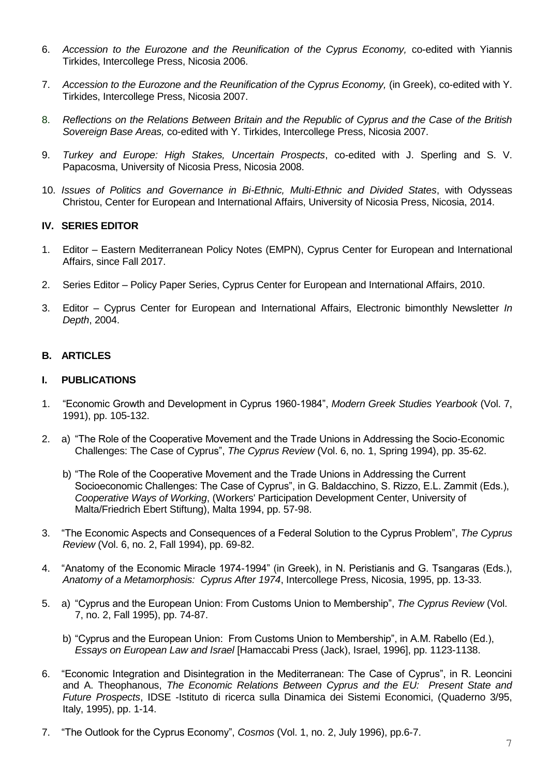- 6. *Accession to the Eurozone and the Reunification of the Cyprus Economy,* co-edited with Yiannis Tirkides, Intercollege Press, Nicosia 2006.
- 7. *Accession to the Eurozone and the Reunification of the Cyprus Economy,* (in Greek), co-edited with Y. Tirkides, Intercollege Press, Nicosia 2007.
- 8. *Reflections on the Relations Between Britain and the Republic of Cyprus and the Case of the British Sovereign Base Areas,* co-edited with Y. Tirkides, Intercollege Press, Nicosia 2007.
- 9. *Turkey and Europe: High Stakes, Uncertain Prospects*, co-edited with J. Sperling and S. V. Papacosma, University of Nicosia Press, Nicosia 2008.
- 10. *Issues of Politics and Governance in Bi-Ethnic, Multi-Ethnic and Divided States*, with Odysseas Christou, Center for European and International Affairs, University of Nicosia Press, Nicosia, 2014.

#### **IV. SERIES EDITOR**

- 1. Editor Eastern Mediterranean Policy Notes (EMPN), Cyprus Center for European and International Affairs, since Fall 2017.
- 2. Series Editor Policy Paper Series, Cyprus Center for European and International Affairs, 2010.
- 3. Editor Cyprus Center for European and International Affairs, Electronic bimonthly Newsletter *In Depth*, 2004.

## **B. ARTICLES**

#### **I. PUBLICATIONS**

- 1. "Economic Growth and Development in Cyprus 1960-1984", *Modern Greek Studies Yearbook* (Vol. 7, 1991), pp. 105-132.
- 2. a) "The Role of the Cooperative Movement and the Trade Unions in Addressing the Socio-Economic Challenges: The Case of Cyprus", *The Cyprus Review* (Vol. 6, no. 1, Spring 1994), pp. 35-62.
	- b) "The Role of the Cooperative Movement and the Trade Unions in Addressing the Current Socioeconomic Challenges: The Case of Cyprus", in G. Baldacchino, S. Rizzo, E.L. Zammit (Eds.), *Cooperative Ways of Working*, (Workers' Participation Development Center, University of Malta/Friedrich Ebert Stiftung), Malta 1994, pp. 57-98.
- 3. "The Economic Aspects and Consequences of a Federal Solution to the Cyprus Problem", *The Cyprus Review* (Vol. 6, no. 2, Fall 1994), pp. 69-82.
- 4. "Anatomy of the Economic Miracle 1974-1994" (in Greek), in N. Peristianis and G. Tsangaras (Eds.), *Anatomy of a Metamorphosis: Cyprus After 1974*, Intercollege Press, Nicosia, 1995, pp. 13-33.
- 5. a) "Cyprus and the European Union: From Customs Union to Membership", *The Cyprus Review* (Vol. 7, no. 2, Fall 1995), pp. 74-87.
	- b) "Cyprus and the European Union: From Customs Union to Membership", in A.M. Rabello (Ed.), *Essays on European Law and Israel* [Hamaccabi Press (Jack), Israel, 1996], pp. 1123-1138.
- 6. "Economic Integration and Disintegration in the Mediterranean: The Case of Cyprus", in R. Leoncini and A. Theophanous, *The Economic Relations Between Cyprus and the EU: Present State and Future Prospects*, IDSE -Istituto di ricerca sulla Dinamica dei Sistemi Economici, (Quaderno 3/95, Italy, 1995), pp. 1-14.
- 7. "The Outlook for the Cyprus Economy", *Cosmos* (Vol. 1, no. 2, July 1996), pp.6-7.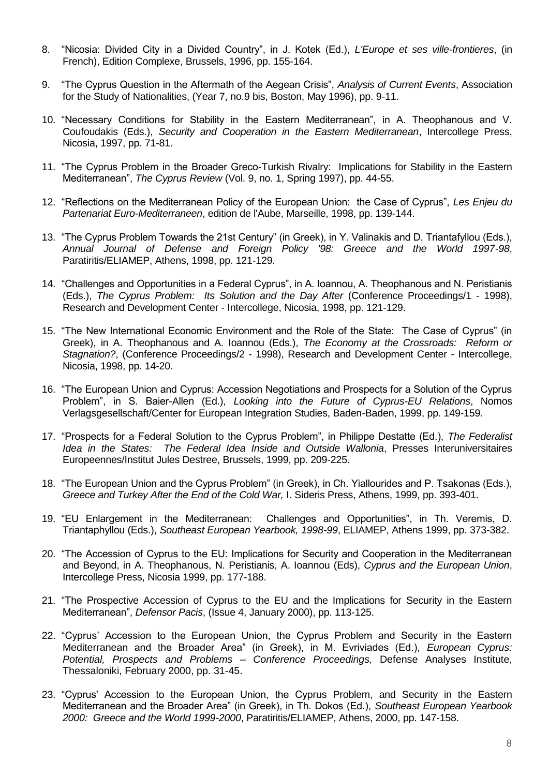- 8. "Nicosia: Divided City in a Divided Country", in J. Kotek (Ed.), *L'Europe et ses ville-frontieres*, (in French), Edition Complexe, Brussels, 1996, pp. 155-164.
- 9. "The Cyprus Question in the Aftermath of the Aegean Crisis", *Analysis of Current Events*, Association for the Study of Nationalities, (Year 7, no.9 bis, Boston, May 1996), pp. 9-11.
- 10. "Necessary Conditions for Stability in the Eastern Mediterranean", in A. Theophanous and V. Coufoudakis (Eds.), *Security and Cooperation in the Eastern Mediterranean*, Intercollege Press, Nicosia, 1997, pp. 71-81.
- 11. "The Cyprus Problem in the Broader Greco-Turkish Rivalry: Implications for Stability in the Eastern Mediterranean", *The Cyprus Review* (Vol. 9, no. 1, Spring 1997), pp. 44-55.
- 12. "Reflections on the Mediterranean Policy of the European Union: the Case of Cyprus", *Les Enjeu du Partenariat Euro-Mediterraneen*, edition de l'Aube, Marseille, 1998, pp. 139-144.
- 13. "The Cyprus Problem Towards the 21st Century" (in Greek), in Y. Valinakis and D. Triantafyllou (Eds.), *Annual Journal of Defense and Foreign Policy '98: Greece and the World 1997-98*, Paratiritis/ELIAMEP, Athens, 1998, pp. 121-129.
- 14. "Challenges and Opportunities in a Federal Cyprus", in A. Ioannou, A. Theophanous and N. Peristianis (Eds.), *The Cyprus Problem: Its Solution and the Day After* (Conference Proceedings/1 - 1998), Research and Development Center - Intercollege, Nicosia, 1998, pp. 121-129.
- 15. "The New International Economic Environment and the Role of the State: The Case of Cyprus" (in Greek), in A. Theophanous and A. Ioannou (Eds.), *The Economy at the Crossroads: Reform or Stagnation?*, (Conference Proceedings/2 - 1998), Research and Development Center - Intercollege, Nicosia, 1998, pp. 14-20.
- 16. "The European Union and Cyprus: Accession Negotiations and Prospects for a Solution of the Cyprus Problem", in S. Baier-Allen (Ed.), *Looking into the Future of Cyprus-EU Relations*, Nomos Verlagsgesellschaft/Center for European Integration Studies, Baden-Baden, 1999, pp. 149-159.
- 17. "Prospects for a Federal Solution to the Cyprus Problem", in Philippe Destatte (Ed.), *The Federalist Idea in the States: The Federal Idea Inside and Outside Wallonia*, Presses Interuniversitaires Europeennes/Institut Jules Destree, Brussels, 1999, pp. 209-225.
- 18. "The European Union and the Cyprus Problem" (in Greek), in Ch. Yiallourides and P. Tsakonas (Eds.), *Greece and Turkey After the End of the Cold War,* I. Sideris Press, Athens, 1999, pp. 393-401.
- 19. "EU Enlargement in the Mediterranean: Challenges and Opportunities", in Th. Veremis, D. Triantaphyllou (Eds.), *Southeast European Yearbook, 1998-99*, ELIAMEP, Athens 1999, pp. 373-382.
- 20. "The Accession of Cyprus to the EU: Implications for Security and Cooperation in the Mediterranean and Beyond, in A. Theophanous, N. Peristianis, A. Ioannou (Eds), *Cyprus and the European Union*, Intercollege Press, Nicosia 1999, pp. 177-188.
- 21. "The Prospective Accession of Cyprus to the EU and the Implications for Security in the Eastern Mediterranean", *Defensor Pacis*, (Issue 4, January 2000), pp. 113-125.
- 22. "Cyprus' Accession to the European Union, the Cyprus Problem and Security in the Eastern Mediterranean and the Broader Area" (in Greek), in M. Evriviades (Ed.), *European Cyprus: Potential, Prospects and Problems – Conference Proceedings,* Defense Analyses Institute, Thessaloniki, February 2000, pp. 31-45.
- 23. "Cyprus' Accession to the European Union, the Cyprus Problem, and Security in the Eastern Mediterranean and the Broader Area" (in Greek), in Th. Dokos (Ed.), *Southeast European Yearbook 2000: Greece and the World 1999-2000*, Paratiritis/ELIAMEP, Athens, 2000, pp. 147-158.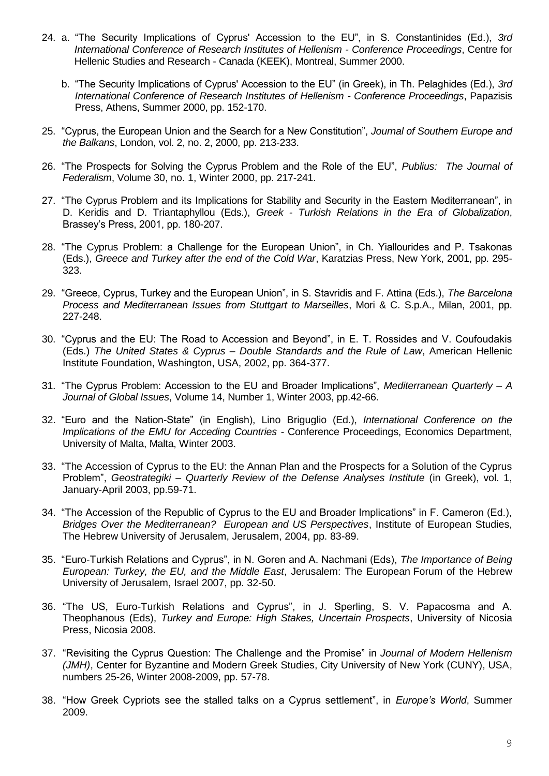- 24. a. "The Security Implications of Cyprus' Accession to the EU", in S. Constantinides (Ed.), *3rd International Conference of Research Institutes of Hellenism - Conference Proceedings*, Centre for Hellenic Studies and Research - Canada (KEEK), Montreal, Summer 2000.
	- b. "The Security Implications of Cyprus' Accession to the EU" (in Greek), in Th. Pelaghides (Ed.), *3rd International Conference of Research Institutes of Hellenism - Conference Proceedings*, Papazisis Press, Athens, Summer 2000, pp. 152-170.
- 25. "Cyprus, the European Union and the Search for a New Constitution", *Journal of Southern Europe and the Balkans*, London, vol. 2, no. 2, 2000, pp. 213-233.
- 26. "The Prospects for Solving the Cyprus Problem and the Role of the EU", *Publius: The Journal of Federalism*, Volume 30, no. 1, Winter 2000, pp. 217-241.
- 27. "The Cyprus Problem and its Implications for Stability and Security in the Eastern Mediterranean", in D. Keridis and D. Triantaphyllou (Eds.), *Greek - Turkish Relations in the Era of Globalization*, Brassey's Press, 2001, pp. 180-207.
- 28. "The Cyprus Problem: a Challenge for the European Union", in Ch. Yiallourides and P. Tsakonas (Eds.), *Greece and Turkey after the end of the Cold War*, Karatzias Press, New York, 2001, pp. 295- 323.
- 29. "Greece, Cyprus, Turkey and the European Union", in S. Stavridis and F. Attina (Eds.), *The Barcelona Process and Mediterranean Issues from Stuttgart to Marseilles*, Mori & C. S.p.A., Milan, 2001, pp. 227-248.
- 30. "Cyprus and the EU: The Road to Accession and Beyond", in E. T. Rossides and V. Coufoudakis (Eds.) *The United States & Cyprus – Double Standards and the Rule of Law*, American Hellenic Institute Foundation, Washington, USA, 2002, pp. 364-377.
- 31. "The Cyprus Problem: Accession to the EU and Broader Implications", *Mediterranean Quarterly – A Journal of Global Issues*, Volume 14, Number 1, Winter 2003, pp.42-66.
- 32. "Euro and the Nation-State" (in English), Lino Briguglio (Ed.), *International Conference on the Implications of the EMU for Acceding Countries -* Conference Proceedings, Economics Department, University of Malta, Malta, Winter 2003.
- 33. "The Accession of Cyprus to the EU: the Annan Plan and the Prospects for a Solution of the Cyprus Problem", *Geostrategiki – Quarterly Review of the Defense Analyses Institute* (in Greek), vol. 1, January-April 2003, pp.59-71.
- 34. "The Accession of the Republic of Cyprus to the EU and Broader Implications" in F. Cameron (Ed.), *Bridges Over the Mediterranean? European and US Perspectives*, Institute of European Studies, The Hebrew University of Jerusalem, Jerusalem, 2004, pp. 83-89.
- 35. "Euro-Turkish Relations and Cyprus", in N. Goren and A. Nachmani (Eds), *The Importance of Being European: Turkey, the EU, and the Middle East*, Jerusalem: The European Forum of the Hebrew University of Jerusalem, Israel 2007, pp. 32-50.
- 36. "The US, Euro-Turkish Relations and Cyprus", in J. Sperling, S. V. Papacosma and A. Theophanous (Eds), *Turkey and Europe: High Stakes, Uncertain Prospects*, University of Nicosia Press, Nicosia 2008.
- 37. "Revisiting the Cyprus Question: The Challenge and the Promise" in *Journal of Modern Hellenism (JMH)*, Center for Byzantine and Modern Greek Studies, City University of New York (CUNY), USA, numbers 25-26, Winter 2008-2009, pp. 57-78.
- 38. "How Greek Cypriots see the stalled talks on a Cyprus settlement", in *Europe's World*, Summer 2009.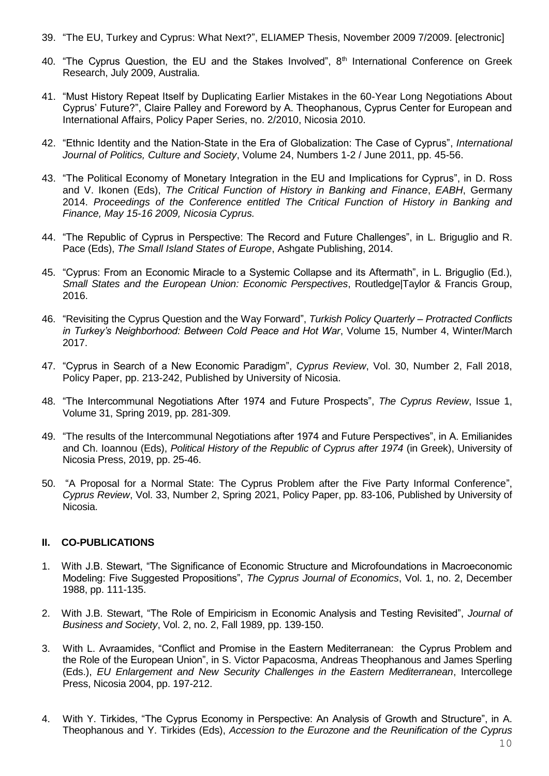- 39. "The EU, Turkey and Cyprus: What Next?", ELIAMEP Thesis, November 2009 7/2009. [electronic]
- 40. "The Cyprus Question, the EU and the Stakes Involved", 8<sup>th</sup> International Conference on Greek Research, July 2009, Australia.
- 41. "Must History Repeat Itself by Duplicating Earlier Mistakes in the 60-Year Long Negotiations About Cyprus' Future?", Claire Palley and Foreword by A. Theophanous, Cyprus Center for European and International Affairs, Policy Paper Series, no. 2/2010, Nicosia 2010.
- 42. "Ethnic Identity and the Nation-State in the Era of Globalization: The Case of Cyprus", *International Journal of Politics, Culture and Society*, Volume 24, Numbers 1-2 / June 2011, pp. 45-56.
- 43. "The Political Economy of Monetary Integration in the EU and Implications for Cyprus", in D. Ross and V. Ikonen (Eds), *The Critical Function of History in Banking and Finance*, *EABH*, Germany 2014. *Proceedings of the Conference entitled The Critical Function of History in Banking and Finance, May 15-16 2009, Nicosia Cyprus.*
- 44. "The Republic of Cyprus in Perspective: The Record and Future Challenges", in L. Briguglio and R. Pace (Eds), *The Small Island States of Europe*, Ashgate Publishing, 2014.
- 45. "Cyprus: From an Economic Miracle to a Systemic Collapse and its Aftermath", in L. Briguglio (Ed.), *Small States and the European Union: Economic Perspectives*, Routledge|Taylor & Francis Group, 2016.
- 46. "Revisiting the Cyprus Question and the Way Forward", *Turkish Policy Quarterly – Protracted Conflicts in Turkey's Neighborhood: Between Cold Peace and Hot War*, Volume 15, Number 4, Winter/March 2017.
- 47. "Cyprus in Search of a New Economic Paradigm", *Cyprus Review*, Vol. 30, Number 2, Fall 2018, Policy Paper, pp. 213-242, Published by University of Nicosia.
- 48. "The Intercommunal Negotiations After 1974 and Future Prospects", *The Cyprus Review*, Issue 1, Volume 31, Spring 2019, pp. 281-309.
- 49. "The results of the Intercommunal Negotiations after 1974 and Future Perspectives", in A. Emilianides and Ch. Ioannou (Eds), *Political History of the Republic of Cyprus after 1974* (in Greek), University of Nicosia Press, 2019, pp. 25-46.
- 50. "A Proposal for a Normal State: The Cyprus Problem after the Five Party Informal Conference", *Cyprus Review*, Vol. 33, Number 2, Spring 2021, Policy Paper, pp. 83-106, Published by University of Nicosia.

#### **II. CO-PUBLICATIONS**

- 1. With J.B. Stewart, "The Significance of Economic Structure and Microfoundations in Macroeconomic Modeling: Five Suggested Propositions", *The Cyprus Journal of Economics*, Vol. 1, no. 2, December 1988, pp. 111-135.
- 2. With J.B. Stewart, "The Role of Empiricism in Economic Analysis and Testing Revisited", *Journal of Business and Society*, Vol. 2, no. 2, Fall 1989, pp. 139-150.
- 3. With L. Avraamides, "Conflict and Promise in the Eastern Mediterranean: the Cyprus Problem and the Role of the European Union", in S. Victor Papacosma, Andreas Theophanous and James Sperling (Eds.), *EU Enlargement and New Security Challenges in the Eastern Mediterranean*, Intercollege Press, Nicosia 2004, pp. 197-212.
- 4. With Y. Tirkides, "The Cyprus Economy in Perspective: An Analysis of Growth and Structure", in A. Theophanous and Y. Tirkides (Eds), *Accession to the Eurozone and the Reunification of the Cyprus*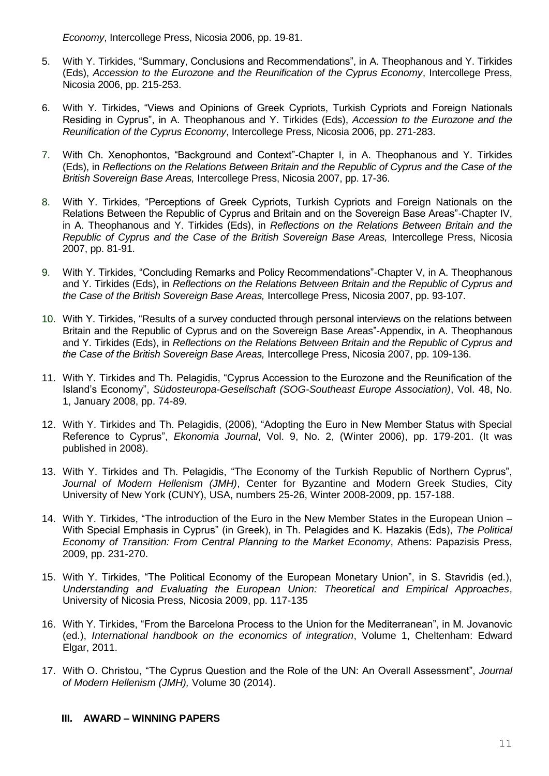*Economy*, Intercollege Press, Nicosia 2006, pp. 19-81.

- 5. With Y. Tirkides, "Summary, Conclusions and Recommendations", in A. Theophanous and Y. Tirkides (Eds), *Accession to the Eurozone and the Reunification of the Cyprus Economy*, Intercollege Press, Nicosia 2006, pp. 215-253.
- 6. With Y. Tirkides, "Views and Opinions of Greek Cypriots, Turkish Cypriots and Foreign Nationals Residing in Cyprus", in A. Theophanous and Y. Tirkides (Eds), *Accession to the Eurozone and the Reunification of the Cyprus Economy*, Intercollege Press, Nicosia 2006, pp. 271-283.
- 7. With Ch. Xenophontos, "Background and Context"-Chapter I, in A. Theophanous and Y. Tirkides (Eds), in *Reflections on the Relations Between Britain and the Republic of Cyprus and the Case of the British Sovereign Base Areas,* Intercollege Press, Nicosia 2007, pp. 17-36.
- 8. With Y. Tirkides, "Perceptions of Greek Cypriots, Turkish Cypriots and Foreign Nationals on the Relations Between the Republic of Cyprus and Britain and on the Sovereign Base Areas"-Chapter IV, in A. Theophanous and Y. Tirkides (Eds), in *Reflections on the Relations Between Britain and the Republic of Cyprus and the Case of the British Sovereign Base Areas,* Intercollege Press, Nicosia 2007, pp. 81-91.
- 9. With Y. Tirkides, "Concluding Remarks and Policy Recommendations"-Chapter V, in A. Theophanous and Y. Tirkides (Eds), in *Reflections on the Relations Between Britain and the Republic of Cyprus and the Case of the British Sovereign Base Areas,* Intercollege Press, Nicosia 2007, pp. 93-107.
- 10. With Y. Tirkides, "Results of a survey conducted through personal interviews on the relations between Britain and the Republic of Cyprus and on the Sovereign Base Areas"-Appendix, in A. Theophanous and Y. Tirkides (Eds), in *Reflections on the Relations Between Britain and the Republic of Cyprus and the Case of the British Sovereign Base Areas,* Intercollege Press, Nicosia 2007, pp. 109-136.
- 11. With Y. Tirkides and Th. Pelagidis, "Cyprus Accession to the Eurozone and the Reunification of the Island's Economy", *Südosteuropa-Gesellschaft (SOG-Southeast Europe Association)*, Vol. 48, No. 1, January 2008, pp. 74-89.
- 12. With Y. Tirkides and Th. Pelagidis, (2006), "Adopting the Euro in New Member Status with Special Reference to Cyprus", *Ekonomia Journal*, Vol. 9, No. 2, (Winter 2006), pp. 179-201. (It was published in 2008).
- 13. With Y. Tirkides and Th. Pelagidis, "The Economy of the Turkish Republic of Northern Cyprus", *Journal of Modern Hellenism (JMH)*, Center for Byzantine and Modern Greek Studies, City University of New York (CUNY), USA, numbers 25-26, Winter 2008-2009, pp. 157-188.
- 14. With Y. Tirkides, "The introduction of the Euro in the New Member States in the European Union With Special Emphasis in Cyprus" (in Greek), in Th. Pelagides and K. Hazakis (Eds), *The Political Economy of Transition: From Central Planning to the Market Economy*, Athens: Papazisis Press, 2009, pp. 231-270.
- 15. With Y. Tirkides, "The Political Economy of the European Monetary Union", in S. Stavridis (ed.), *Understanding and Evaluating the European Union: Theoretical and Empirical Approaches*, University of Nicosia Press, Nicosia 2009, pp. 117-135
- 16. With Y. Tirkides, "From the Barcelona Process to the Union for the Mediterranean", in M. Jovanovic (ed.), *International handbook on the economics of integration*, Volume 1, Cheltenham: Edward Elgar, 2011.
- 17. With O. Christou, "The Cyprus Question and the Role of the UN: An Overall Assessment", *Journal of Modern Hellenism (JMH),* Volume 30 (2014).

## **III. AWARD – WINNING PAPERS**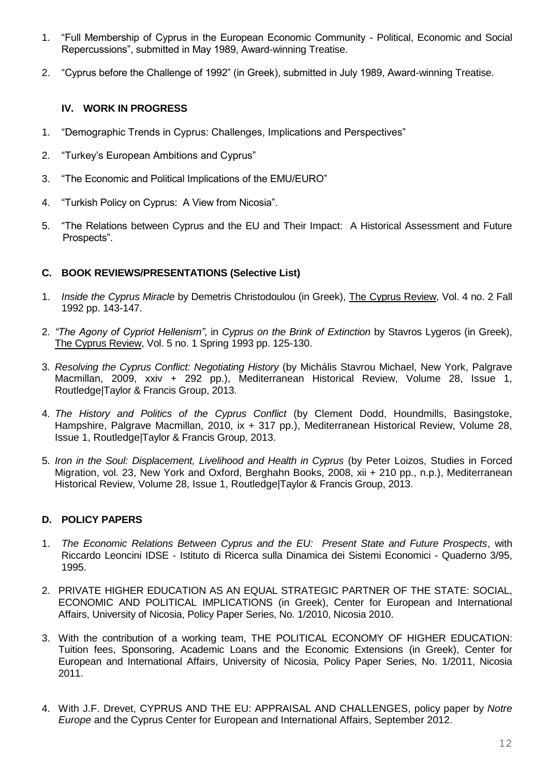- 1. "Full Membership of Cyprus in the European Economic Community Political, Economic and Social Repercussions", submitted in May 1989, Award-winning Treatise.
- 2. "Cyprus before the Challenge of 1992" (in Greek), submitted in July 1989, Award-winning Treatise.

## **IV. WORK IN PROGRESS**

- 1. "Demographic Trends in Cyprus: Challenges, Implications and Perspectives"
- 2. "Turkey's European Ambitions and Cyprus"
- 3. "The Economic and Political Implications of the EMU/EURO"
- 4. "Turkish Policy on Cyprus: A View from Nicosia".
- 5. "The Relations between Cyprus and the EU and Their Impact: A Historical Assessment and Future Prospects".

## **C. BOOK REVIEWS/PRESENTATIONS (Selective List)**

- 1. *Inside the Cyprus Miracle* by Demetris Christodoulou (in Greek), The Cyprus Review, Vol. 4 no. 2 Fall 1992 pp. 143-147.
- 2. *"The Agony of Cypriot Hellenism"*, in *Cyprus on the Brink of Extinction* by Stavros Lygeros (in Greek), The Cyprus Review, Vol. 5 no. 1 Spring 1993 pp. 125-130.
- 3. *Resolving the Cyprus Conflict: Negotiating History* (by Michális Stavrou Michael, New York, Palgrave Macmillan, 2009, xxiv + 292 pp.), Mediterranean Historical Review, Volume 28, Issue 1, Routledge|Taylor & Francis Group, 2013.
- 4. *The History and Politics of the Cyprus Conflict* (by Clement Dodd, Houndmills, Basingstoke, Hampshire, Palgrave Macmillan, 2010, ix + 317 pp.), Mediterranean Historical Review, Volume 28, Issue 1, Routledge|Taylor & Francis Group, 2013.
- 5. *Iron in the Soul: Displacement, Livelihood and Health in Cyprus* (by Peter Loizos, Studies in Forced Migration, vol. 23, New York and Oxford, Berghahn Books, 2008, xii + 210 pp., n.p.), Mediterranean Historical Review, Volume 28, Issue 1, Routledge|Taylor & Francis Group, 2013.

## **D. POLICY PAPERS**

- 1. *The Economic Relations Between Cyprus and the EU: Present State and Future Prospects*, with Riccardo Leoncini IDSE - Istituto di Ricerca sulla Dinamica dei Sistemi Economici - Quaderno 3/95, 1995.
- 2. PRIVATE HIGHER EDUCATION AS AN EQUAL STRATEGIC PARTNER OF THE STATE: SOCIAL, ECONOMIC AND POLITICAL IMPLICATIONS (in Greek), Center for European and International Affairs, University of Nicosia, Policy Paper Series, No. 1/2010, Nicosia 2010.
- 3. With the contribution of a working team, THE POLITICAL ECONOMY OF HIGHER EDUCATION: Tuition fees, Sponsoring, Academic Loans and the Economic Extensions (in Greek), Center for European and International Affairs, University of Nicosia, Policy Paper Series, No. 1/2011, Nicosia 2011.
- 4. With J.F. Drevet, CYPRUS AND THE EU: APPRAISAL AND CHALLENGES, policy paper by *Notre Europe* and the Cyprus Center for European and International Affairs, September 2012.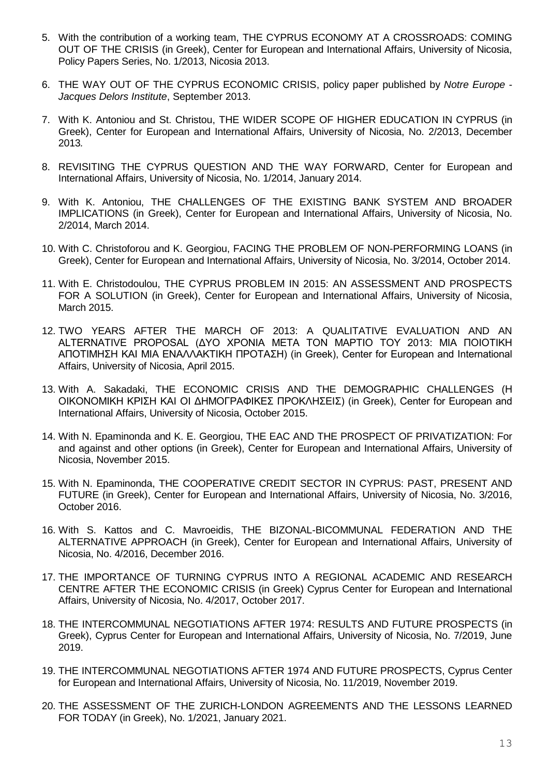- 5. With the contribution of a working team, THE CYPRUS ECONOMY AT A CROSSROADS: COMING OUT OF THE CRISIS (in Greek), Center for European and International Affairs, University of Nicosia, Policy Papers Series, No. 1/2013, Nicosia 2013.
- 6. THE WAY OUT OF THE CYPRUS ECONOMIC CRISIS, policy paper published by *Notre Europe - Jacques Delors Institute*, September 2013.
- 7. With K. Antoniou and St. Christou, THE WIDER SCOPE OF HIGHER EDUCATION IN CYPRUS (in Greek), Center for European and International Affairs, University of Nicosia, No. 2/2013, December 2013*.*
- 8. REVISITING THE CYPRUS QUESTION AND THE WAY FORWARD, Center for European and International Affairs, University of Nicosia, No. 1/2014, January 2014.
- 9. With K. Antoniou, THE CHALLENGES OF THE EXISTING BANK SYSTEM AND BROADER IMPLICATIONS (in Greek), Center for European and International Affairs, University of Nicosia, No. 2/2014, March 2014.
- 10. With C. Christoforou and K. Georgiou, FACING THE PROBLEM OF NON-PERFORMING LOANS (in Greek), Center for European and International Affairs, University of Nicosia, No. 3/2014, October 2014.
- 11. With E. Christodoulou, THE CYPRUS PROBLEM IN 2015: AN ASSESSMENT AND PROSPECTS FOR A SOLUTION (in Greek), Center for European and International Affairs, University of Nicosia, March 2015.
- 12. TWO YEARS AFTER THE MARCH OF 2013: A QUALITATIVE EVALUATION AND AN ALTERNATIVE PROPOSAL (ΔΥΟ ΧΡΟΝΙΑ ΜΕΤΑ ΤΟΝ ΜΑΡΤΙΟ ΤΟΥ 2013: ΜΙΑ ΠΟΙΟΤΙΚΗ ΑΠΟΤΙΜΗΣΗ ΚΑΙ ΜΙΑ ΕΝΑΛΛΑΚΤΙΚΗ ΠΡΟΤΑΣΗ) (in Greek), Center for European and International Affairs, University of Nicosia, April 2015.
- 13. With A. Sakadaki, THE ECONOMIC CRISIS AND THE DEMOGRAPHIC CHALLENGES (H ΟΙΚΟΝΟΜΙΚΗ ΚΡΙΣΗ ΚΑΙ ΟΙ ΔΗΜΟΓΡΑΦΙΚΕΣ ΠΡΟΚΛΗΣΕΙΣ) (in Greek), Center for European and International Affairs, University of Nicosia, October 2015.
- 14. With N. Epaminonda and K. E. Georgiou, THE EAC AND THE PROSPECT OF PRIVATIZATION: For and against and other options (in Greek), Center for European and International Affairs, University of Nicosia, November 2015.
- 15. With N. Epaminonda, THE COOPERATIVE CREDIT SECTOR IN CYPRUS: PAST, PRESENT AND FUTURE (in Greek), Center for European and International Affairs, University of Nicosia, No. 3/2016, October 2016.
- 16. With S. Kattos and C. Mavroeidis, THE BIZONAL-BICOMMUNAL FEDERATION AND THE ALTERNATIVE APPROACH (in Greek), Center for European and International Affairs, University of Nicosia, No. 4/2016, December 2016.
- 17. THE IMPORTANCE OF TURNING CYPRUS INTO A REGIONAL ACADEMIC AND RESEARCH CENTRE AFTER THE ECONOMIC CRISIS (in Greek) Cyprus Center for European and International Affairs, University of Nicosia, No. 4/2017, October 2017.
- 18. THE INTERCOMMUNAL NEGOTIATIONS AFTER 1974: RESULTS AND FUTURE PROSPECTS (in Greek), Cyprus Center for European and International Affairs, University of Nicosia, No. 7/2019, June 2019.
- 19. THE INTERCOMMUNAL NEGOTIATIONS AFTER 1974 AND FUTURE PROSPECTS, Cyprus Center for European and International Affairs, University of Nicosia, No. 11/2019, November 2019.
- 20. THE ASSESSMENT OF THE ZURICH-LONDON AGREEMENTS AND THE LESSONS LEARNED FOR TODAY (in Greek), No. 1/2021, January 2021.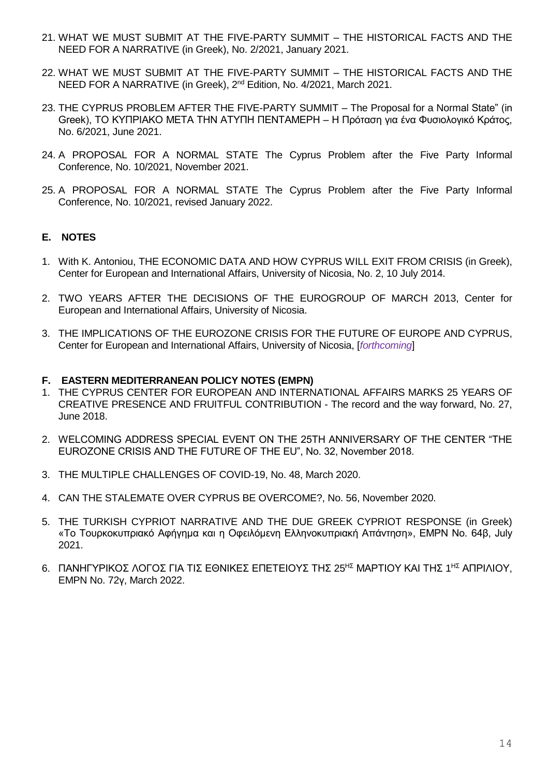- 21. WHAT WE MUST SUBMIT AT THE FIVE-PARTY SUMMIT THE HISTORICAL FACTS AND THE NEED FOR A NARRATIVE (in Greek), No. 2/2021, January 2021.
- 22. WHAT WE MUST SUBMIT AT THE FIVE-PARTY SUMMIT THE HISTORICAL FACTS AND THE NEED FOR A NARRATIVE (in Greek), 2<sup>nd</sup> Edition, No. 4/2021, March 2021.
- 23. THE CYPRUS PROBLEM AFTER THE FIVE-PARTY SUMMIT The Proposal for a Normal State" (in Greek), ΤΟ ΚΥΠΡΙΑΚΟ ΜΕΤΑ ΤΗΝ ΑΤΥΠΗ ΠΕΝΤΑΜΕΡΗ – Η Πρόταση για ένα Φυσιολογικό Κράτος, No. 6/2021, June 2021.
- 24. A PROPOSAL FOR A NORMAL STATE The Cyprus Problem after the Five Party Informal Conference, No. 10/2021, November 2021.
- 25. A PROPOSAL FOR A NORMAL STATE The Cyprus Problem after the Five Party Informal Conference, No. 10/2021, revised January 2022.

## **E. NOTES**

- 1. With K. Antoniou, THE ECONOMIC DATA AND HOW CYPRUS WILL EXIT FROM CRISIS (in Greek), Center for European and International Affairs, University of Nicosia, No. 2, 10 July 2014.
- 2. TWO YEARS AFTER THE DECISIONS OF THE EUROGROUP OF MARCH 2013, Center for European and International Affairs, University of Nicosia.
- 3. THE IMPLICATIONS OF THE EUROZONE CRISIS FOR THE FUTURE OF EUROPE AND CYPRUS, Center for European and International Affairs, University of Nicosia, [*forthcoming*]

#### **F. EASTERN MEDITERRANEAN POLICY NOTES (EMPN)**

- 1. THE CYPRUS CENTER FOR EUROPEAN AND INTERNATIONAL AFFAIRS MARKS 25 YEARS OF CREATIVE PRESENCE AND FRUITFUL CONTRIBUTION - The record and the way forward, No. 27, June 2018.
- 2. WELCOMING ADDRESS SPECIAL EVENT ON THE 25TH ANNIVERSARY OF THE CENTER "THE EUROZONE CRISIS AND THE FUTURE OF THE EU", No. 32, November 2018.
- 3. THE MULTIPLE CHALLENGES OF COVID-19, No. 48, March 2020.
- 4. CAN THE STALEMATE OVER CYPRUS BE OVERCOME?, No. 56, November 2020.
- 5. THE TURKISH CYPRIOT NARRATIVE AND THE DUE GREEK CYPRIOT RESPONSE (in Greek) «Tο Τουρκοκυπριακό Αφήγημα και η Οφειλόμενη Ελληνοκυπριακή Απάντηση», EMPN No. 64β, July 2021.
- 6. ΠΑΝΗΓΥΡΙΚΟΣ ΛΟΓΟΣ ΓΙΑ ΤΙΣ ΕΘΝΙΚΕΣ ΕΠΕΤΕΙΟΥΣ ΤΗΣ 25<sup>ΗΣ</sup> ΜΑΡΤΙΟΥ ΚΑΙ ΤΗΣ 1<sup>ΗΣ</sup> ΑΠΡΙΛΙΟΥ, EMPN No. 72γ, March 2022.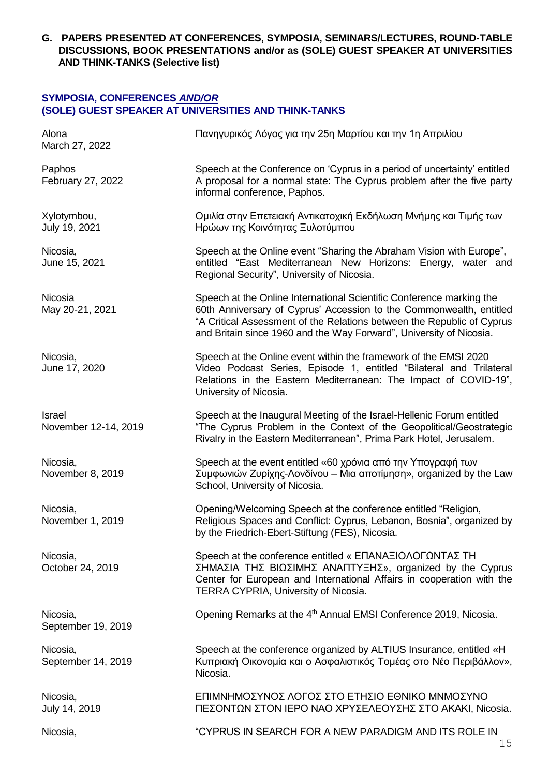**G. PAPERS PRESENTED AT CONFERENCES, SYMPOSIA, SEMINARS/LECTURES, ROUND-TABLE DISCUSSIONS, BOOK PRESENTATIONS and/or as (SOLE) GUEST SPEAKER AT UNIVERSITIES AND THINK-TANKS (Selective list)**

### **SYMPOSIA, CONFERENCES** *AND/OR* **(SOLE) GUEST SPEAKER AT UNIVERSITIES AND THINK-TANKS**

| Alona<br>March 27, 2022        | Πανηγυρικός Λόγος για την 25η Μαρτίου και την 1η Απριλίου                                                                                                                                                                                                                                    |
|--------------------------------|----------------------------------------------------------------------------------------------------------------------------------------------------------------------------------------------------------------------------------------------------------------------------------------------|
| Paphos<br>February 27, 2022    | Speech at the Conference on 'Cyprus in a period of uncertainty' entitled<br>A proposal for a normal state: The Cyprus problem after the five party<br>informal conference, Paphos.                                                                                                           |
| Xylotymbou,<br>July 19, 2021   | Ομιλία στην Επετειακή Αντικατοχική Εκδήλωση Μνήμης και Τιμής των<br>Ηρώων της Κοινότητας Ξυλοτύμπου                                                                                                                                                                                          |
| Nicosia,<br>June 15, 2021      | Speech at the Online event "Sharing the Abraham Vision with Europe",<br>entitled "East Mediterranean New Horizons: Energy, water and<br>Regional Security", University of Nicosia.                                                                                                           |
| Nicosia<br>May 20-21, 2021     | Speech at the Online International Scientific Conference marking the<br>60th Anniversary of Cyprus' Accession to the Commonwealth, entitled<br>"A Critical Assessment of the Relations between the Republic of Cyprus<br>and Britain since 1960 and the Way Forward", University of Nicosia. |
| Nicosia,<br>June 17, 2020      | Speech at the Online event within the framework of the EMSI 2020<br>Video Podcast Series, Episode 1, entitled "Bilateral and Trilateral<br>Relations in the Eastern Mediterranean: The Impact of COVID-19",<br>University of Nicosia.                                                        |
| Israel<br>November 12-14, 2019 | Speech at the Inaugural Meeting of the Israel-Hellenic Forum entitled<br>"The Cyprus Problem in the Context of the Geopolitical/Geostrategic<br>Rivalry in the Eastern Mediterranean", Prima Park Hotel, Jerusalem.                                                                          |
| Nicosia,<br>November 8, 2019   | Speech at the event entitled «60 χρόνια από την Υπογραφή των<br>Συμφωνιών Ζυρίχης-Λονδίνου – Μια αποτίμηση», organized by the Law<br>School, University of Nicosia.                                                                                                                          |
| Nicosia,<br>November 1, 2019   | Opening/Welcoming Speech at the conference entitled "Religion,<br>Religious Spaces and Conflict: Cyprus, Lebanon, Bosnia", organized by<br>by the Friedrich-Ebert-Stiftung (FES), Nicosia.                                                                                                   |
| Nicosia,<br>October 24, 2019   | Speech at the conference entitled « ΕΠΑΝΑΞΙΟΛΟΓΩΝΤΑΣ TH<br>ΣΗΜΑΣΙΑ ΤΗΣ ΒΙΩΣΙΜΗΣ ΑΝΑΠΤΥΞΗΣ», organized by the Cyprus<br>Center for European and International Affairs in cooperation with the<br>TERRA CYPRIA, University of Nicosia.                                                         |
| Nicosia,<br>September 19, 2019 | Opening Remarks at the 4 <sup>th</sup> Annual EMSI Conference 2019, Nicosia.                                                                                                                                                                                                                 |
| Nicosia,<br>September 14, 2019 | Speech at the conference organized by ALTIUS Insurance, entitled «H<br>Κυπριακή Οικονομία και ο Ασφαλιστικός Τομέας στο Νέο Περιβάλλον»,<br>Nicosia.                                                                                                                                         |
| Nicosia,<br>July 14, 2019      | ΕΠΙΜΝΗΜΟΣΥΝΟΣ ΛΟΓΟΣ ΣΤΟ ΕΤΗΣΙΟ ΕΘΝΙΚΟ ΜΝΜΟΣΥΝΟ<br>ΠΕΣΟΝΤΩΝ ΣΤΟΝ ΙΕΡΟ ΝΑΟ ΧΡΥΣΕΛΕΟΥΣΗΣ ΣΤΟ ΑΚΑΚΙ, Nicosia.                                                                                                                                                                                    |
| Nicosia,                       | "CYPRUS IN SEARCH FOR A NEW PARADIGM AND ITS ROLE IN                                                                                                                                                                                                                                         |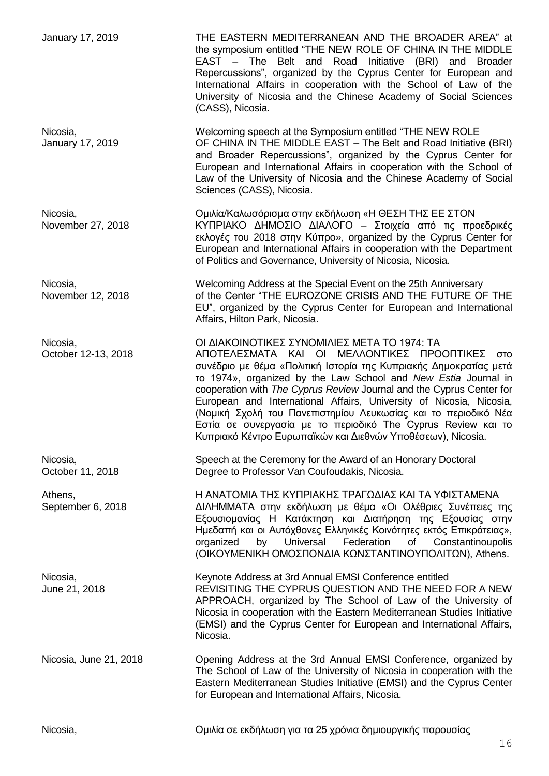| January 17, 2019                | THE EASTERN MEDITERRANEAN AND THE BROADER AREA" at<br>the symposium entitled "THE NEW ROLE OF CHINA IN THE MIDDLE<br>EAST - The Belt and Road Initiative (BRI) and Broader<br>Repercussions", organized by the Cyprus Center for European and<br>International Affairs in cooperation with the School of Law of the<br>University of Nicosia and the Chinese Academy of Social Sciences<br>(CASS), Nicosia.                                                                                                                                                                              |
|---------------------------------|------------------------------------------------------------------------------------------------------------------------------------------------------------------------------------------------------------------------------------------------------------------------------------------------------------------------------------------------------------------------------------------------------------------------------------------------------------------------------------------------------------------------------------------------------------------------------------------|
| Nicosia,<br>January 17, 2019    | Welcoming speech at the Symposium entitled "THE NEW ROLE<br>OF CHINA IN THE MIDDLE EAST - The Belt and Road Initiative (BRI)<br>and Broader Repercussions", organized by the Cyprus Center for<br>European and International Affairs in cooperation with the School of<br>Law of the University of Nicosia and the Chinese Academy of Social<br>Sciences (CASS), Nicosia.                                                                                                                                                                                                                |
| Nicosia,<br>November 27, 2018   | Ομιλία/Καλωσόρισμα στην εκδήλωση «Η ΘΕΣΗ ΤΗΣ ΕΕ ΣΤΟΝ<br>ΚΥΠΡΙΑΚΟ ΔΗΜΟΣΙΟ ΔΙΑΛΟΓΟ - Στοιχεία από τις προεδρικές<br>εκλογές του 2018 στην Κύπρο», organized by the Cyprus Center for<br>European and International Affairs in cooperation with the Department<br>of Politics and Governance, University of Nicosia, Nicosia.                                                                                                                                                                                                                                                               |
| Nicosia,<br>November 12, 2018   | Welcoming Address at the Special Event on the 25th Anniversary<br>of the Center "THE EUROZONE CRISIS AND THE FUTURE OF THE<br>EU", organized by the Cyprus Center for European and International<br>Affairs, Hilton Park, Nicosia.                                                                                                                                                                                                                                                                                                                                                       |
| Nicosia,<br>October 12-13, 2018 | ΟΙ ΔΙΑΚΟΙΝΟΤΙΚΕΣ ΣΥΝΟΜΙΛΙΕΣ ΜΕΤΑ ΤΟ 1974: ΤΑ<br>ΑΠΟΤΕΛΕΣΜΑΤΑ ΚΑΙ ΟΙ ΜΕΛΛΟΝΤΙΚΕΣ ΠΡΟΟΠΤΙΚΕΣ<br>στο<br>συνέδριο με θέμα «Πολιτική Ιστορία της Κυπριακής Δημοκρατίας μετά<br>To 1974», organized by the Law School and New Estia Journal in<br>cooperation with The Cyprus Review Journal and the Cyprus Center for<br>European and International Affairs, University of Nicosia, Nicosia,<br>(Νομική Σχολή του Πανεπιστημίου Λευκωσίας και το περιοδικό Νέα<br>Εστία σε συνεργασία με το περιοδικό The Cyprus Review και το<br>Κυπριακό Κέντρο Ευρωπαϊκών και Διεθνών Υποθέσεων), Nicosia. |
| Nicosia,<br>October 11, 2018    | Speech at the Ceremony for the Award of an Honorary Doctoral<br>Degree to Professor Van Coufoudakis, Nicosia.                                                                                                                                                                                                                                                                                                                                                                                                                                                                            |
| Athens,<br>September 6, 2018    | Η ΑΝΑΤΟΜΙΑ ΤΗΣ ΚΥΠΡΙΑΚΗΣ ΤΡΑΓΩΔΙΑΣ ΚΑΙ ΤΑ ΥΦΙΣΤΑΜΕΝΑ<br>ΔΙΛΗΜΜΑΤΑ στην εκδήλωση με θέμα «Οι Ολέθριες Συνέπειες της<br>Εξουσιομανίας Η Κατάκτηση και Διατήρηση της Εξουσίας στην<br>Ημεδαπή και οι Αυτόχθονες Ελληνικές Κοινότητες εκτός Επικράτειας»,<br>by Universal Federation<br>organized<br>of<br>Constantinoupolis<br>(ΟΙΚΟΥΜΕΝΙΚΗ ΟΜΟΣΠΟΝΔΙΑ ΚΩΝΣΤΑΝΤΙΝΟΥΠΟΛΙΤΩΝ), Athens.                                                                                                                                                                                                        |
| Nicosia,<br>June 21, 2018       | Keynote Address at 3rd Annual EMSI Conference entitled<br>REVISITING THE CYPRUS QUESTION AND THE NEED FOR A NEW<br>APPROACH, organized by The School of Law of the University of<br>Nicosia in cooperation with the Eastern Mediterranean Studies Initiative<br>(EMSI) and the Cyprus Center for European and International Affairs,<br>Nicosia.                                                                                                                                                                                                                                         |
| Nicosia, June 21, 2018          | Opening Address at the 3rd Annual EMSI Conference, organized by<br>The School of Law of the University of Nicosia in cooperation with the<br>Eastern Mediterranean Studies Initiative (EMSI) and the Cyprus Center<br>for European and International Affairs, Nicosia.                                                                                                                                                                                                                                                                                                                   |
| Nicosia,                        | Ομιλία σε εκδήλωση για τα 25 χρόνια δημιουργικής παρουσίας                                                                                                                                                                                                                                                                                                                                                                                                                                                                                                                               |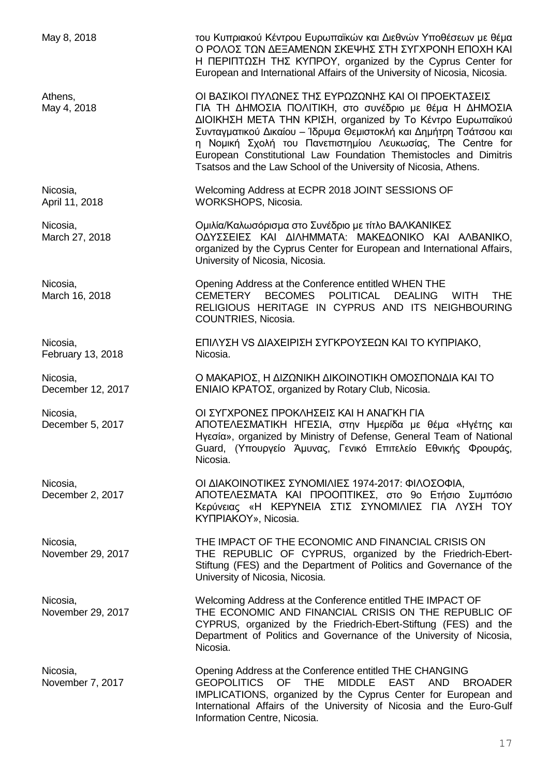May 8, 2018 του Κυπριακού Κέντρου Ευρωπαϊκών και Διεθνών Υποθέσεων με θέμα Ο ΡΟΛΟΣ ΤΩΝ ΔΕΞΑΜΕΝΩΝ ΣΚΕΨΗΣ ΣΤΗ ΣΥΓΧΡΟΝΗ ΕΠΟΧΗ ΚΑΙ Η ΠΕΡΙΠΤΩΣΗ ΤΗΣ ΚΥΠΡΟΥ, organized by the Cyprus Center for European and International Affairs of the University of Nicosia, Nicosia. Athens, ΔΙΑΙΣΙΚΟΙ ΠΥΛΩΝΕΣ ΤΗΣ ΕΥΡΩΖΩΝΗΣ ΚΑΙ ΟΙ ΠΡΟΕΚΤΑΣΕΙΣ May 4, 2018 ΓΙΑ ΤΗ ΔΗΜΟΣΙΑ ΠΟΛΙΤΙΚΗ, στο συνέδριο με θέμα Η ΔΗΜΟΣΙΑ ΔΙΟΙΚΗΣΗ ΜΕΤΑ ΤΗΝ ΚΡΙΣΗ, organized by Το Κέντρο Ευρωπαϊκού Συνταγματικού Δικαίου – Ίδρυμα Θεμιστοκλή και Δημήτρη Τσάτσου και η Νομική Σχολή του Πανεπιστημίου Λευκωσίας, The Centre for European Constitutional Law Foundation Themistocles and Dimitris Tsatsos and the Law School of the University of Nicosia, Athens. Nicosia, Welcoming Address at ECPR 2018 JOINT SESSIONS OF WORKSHOPS, Nicosia. Nicosia, Ομιλία/Καλωσόρισμα στο Συνέδριο με τίτλο ΒΑΛΚΑΝΙΚΕΣ ΟΔΥΣΣΕΙΕΣ ΚΑΙ ΔΙΛΗΜΜΑΤΑ: ΜΑΚΕΔΟΝΙΚΟ ΚΑΙ ΑΛΒΑΝΙΚΟ, organized by the Cyprus Center for European and International Affairs, University of Nicosia, Nicosia. Nicosia, Opening Address at the Conference entitled WHEN THE March 16, 2018 CEMETERY BECOMES POLITICAL DEALING WITH THE RELIGIOUS HERITAGE IN CYPRUS AND ITS NEIGHBOURING COUNTRIES, Nicosia. Nicosia, ΕΠΙΛΥΣΗ VS ΔΙΑΧΕΙΡΙΣΗ ΣΥΓΚΡΟΥΣΕΩΝ ΚΑΙ ΤΟ ΚΥΠΡΙΑΚΟ, February 13, 2018 Nicosia. Nicosia, Ο ΜΑΚΑΡΙΟΣ, Η ΔΙΖΩΝΙΚΗ ΔΙΚΟΙΝΟΤΙΚΗ ΟΜΟΣΠΟΝΔΙΑ ΚΑΙ ΤΟ December 12, 2017 ΕΝΙΑΙΟ ΚΡΑΤΟΣ, organized by Rotary Club, Nicosia. Nicosia, ΟΙ ΣΥΓΧΡΟΝΕΣ ΠΡΟΚΛΗΣΕΙΣ ΚΑΙ Η ΑΝΑΓΚΗ ΓΙΑ December 5, 2017 **ΑΠΟΤΕΛΕΣΜΑΤΙΚΗ ΗΓΕΣΙΑ, στην Ημερίδα με θέμα «Ηγέτης και** Ηγεσία», organized by Ministry of Defense, General Team of National Guard, (Υπουργείο Άμυνας, Γενικό Επιτελείο Εθνικής Φρουράς, Nicosia. Nicosia, ΟΙ ΔΙΑΚΟΙΝΟΤΙΚΕΣ ΣΥΝΟΜΙΛΙΕΣ 1974-2017: ΦΙΛΟΣΟΦΙΑ, December 2, 2017 **ΑΠΟΤΕΛΕΣΜΑΤΑ ΚΑΙ ΠΡΟΟΠΤΙΚΕΣ, στο 9ο Ετήσιο Συμπόσιο** Κερύνειας «Η ΚΕΡΥΝΕΙΑ ΣΤΙΣ ΣΥΝΟΜΙΛΙΕΣ ΓΙΑ ΛΥΣΗ ΤΟΥ ΚΥΠΡΙΑΚΟΥ», Nicosia. Nicosia, THE IMPACT OF THE ECONOMIC AND FINANCIAL CRISIS ON November 29, 2017 THE REPUBLIC OF CYPRUS, organized by the Friedrich-Ebert-Stiftung (FES) and the Department of Politics and Governance of the University of Nicosia, Nicosia. Nicosia, Welcoming Address at the Conference entitled THE IMPACT OF November 29, 2017 THE ECONOMIC AND FINANCIAL CRISIS ON THE REPUBLIC OF CYPRUS, organized by the Friedrich-Ebert-Stiftung (FES) and the Department of Politics and Governance of the University of Nicosia, Nicosia. Nicosia, Opening Address at the Conference entitled THE CHANGING November 7, 2017 GEOPOLITICS OF THE MIDDLE EAST AND BROADER IMPLICATIONS, organized by the Cyprus Center for European and International Affairs of the University of Nicosia and the Euro-Gulf Information Centre, Nicosia.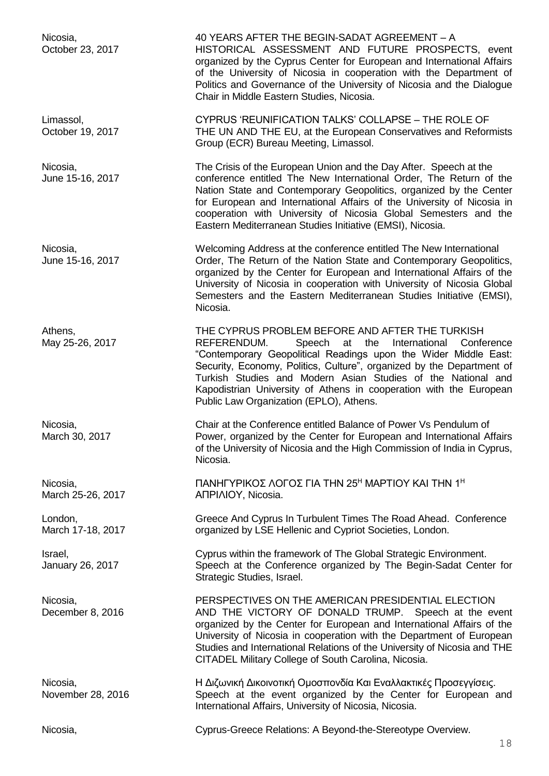| Nicosia,<br>October 23, 2017  | 40 YEARS AFTER THE BEGIN-SADAT AGREEMENT - A<br>HISTORICAL ASSESSMENT AND FUTURE PROSPECTS, event<br>organized by the Cyprus Center for European and International Affairs<br>of the University of Nicosia in cooperation with the Department of<br>Politics and Governance of the University of Nicosia and the Dialogue<br>Chair in Middle Eastern Studies, Nicosia.                                                                      |
|-------------------------------|---------------------------------------------------------------------------------------------------------------------------------------------------------------------------------------------------------------------------------------------------------------------------------------------------------------------------------------------------------------------------------------------------------------------------------------------|
| Limassol,<br>October 19, 2017 | CYPRUS 'REUNIFICATION TALKS' COLLAPSE - THE ROLE OF<br>THE UN AND THE EU, at the European Conservatives and Reformists<br>Group (ECR) Bureau Meeting, Limassol.                                                                                                                                                                                                                                                                             |
| Nicosia,<br>June 15-16, 2017  | The Crisis of the European Union and the Day After. Speech at the<br>conference entitled The New International Order, The Return of the<br>Nation State and Contemporary Geopolitics, organized by the Center<br>for European and International Affairs of the University of Nicosia in<br>cooperation with University of Nicosia Global Semesters and the<br>Eastern Mediterranean Studies Initiative (EMSI), Nicosia.                     |
| Nicosia,<br>June 15-16, 2017  | Welcoming Address at the conference entitled The New International<br>Order, The Return of the Nation State and Contemporary Geopolitics,<br>organized by the Center for European and International Affairs of the<br>University of Nicosia in cooperation with University of Nicosia Global<br>Semesters and the Eastern Mediterranean Studies Initiative (EMSI),<br>Nicosia.                                                              |
| Athens,<br>May 25-26, 2017    | THE CYPRUS PROBLEM BEFORE AND AFTER THE TURKISH<br>Speech at the<br>REFERENDUM.<br>International<br>Conference<br>"Contemporary Geopolitical Readings upon the Wider Middle East:<br>Security, Economy, Politics, Culture", organized by the Department of<br>Turkish Studies and Modern Asian Studies of the National and<br>Kapodistrian University of Athens in cooperation with the European<br>Public Law Organization (EPLO), Athens. |
| Nicosia,<br>March 30, 2017    | Chair at the Conference entitled Balance of Power Vs Pendulum of<br>Power, organized by the Center for European and International Affairs<br>of the University of Nicosia and the High Commission of India in Cyprus,<br>Nicosia.                                                                                                                                                                                                           |
| Nicosia,<br>March 25-26, 2017 | ΠΑΝΗΓΥΡΙΚΟΣ ΛΟΓΟΣ ΓΙΑ ΤΗΝ 25 <sup>Η</sup> ΜΑΡΤΙΟΥ ΚΑΙ ΤΗΝ 1 <sup>Η</sup><br>ANPIAIOY, Nicosia.                                                                                                                                                                                                                                                                                                                                              |
| London,<br>March 17-18, 2017  | Greece And Cyprus In Turbulent Times The Road Ahead. Conference<br>organized by LSE Hellenic and Cypriot Societies, London.                                                                                                                                                                                                                                                                                                                 |
| Israel,<br>January 26, 2017   | Cyprus within the framework of The Global Strategic Environment.<br>Speech at the Conference organized by The Begin-Sadat Center for<br>Strategic Studies, Israel.                                                                                                                                                                                                                                                                          |
| Nicosia,<br>December 8, 2016  | PERSPECTIVES ON THE AMERICAN PRESIDENTIAL ELECTION<br>AND THE VICTORY OF DONALD TRUMP. Speech at the event<br>organized by the Center for European and International Affairs of the<br>University of Nicosia in cooperation with the Department of European<br>Studies and International Relations of the University of Nicosia and THE<br>CITADEL Military College of South Carolina, Nicosia.                                             |
| Nicosia,<br>November 28, 2016 | Η Διζωνική Δικοινοτική Ομοσπονδία Και Εναλλακτικές Προσεγγίσεις.<br>Speech at the event organized by the Center for European and<br>International Affairs, University of Nicosia, Nicosia.                                                                                                                                                                                                                                                  |
| Nicosia,                      | Cyprus-Greece Relations: A Beyond-the-Stereotype Overview.                                                                                                                                                                                                                                                                                                                                                                                  |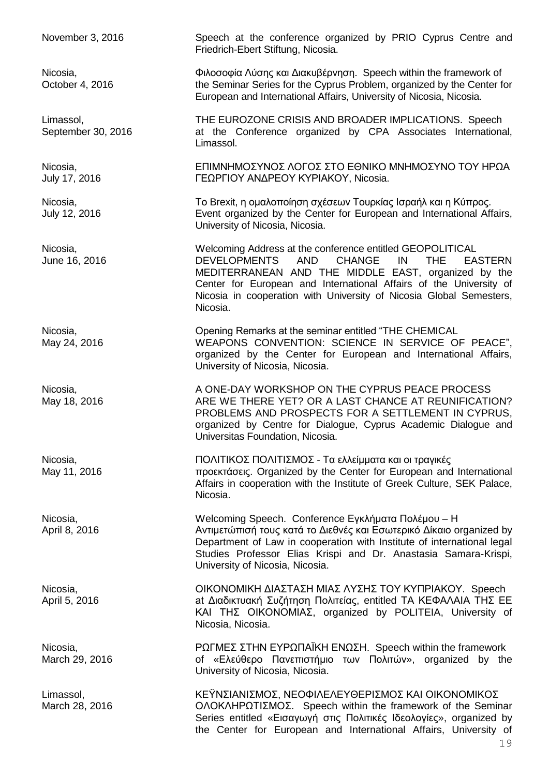November 3, 2016 Speech at the conference organized by PRIO Cyprus Centre and Friedrich-Ebert Stiftung, Nicosia. Nicosia, Φιλοσοφία Λύσης και Διακυβέρνηση. Speech within the framework of October 4, 2016 the Seminar Series for the Cyprus Problem, organized by the Center for European and International Affairs, University of Nicosia, Nicosia. Limassol, THE EUROZONE CRISIS AND BROADER IMPLICATIONS. Speech September 30, 2016 **at the Conference organized by CPA Associates International,** Limassol. Nicosia, ΕΠΙΜΝΗΜΟΣΥΝΟΣ ΛΟΓΟΣ ΣΤΟ ΕΘΝΙΚΟ ΜΝΗΜΟΣΥΝΟ ΤΟΥ ΗΡΩΑ July 17, 2016 ΓΕΩΡΓΙΟΥ ΑΝΔΡΕΟΥ ΚΥΡΙΑΚΟΥ, Nicosia. Nicosia, Το Brexit, η ομαλοποίηση σχέσεων Τουρκίας Ισραήλ και η Κύπρος. July 12, 2016 Event organized by the Center for European and International Affairs, University of Nicosia, Nicosia. Nicosia, Welcoming Address at the conference entitled GEOPOLITICAL June 16, 2016 DEVELOPMENTS AND CHANGE IN THE EASTERN MEDITERRANEAN AND THE MIDDLE EAST, organized by the Center for European and International Affairs of the University of Nicosia in cooperation with University of Nicosia Global Semesters, Nicosia. Nicosia, Opening Remarks at the seminar entitled "THE CHEMICAL May 24, 2016 WEAPONS CONVENTION: SCIENCE IN SERVICE OF PEACE", organized by the Center for European and International Affairs, University of Nicosia, Nicosia. Nicosia, A ONE-DAY WORKSHOP ON THE CYPRUS PEACE PROCESS May 18, 2016 **ARE WE THERE YET? OR A LAST CHANCE AT REUNIFICATION?** PROBLEMS AND PROSPECTS FOR A SETTLEMENT IN CYPRUS, organized by Centre for Dialogue, Cyprus Academic Dialogue and Universitas Foundation, Nicosia. Nicosia, ΠΟΛΙΤΙΚΟΣ ΠΟΛΙΤΙΣΜΟΣ - Τα ελλείμματα και οι τραγικές May 11, 2016 προεκτάσεις. Organized by the Center for European and International Affairs in cooperation with the Institute of Greek Culture, SEK Palace, Nicosia. Nicosia, Welcoming Speech. Conference Εγκλήματα Πολέμου – Η April 8, 2016 *Avripet Δίκαιο τους κατά το Διεθνές και Εσωτερικό Δίκαιο organized by* Department of Law in cooperation with Institute of international legal Studies Professor Elias Krispi and Dr. Anastasia Samara-Krispi, University of Nicosia, Nicosia. Nicosia, ΟΙΚΟΝΟΜΙΚΗ ΔΙΑΣΤΑΣΗ ΜΙΑΣ ΛΥΣΗΣ ΤΟΥ ΚΥΠΡΙΑΚΟΥ. Speech April 5, 2016 **April 2016** at Διαδικτυακή Συζήτηση Πολιτείας, entitled ΤΑ ΚΕΦΑΛΑΙΑ ΤΗΣ ΕΕ ΚΑΙ ΤΗΣ ΟΙΚΟΝΟΜΙΑΣ, organized by POLITEIA, University of Nicosia, Nicosia. Nicosia, ΡΩΓΜΕΣ ΣΤΗΝ ΕΥΡΩΠΑΪΚΗ ΕΝΩΣΗ. Speech within the framework March 29, 2016 **Contact Accide** of «Ελεύθερο Πανεπιστήμιο των Πολιτών», organized by the University of Nicosia, Nicosia. Limassol, ΚΕΫΝΣΙΑΝΙΣΜΟΣ, ΝΕΟΦΙΛΕΛΕΥΘΕΡΙΣΜΟΣ ΚΑΙ ΟΙΚΟΝΟΜΙΚΟΣ March 28, 2016 **ΟΛΟΚΛΗΡΩΤΙΣΜΟΣ.** Speech within the framework of the Seminar Series entitled «Εισαγωγή στις Πολιτικές Ιδεολογίες», organized by the Center for European and International Affairs, University of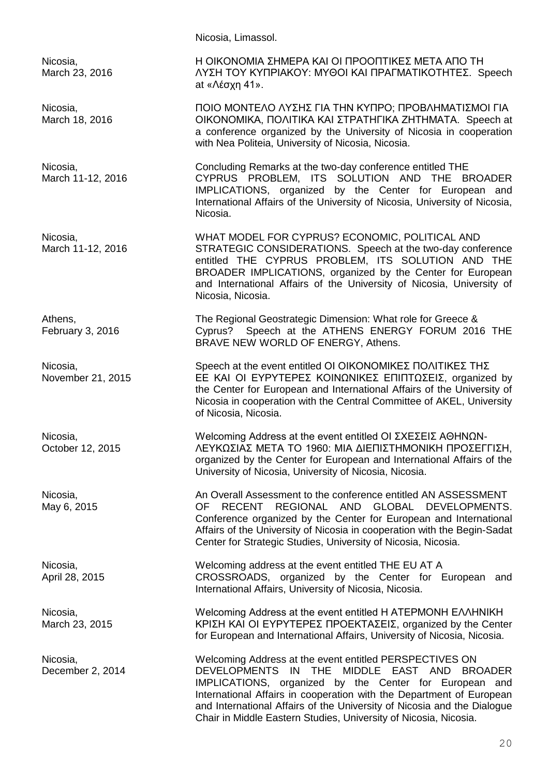Nicosia, Limassol. Nicosia, Η ΟΙΚΟΝΟΜΙΑ ΣΗΜΕΡΑ ΚΑΙ ΟΙ ΠΡΟΟΠΤΙΚΕΣ ΜΕΤΑ ΑΠΟ ΤΗ March 23, 2016 **ΛΥΣΗ ΤΟΥ ΚΥΠΡΙΑΚΟΥ: ΜΥΘΟΙ ΚΑΙ ΠΡΑΓΜΑΤΙΚΟΤΗΤΕΣ.** Speech at «Λέσχη 41». Nicosia, ΠΟΙΟ ΜΟΝΤΕΛΟ ΛΥΣΗΣ ΓΙΑ ΤΗΝ ΚΥΠΡΟ; ΠΡΟΒΛΗΜΑΤΙΣΜΟΙ ΓΙΑ March 18, 2016 ΟΙΚΟΝΟΜΙΚΑ, ΠΟΛΙΤΙΚΑ ΚΑΙ ΣΤΡΑΤΗΓΙΚΑ ΖΗΤΗΜΑΤΑ. Speech at a conference organized by the University of Nicosia in cooperation with Nea Politeia, University of Nicosia, Nicosia. Nicosia, Concluding Remarks at the two-day conference entitled THE March 11-12, 2016 **CYPRUS PROBLEM, ITS SOLUTION AND THE BROADER** IMPLICATIONS, organized by the Center for European and International Affairs of the University of Nicosia, University of Nicosia, Nicosia. Nicosia, WHAT MODEL FOR CYPRUS? ECONOMIC, POLITICAL AND March 11-12, 2016 STRATEGIC CONSIDERATIONS. Speech at the two-day conference entitled THE CYPRUS PROBLEM, ITS SOLUTION AND THE BROADER IMPLICATIONS, organized by the Center for European and International Affairs of the University of Nicosia, University of Nicosia, Nicosia. Athens, The Regional Geostrategic Dimension: What role for Greece & February 3, 2016 Cyprus? Speech at the ATHENS ENERGY FORUM 2016 THE BRAVE NEW WORLD OF ENERGY, Athens. Nicosia, Speech at the event entitled ΟΙ ΟΙΚΟΝΟΜΙΚΕΣ ΠΟΛΙΤΙΚΕΣ ΤΗΣ November 21, 2015 EE KAI OI ΕΥΡΥΤΕΡΕΣ ΚΟΙΝΩΝΙΚΕΣ ΕΠΙΠΤΩΣΕΙΣ, organized by the Center for European and International Affairs of the University of Nicosia in cooperation with the Central Committee of AKEL, University of Nicosia, Nicosia. Nicosia, Welcoming Address at the event entitled ΟΙ ΣΧΕΣΕΙΣ ΑΘΗΝΩΝ-October 12, 2015 ΛΕΥΚΩΣΙΑΣ ΜΕΤΑ ΤΟ 1960: ΜΙΑ ΔΙΕΠΙΣΤΗΜΟΝΙΚΗ ΠΡΟΣΕΓΓΙΣΗ, organized by the Center for European and International Affairs of the University of Nicosia, University of Nicosia, Nicosia. Nicosia, An Overall Assessment to the conference entitled AN ASSESSMENT May 6, 2015 **OF RECENT REGIONAL AND GLOBAL DEVELOPMENTS.** Conference organized by the Center for European and International Affairs of the University of Nicosia in cooperation with the Begin-Sadat Center for Strategic Studies, University of Nicosia, Nicosia. Nicosia, Welcoming address at the event entitled THE EU AT A April 28, 2015 CROSSROADS, organized by the Center for European and International Affairs, University of Nicosia, Nicosia. Nicosia, Welcoming Address at the event entitled Η ΑΤΕΡΜΟΝΗ ΕΛΛΗΝΙΚΗ March 23, 2015 **ΚΡΙΣΗ ΚΑΙ ΟΙ ΕΥΡΥΤΕΡΕΣ ΠΡΟΕΚΤΑΣΕΙΣ**, organized by the Center for European and International Affairs, University of Nicosia, Nicosia. Nicosia, Welcoming Address at the event entitled PERSPECTIVES ON December 2, 2014 DEVELOPMENTS IN THE MIDDLE EAST AND BROADER IMPLICATIONS, organized by the Center for European and International Affairs in cooperation with the Department of European and International Affairs of the University of Nicosia and the Dialogue Chair in Middle Eastern Studies, University of Nicosia, Nicosia.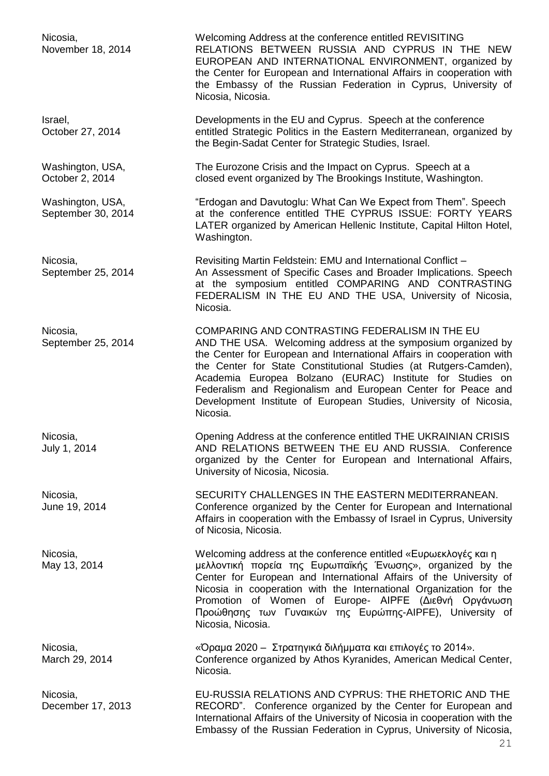| Nicosia,<br>November 18, 2014          | Welcoming Address at the conference entitled REVISITING<br>RELATIONS BETWEEN RUSSIA AND CYPRUS IN THE NEW<br>EUROPEAN AND INTERNATIONAL ENVIRONMENT, organized by<br>the Center for European and International Affairs in cooperation with<br>the Embassy of the Russian Federation in Cyprus, University of<br>Nicosia, Nicosia.                                                                                                                                         |
|----------------------------------------|---------------------------------------------------------------------------------------------------------------------------------------------------------------------------------------------------------------------------------------------------------------------------------------------------------------------------------------------------------------------------------------------------------------------------------------------------------------------------|
| Israel,<br>October 27, 2014            | Developments in the EU and Cyprus. Speech at the conference<br>entitled Strategic Politics in the Eastern Mediterranean, organized by<br>the Begin-Sadat Center for Strategic Studies, Israel.                                                                                                                                                                                                                                                                            |
| Washington, USA,<br>October 2, 2014    | The Eurozone Crisis and the Impact on Cyprus. Speech at a<br>closed event organized by The Brookings Institute, Washington.                                                                                                                                                                                                                                                                                                                                               |
| Washington, USA,<br>September 30, 2014 | "Erdogan and Davutoglu: What Can We Expect from Them". Speech<br>at the conference entitled THE CYPRUS ISSUE: FORTY YEARS<br>LATER organized by American Hellenic Institute, Capital Hilton Hotel,<br>Washington.                                                                                                                                                                                                                                                         |
| Nicosia,<br>September 25, 2014         | Revisiting Martin Feldstein: EMU and International Conflict -<br>An Assessment of Specific Cases and Broader Implications. Speech<br>at the symposium entitled COMPARING AND CONTRASTING<br>FEDERALISM IN THE EU AND THE USA, University of Nicosia,<br>Nicosia.                                                                                                                                                                                                          |
| Nicosia,<br>September 25, 2014         | COMPARING AND CONTRASTING FEDERALISM IN THE EU<br>AND THE USA. Welcoming address at the symposium organized by<br>the Center for European and International Affairs in cooperation with<br>the Center for State Constitutional Studies (at Rutgers-Camden),<br>Academia Europea Bolzano (EURAC) Institute for Studies on<br>Federalism and Regionalism and European Center for Peace and<br>Development Institute of European Studies, University of Nicosia,<br>Nicosia. |
| Nicosia,<br>July 1, 2014               | Opening Address at the conference entitled THE UKRAINIAN CRISIS<br>AND RELATIONS BETWEEN THE EU AND RUSSIA. Conference<br>organized by the Center for European and International Affairs,<br>University of Nicosia, Nicosia.                                                                                                                                                                                                                                              |
| Nicosia,<br>June 19, 2014              | SECURITY CHALLENGES IN THE EASTERN MEDITERRANEAN.<br>Conference organized by the Center for European and International<br>Affairs in cooperation with the Embassy of Israel in Cyprus, University<br>of Nicosia, Nicosia.                                                                                                                                                                                                                                                 |
| Nicosia,<br>May 13, 2014               | Welcoming address at the conference entitled «Ευρωεκλογές και η<br>μελλοντική πορεία της Ευρωπαϊκής Ένωσης», organized by the<br>Center for European and International Affairs of the University of<br>Nicosia in cooperation with the International Organization for the<br>Promotion of Women of Europe- AIPFE (Διεθνή Οργάνωση<br>Προώθησης των Γυναικών της Ευρώπης-AIPFE), University of<br>Nicosia, Nicosia.                                                        |
| Nicosia,<br>March 29, 2014             | «Όραμα 2020 – Στρατηγικά διλήμματα και επιλογές το 2014».<br>Conference organized by Athos Kyranides, American Medical Center,<br>Nicosia.                                                                                                                                                                                                                                                                                                                                |
| Nicosia,<br>December 17, 2013          | EU-RUSSIA RELATIONS AND CYPRUS: THE RHETORIC AND THE<br>RECORD". Conference organized by the Center for European and<br>International Affairs of the University of Nicosia in cooperation with the<br>Embassy of the Russian Federation in Cyprus, University of Nicosia,                                                                                                                                                                                                 |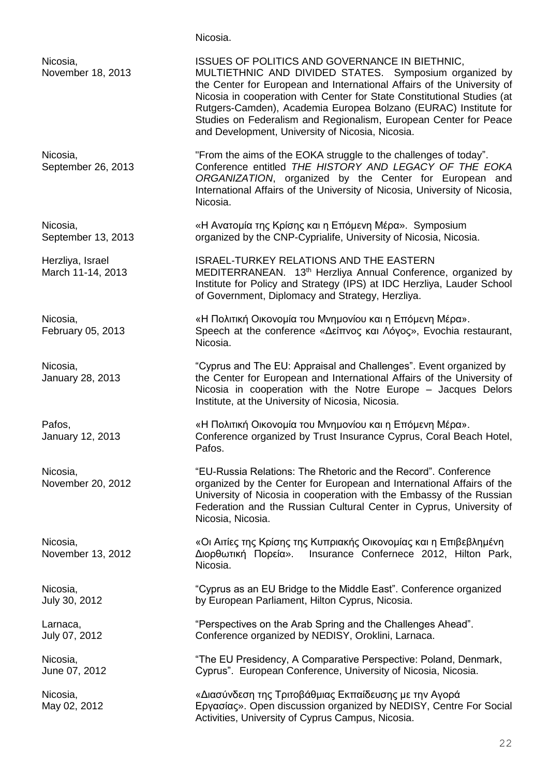### Nicosia.

| Nicosia,<br>November 18, 2013         | ISSUES OF POLITICS AND GOVERNANCE IN BIETHNIC,<br>MULTIETHNIC AND DIVIDED STATES. Symposium organized by<br>the Center for European and International Affairs of the University of<br>Nicosia in cooperation with Center for State Constitutional Studies (at<br>Rutgers-Camden), Academia Europea Bolzano (EURAC) Institute for<br>Studies on Federalism and Regionalism, European Center for Peace<br>and Development, University of Nicosia, Nicosia. |
|---------------------------------------|----------------------------------------------------------------------------------------------------------------------------------------------------------------------------------------------------------------------------------------------------------------------------------------------------------------------------------------------------------------------------------------------------------------------------------------------------------|
| Nicosia,<br>September 26, 2013        | "From the aims of the EOKA struggle to the challenges of today".<br>Conference entitled THE HISTORY AND LEGACY OF THE EOKA<br>ORGANIZATION, organized by the Center for European and<br>International Affairs of the University of Nicosia, University of Nicosia,<br>Nicosia.                                                                                                                                                                           |
| Nicosia,<br>September 13, 2013        | «Η Ανατομία της Κρίσης και η Επόμενη Μέρα». Symposium<br>organized by the CNP-Cyprialife, University of Nicosia, Nicosia.                                                                                                                                                                                                                                                                                                                                |
| Herzliya, Israel<br>March 11-14, 2013 | <b>ISRAEL-TURKEY RELATIONS AND THE EASTERN</b><br>MEDITERRANEAN. 13th Herzliya Annual Conference, organized by<br>Institute for Policy and Strategy (IPS) at IDC Herzliya, Lauder School<br>of Government, Diplomacy and Strategy, Herzliya.                                                                                                                                                                                                             |
| Nicosia,<br>February 05, 2013         | «Η Πολιτική Οικονομία του Μνημονίου και η Επόμενη Μέρα».<br>Speech at the conference «Δείπνος και Λόγος», Evochia restaurant,<br>Nicosia.                                                                                                                                                                                                                                                                                                                |
| Nicosia,<br>January 28, 2013          | "Cyprus and The EU: Appraisal and Challenges". Event organized by<br>the Center for European and International Affairs of the University of<br>Nicosia in cooperation with the Notre Europe - Jacques Delors<br>Institute, at the University of Nicosia, Nicosia.                                                                                                                                                                                        |
| Pafos,<br>January 12, 2013            | «Η Πολιτική Οικονομία του Μνημονίου και η Επόμενη Μέρα».<br>Conference organized by Trust Insurance Cyprus, Coral Beach Hotel,<br>Pafos.                                                                                                                                                                                                                                                                                                                 |
| Nicosia,<br>November 20, 2012         | "EU-Russia Relations: The Rhetoric and the Record". Conference<br>organized by the Center for European and International Affairs of the<br>University of Nicosia in cooperation with the Embassy of the Russian<br>Federation and the Russian Cultural Center in Cyprus, University of<br>Nicosia, Nicosia.                                                                                                                                              |
| Nicosia,<br>November 13, 2012         | «Οι Αιτίες της Κρίσης της Κυπριακής Οικονομίας και η Επιβεβλημένη<br>Διορθωτική Πορεία».<br>Insurance Confernece 2012, Hilton Park,<br>Nicosia.                                                                                                                                                                                                                                                                                                          |
| Nicosia,<br>July 30, 2012             | "Cyprus as an EU Bridge to the Middle East". Conference organized<br>by European Parliament, Hilton Cyprus, Nicosia.                                                                                                                                                                                                                                                                                                                                     |
| Larnaca,<br>July 07, 2012             | "Perspectives on the Arab Spring and the Challenges Ahead".<br>Conference organized by NEDISY, Oroklini, Larnaca.                                                                                                                                                                                                                                                                                                                                        |
| Nicosia,<br>June 07, 2012             | "The EU Presidency, A Comparative Perspective: Poland, Denmark,<br>Cyprus". European Conference, University of Nicosia, Nicosia.                                                                                                                                                                                                                                                                                                                         |
| Nicosia,<br>May 02, 2012              | «Διασύνδεση της Τριτοβάθμιας Εκπαίδευσης με την Αγορά<br>Εργασίας». Open discussion organized by NEDISY, Centre For Social<br>Activities, University of Cyprus Campus, Nicosia.                                                                                                                                                                                                                                                                          |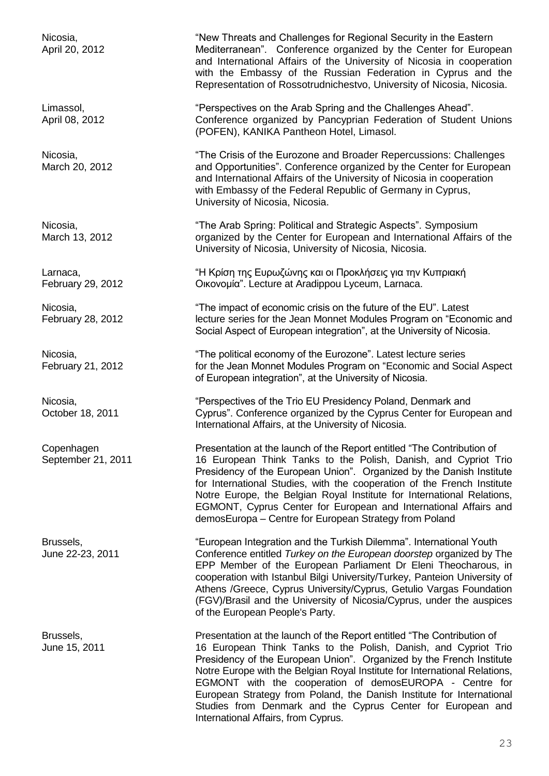February 29, 2012 Οικονομία". Lecture at Aradippou Lyceum, Larnaca.

Copenhagen **Presentation at the launch of the Report entitled "The Contribution of** September 21, 2011 16 European Think Tanks to the Polish, Danish, and Cypriot Trio Presidency of the European Union". Organized by the Danish Institute for International Studies, with the cooperation of the French Institute Notre Europe, the Belgian Royal Institute for International Relations, EGMONT, Cyprus Center for European and International Affairs and demosEuropa – Centre for European Strategy from Poland

Brussels, "European Integration and the Turkish Dilemma". International Youth June 22-23, 2011 Conference entitled *Turkey on the European doorstep* organized by The EPP Member of the European Parliament Dr Eleni Theocharous, in cooperation with Istanbul Bilgi University/Turkey, Panteion University of Athens /Greece, Cyprus University/Cyprus, Getulio Vargas Foundation (FGV)/Brasil and the University of Nicosia/Cyprus, under the auspices of the European People's Party.

Brussels, Presentation at the launch of the Report entitled "The Contribution of June 15, 2011 16 European Think Tanks to the Polish, Danish, and Cypriot Trio Presidency of the European Union". Organized by the French Institute Notre Europe with the Belgian Royal Institute for International Relations, EGMONT with the cooperation of demosEUROPA - Centre for European Strategy from Poland, the Danish Institute for International Studies from Denmark and the Cyprus Center for European and International Affairs, from Cyprus.

Nicosia, The Mew Threats and Challenges for Regional Security in the Eastern April 20, 2012 Mediterranean". Conference organized by the Center for European and International Affairs of the University of Nicosia in cooperation with the Embassy of the Russian Federation in Cyprus and the Representation of Rossotrudnichestvo, University of Nicosia, Nicosia.

Limassol, "Perspectives on the Arab Spring and the Challenges Ahead". April 08, 2012 Conference organized by Pancyprian Federation of Student Unions (POFEN), KANIKA Pantheon Hotel, Limasol.

Nicosia, "The Crisis of the Eurozone and Broader Repercussions: Challenges March 20, 2012 **and Opportunities**". Conference organized by the Center for European and International Affairs of the University of Nicosia in cooperation with Embassy of the Federal Republic of Germany in Cyprus, University of Nicosia, Nicosia.

Nicosia,<br>
March 13, 2012 The Arab Spring: Political and Strategic Aspects". Symposium<br>
March 13, 2012 organized by the Center for European and International Affairs organized by the Center for European and International Affairs of the University of Nicosia, University of Nicosia, Nicosia.

Larnaca, "Η Κρίση της Ευρωζώνης και οι Προκλήσεις για την Κυπριακή

Nicosia, "The impact of economic crisis on the future of the EU". Latest February 28, 2012 lecture series for the Jean Monnet Modules Program on "Economic and Social Aspect of European integration", at the University of Nicosia.

Nicosia, "The political economy of the Eurozone". Latest lecture series February 21, 2012 **February 21, 2012** for the Jean Monnet Modules Program on "Economic and Social Aspect of European integration", at the University of Nicosia.

Nicosia, "Perspectives of the Trio EU Presidency Poland, Denmark and October 18, 2011 Cyprus". Conference organized by the Cyprus Center for European and International Affairs, at the University of Nicosia.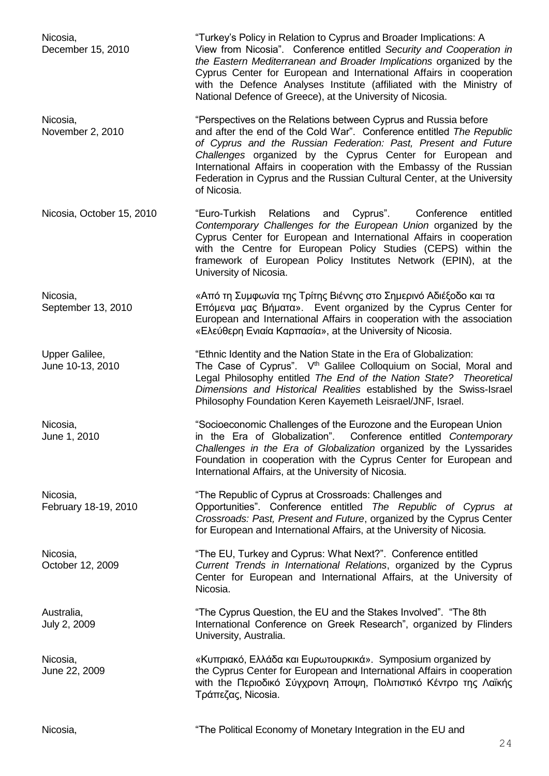Nicosia, Turkey's Policy in Relation to Cyprus and Broader Implications: A December 15, 2010 View from Nicosia". Conference entitled *Security and Cooperation in the Eastern Mediterranean and Broader Implications* organized by the Cyprus Center for European and International Affairs in cooperation with the Defence Analyses Institute (affiliated with the Ministry of National Defence of Greece), at the University of Nicosia. Nicosia, "Perspectives on the Relations between Cyprus and Russia before November 2, 2010 and after the end of the Cold War". Conference entitled *The Republic of Cyprus and the Russian Federation: Past, Present and Future Challenges* organized by the Cyprus Center for European and International Affairs in cooperation with the Embassy of the Russian Federation in Cyprus and the Russian Cultural Center, at the University of Nicosia. Nicosia, October 15, 2010 "Euro-Turkish Relations and Cyprus". Conference entitled *Contemporary Challenges for the European Union* organized by the Cyprus Center for European and International Affairs in cooperation with the Centre for European Policy Studies (CEPS) within the framework of European Policy Institutes Network (EPIN), at the University of Nicosia. Nicosia, «Από τη Συμφωνία της Τρίτης Βιέννης στο Σημερινό Αδιέξοδο και τα September 13, 2010 **Επόμενα μας Βήματα».** Event organized by the Cyprus Center for European and International Affairs in cooperation with the association «Ελεύθερη Ενιαία Καρπασία», at the University of Nicosia. Upper Galilee, "Ethnic Identity and the Nation State in the Era of Globalization: June 10-13, 2010 The Case of Cyprus".  $V<sup>th</sup>$  Galilee Colloquium on Social, Moral and Legal Philosophy entitled *The End of the Nation State? Theoretical Dimensions and Historical Realities* established by the Swiss-Israel Philosophy Foundation Keren Kayemeth Leisrael/JNF, Israel. Nicosia, This issues and the Eurozone and the European Union June 1, 2010 in the Era of Globalization". Conference entitled *Contemporary Challenges in the Era of Globalization* organized by the Lyssarides Foundation in cooperation with the Cyprus Center for European and International Affairs, at the University of Nicosia. Nicosia, "The Republic of Cyprus at Crossroads: Challenges and February 18-19, 2010 Opportunities". Conference entitled *The Republic of Cyprus at Crossroads: Past, Present and Future*, organized by the Cyprus Center for European and International Affairs, at the University of Nicosia. Nicosia, "The EU, Turkey and Cyprus: What Next?". Conference entitled<br>October 12, 2009 Current Trends in International Relations, organized by the Current Trends in International Relations, organized by the Cyprus Center for European and International Affairs, at the University of Nicosia. Australia, "The Cyprus Question, the EU and the Stakes Involved". "The 8th July 2, 2009 International Conference on Greek Research", organized by Flinders University, Australia. Nicosia, «Κυπριακό, Ελλάδα και Ευρωτουρκικά». Symposium organized by June 22, 2009 the Cyprus Center for European and International Affairs in cooperation with the Περιοδικό Σύγχρονη Άποψη, Πολιτιστικό Κέντρο της Λαϊκής Τράπεζας, Nicosia.

Nicosia, The Political Economy of Monetary Integration in the EU and

 $24$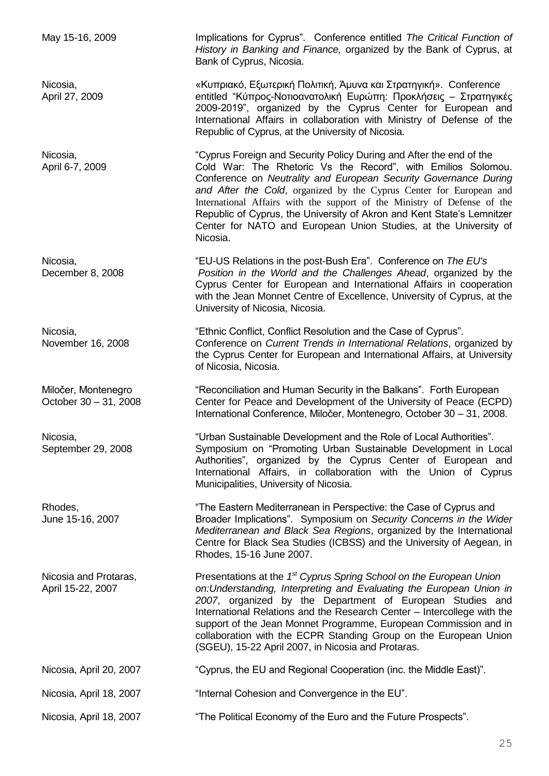May 15-16, 2009 Implications for Cyprus". Conference entitled *The Critical Function of History in Banking and Finance,* organized by the Bank of Cyprus, at Bank of Cyprus, Nicosia.

Nicosia, «Κυπριακό, Εξωτερική Πολιτική, Άμυνα και Στρατηγική». Conference April 27, 2009 entitled "Κύπρος-Νοτιοανατολική Ευρώπη: Προκλήσεις – Στρατηγικές 2009-2019", organized by the Cyprus Center for European and International Affairs in collaboration with Ministry of Defense of the Republic of Cyprus, at the University of Nicosia.

Nicosia, "Cyprus Foreign and Security Policy During and After the end of the April 6-7, 2009 **Cold War:** The Rhetoric Vs the Record", with Emilios Solomou. Conference on *Neutrality and European Security Governance During and After the Cold*, organized by the Cyprus Center for European and International Affairs with the support of the Ministry of Defense of the Republic of Cyprus, the University of Akron and Kent State's Lemnitzer Center for NATO and European Union Studies, at the University of Nicosia.

Nicosia, "EU-US Relations in the post-Bush Era". Conference on *The EU's* December 8, 2008 *Position in the World and the Challenges Ahead*, organized by the Cyprus Center for European and International Affairs in cooperation with the Jean Monnet Centre of Excellence, University of Cyprus, at the University of Nicosia, Nicosia.

Nicosia, The Superson Stephen Conflict, Conflict Resolution and the Case of Cyprus". November 16, 2008 Conference on *Current Trends in International Relations*, organized by the Cyprus Center for European and International Affairs, at University of Nicosia, Nicosia.

Miločer, Montenegro "Reconciliation and Human Security in the Balkans". Forth European October 30 – 31, 2008 Center for Peace and Development of the University of Peace (ECPD) International Conference, Miločer, Montenegro, October 30 – 31, 2008.

Nicosia, "Urban Sustainable Development and the Role of Local Authorities". September 29, 2008 Symposium on "Promoting Urban Sustainable Development in Local Authorities", organized by the Cyprus Center of European and International Affairs, in collaboration with the Union of Cyprus Municipalities, University of Nicosia.

Rhodes, "The Eastern Mediterranean in Perspective: the Case of Cyprus and June 15-16, 2007 Broader Implications". Symposium on *Security Concerns in the Wider Mediterranean and Black Sea Regions*, organized by the International Centre for Black Sea Studies (ICBSS) and the University of Aegean, in Rhodes, 15-16 June 2007.

Nicosia and Protaras, **Presentations at the 1<sup>st</sup> Cyprus Spring School on the European Union** April 15-22, 2007 *on:Understanding, Interpreting and Evaluating the European Union in 2007*, organized by the Department of European Studies and International Relations and the Research Center – Intercollege with the support of the Jean Monnet Programme, European Commission and in collaboration with the ECPR Standing Group on the European Union (SGEU), 15-22 April 2007, in Nicosia and Protaras.

Nicosia, April 20, 2007 "Cyprus, the EU and Regional Cooperation (inc. the Middle East)".

Nicosia, April 18, 2007 "Internal Cohesion and Convergence in the EU".

Nicosia, April 18, 2007 "The Political Economy of the Euro and the Future Prospects".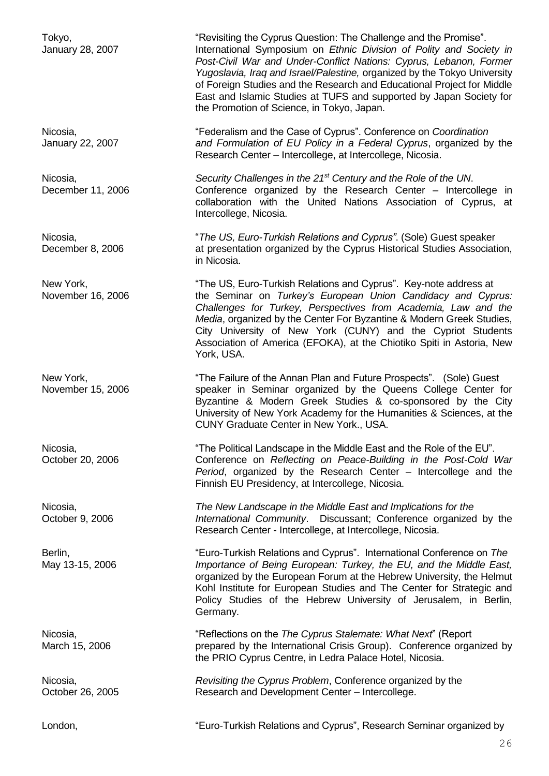Tokyo, The Cyprus Question: The Challenge and the Promise". January 28, 2007 International Symposium on *Ethnic Division of Polity and Society in Post-Civil War and Under-Conflict Nations: Cyprus, Lebanon, Former Yugoslavia, Iraq and Israel/Palestine,* organized by the Tokyo University of Foreign Studies and the Research and Educational Project for Middle East and Islamic Studies at TUFS and supported by Japan Society for the Promotion of Science, in Tokyo, Japan. Nicosia, "Federalism and the Case of Cyprus". Conference on *Coordination*  January 22, 2007 *and Formulation of EU Policy in a Federal Cyprus*, organized by the Research Center – Intercollege, at Intercollege, Nicosia. Nicosia, *Security Challenges in the 21st Century and the Role of the UN*. December 11, 2006 Conference organized by the Research Center – Intercollege in collaboration with the United Nations Association of Cyprus, at Intercollege, Nicosia. Nicosia, "*The US, Euro-Turkish Relations and Cyprus"*. (Sole) Guest speaker December 8, 2006 **at presentation organized by the Cyprus Historical Studies Association,** in Nicosia. New York, The US, Euro-Turkish Relations and Cyprus". Key-note address at November 16, 2006 the Seminar on *Turkey's European Union Candidacy and Cyprus: Challenges for Turkey, Perspectives from Academia, Law and the Media*, organized by the Center For Byzantine & Modern Greek Studies, City University of New York (CUNY) and the Cypriot Students Association of America (EFOKA), at the Chiotiko Spiti in Astoria, New York, USA. New York, The Failure of the Annan Plan and Future Prospects". (Sole) Guest November 15, 2006 speaker in Seminar organized by the Queens College Center for Byzantine & Modern Greek Studies & co-sponsored by the City University of New York Academy for the Humanities & Sciences, at the CUNY Graduate Center in New York., USA. Nicosia, The Political Landscape in the Middle East and the Role of the EU". October 20, 2006 Conference on *Reflecting on Peace-Building in the Post-Cold War Period*, organized by the Research Center – Intercollege and the Finnish EU Presidency, at Intercollege, Nicosia. Nicosia, *The New Landscape in the Middle East and Implications for the*  October 9, 2006 *International Community*. Discussant; Conference organized by the Research Center - Intercollege, at Intercollege, Nicosia. Berlin, "Euro-Turkish Relations and Cyprus". International Conference on *The* May 13-15, 2006 *Importance of Being European: Turkey, the EU, and the Middle East,*  organized by the European Forum at the Hebrew University, the Helmut Kohl Institute for European Studies and The Center for Strategic and Policy Studies of the Hebrew University of Jerusalem, in Berlin, Germany. Nicosia, "Reflections on the *The Cyprus Stalemate: What Next*" (Report March 15, 2006 prepared by the International Crisis Group). Conference organized by the PRIO Cyprus Centre, in Ledra Palace Hotel, Nicosia. Nicosia, *Revisiting the Cyprus Problem*, Conference organized by the October 26, 2005 Research and Development Center – Intercollege. London, "Euro-Turkish Relations and Cyprus", Research Seminar organized by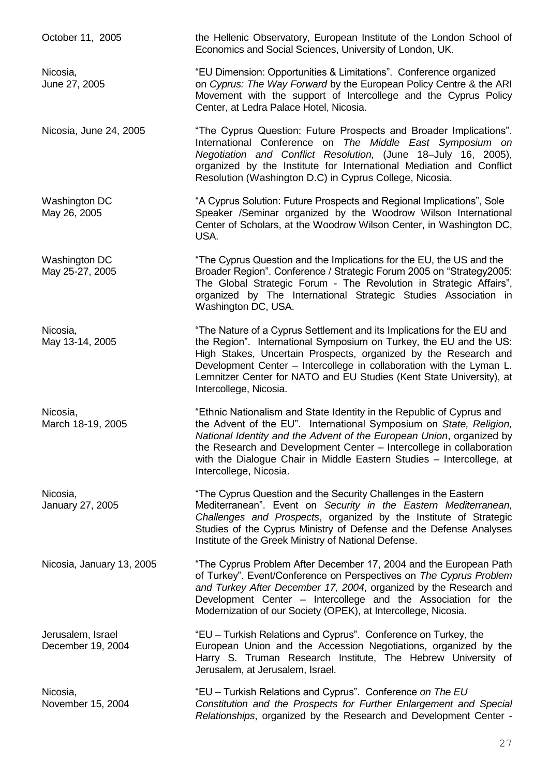October 11, 2005 the Hellenic Observatory, European Institute of the London School of Economics and Social Sciences, University of London, UK.

Nicosia, "EU Dimension: Opportunities & Limitations". Conference organized June 27, 2005 on *Cyprus: The Way Forward* by the European Policy Centre & the ARI Movement with the support of Intercollege and the Cyprus Policy Center, at Ledra Palace Hotel, Nicosia.

Nicosia, June 24, 2005 "The Cyprus Question: Future Prospects and Broader Implications". International Conference on *The Middle East Symposium on Negotiation and Conflict Resolution,* (June 18–July 16, 2005), organized by the Institute for International Mediation and Conflict Resolution (Washington D.C) in Cyprus College, Nicosia.

Washington DC "A Cyprus Solution: Future Prospects and Regional Implications", Sole<br>May 26, 2005 Speaker /Seminar organized by the Woodrow Wilson International Speaker /Seminar organized by the Woodrow Wilson International Center of Scholars, at the Woodrow Wilson Center, in Washington DC, USA.

Washington DC **The Cyprus Question and the Implications for the EU**, the US and the May 25-27, 2005 Broader Region". Conference / Strategic Forum 2005 on "Strategy2005: The Global Strategic Forum - The Revolution in Strategic Affairs", organized by The International Strategic Studies Association in Washington DC, USA.

Nicosia, "The Nature of a Cyprus Settlement and its Implications for the EU and May 13-14, 2005 the Region". International Symposium on Turkey, the EU and the US: High Stakes, Uncertain Prospects, organized by the Research and Development Center – Intercollege in collaboration with the Lyman L. Lemnitzer Center for NATO and EU Studies (Kent State University), at Intercollege, Nicosia.

Nicosia, The "Ethnic Nationalism and State Identity in the Republic of Cyprus and March 18-19, 2005 the Advent of the EU". International Symposium on State, Religion, *National Identity and the Advent of the European Union*, organized by the Research and Development Center – Intercollege in collaboration with the Dialogue Chair in Middle Eastern Studies – Intercollege, at Intercollege, Nicosia.

Nicosia, The Cyprus Question and the Security Challenges in the Eastern January 27, 2005 Mediterranean". Event on *Security in the Eastern Mediterranean, Challenges and Prospects*, organized by the Institute of Strategic Studies of the Cyprus Ministry of Defense and the Defense Analyses Institute of the Greek Ministry of National Defense.

Nicosia, January 13, 2005 "The Cyprus Problem After December 17, 2004 and the European Path of Turkey". Event/Conference on Perspectives on *The Cyprus Problem and Turkey After December 17, 2004*, organized by the Research and Development Center – Intercollege and the Association for the Modernization of our Society (OPEK), at Intercollege, Nicosia.

Jerusalem, Israel "EU – Turkish Relations and Cyprus". Conference on Turkey, the December 19, 2004 European Union and the Accession Negotiations, organized by the Harry S. Truman Research Institute, The Hebrew University of Jerusalem, at Jerusalem, Israel.

Nicosia, "EU – Turkish Relations and Cyprus". Conference *on The EU*  November 15, 2004 *Constitution and the Prospects for Further Enlargement and Special Relationships*, organized by the Research and Development Center -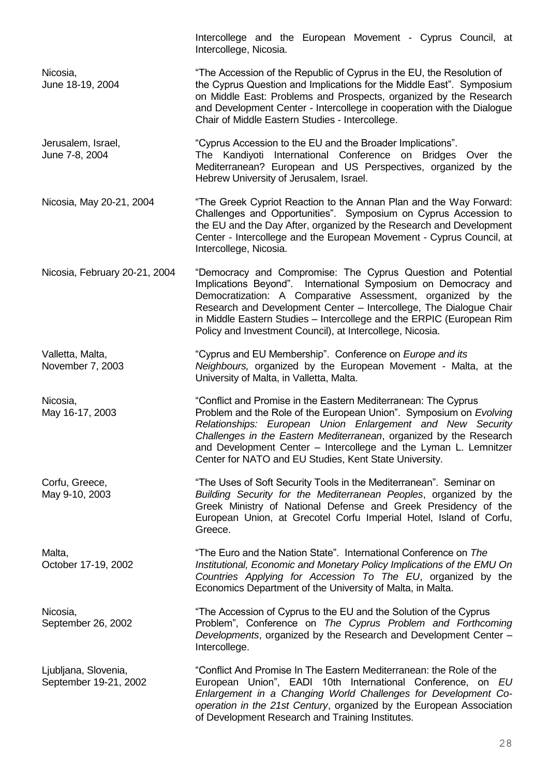|                                               | Intercollege and the European Movement - Cyprus Council, at<br>Intercollege, Nicosia.                                                                                                                                                                                                                                                                                                                    |
|-----------------------------------------------|----------------------------------------------------------------------------------------------------------------------------------------------------------------------------------------------------------------------------------------------------------------------------------------------------------------------------------------------------------------------------------------------------------|
| Nicosia,<br>June 18-19, 2004                  | "The Accession of the Republic of Cyprus in the EU, the Resolution of<br>the Cyprus Question and Implications for the Middle East". Symposium<br>on Middle East: Problems and Prospects, organized by the Research<br>and Development Center - Intercollege in cooperation with the Dialogue<br>Chair of Middle Eastern Studies - Intercollege.                                                          |
| Jerusalem, Israel,<br>June 7-8, 2004          | "Cyprus Accession to the EU and the Broader Implications".<br>The Kandiyoti International Conference on Bridges Over the<br>Mediterranean? European and US Perspectives, organized by the<br>Hebrew University of Jerusalem, Israel.                                                                                                                                                                     |
| Nicosia, May 20-21, 2004                      | "The Greek Cypriot Reaction to the Annan Plan and the Way Forward:<br>Challenges and Opportunities". Symposium on Cyprus Accession to<br>the EU and the Day After, organized by the Research and Development<br>Center - Intercollege and the European Movement - Cyprus Council, at<br>Intercollege, Nicosia.                                                                                           |
| Nicosia, February 20-21, 2004                 | "Democracy and Compromise: The Cyprus Question and Potential<br>Implications Beyond". International Symposium on Democracy and<br>Democratization: A Comparative Assessment, organized by the<br>Research and Development Center - Intercollege, The Dialogue Chair<br>in Middle Eastern Studies - Intercollege and the ERPIC (European Rim<br>Policy and Investment Council), at Intercollege, Nicosia. |
| Valletta, Malta,<br>November 7, 2003          | "Cyprus and EU Membership". Conference on Europe and its<br>Neighbours, organized by the European Movement - Malta, at the<br>University of Malta, in Valletta, Malta.                                                                                                                                                                                                                                   |
| Nicosia,<br>May 16-17, 2003                   | "Conflict and Promise in the Eastern Mediterranean: The Cyprus<br>Problem and the Role of the European Union". Symposium on Evolving<br>Relationships: European Union Enlargement and New Security<br>Challenges in the Eastern Mediterranean, organized by the Research<br>and Development Center - Intercollege and the Lyman L. Lemnitzer<br>Center for NATO and EU Studies, Kent State University.   |
| Corfu, Greece,<br>May 9-10, 2003              | "The Uses of Soft Security Tools in the Mediterranean". Seminar on<br>Building Security for the Mediterranean Peoples, organized by the<br>Greek Ministry of National Defense and Greek Presidency of the<br>European Union, at Grecotel Corfu Imperial Hotel, Island of Corfu,<br>Greece.                                                                                                               |
| Malta,<br>October 17-19, 2002                 | "The Euro and the Nation State". International Conference on The<br>Institutional, Economic and Monetary Policy Implications of the EMU On<br>Countries Applying for Accession To The EU, organized by the<br>Economics Department of the University of Malta, in Malta.                                                                                                                                 |
| Nicosia,<br>September 26, 2002                | "The Accession of Cyprus to the EU and the Solution of the Cyprus<br>Problem", Conference on The Cyprus Problem and Forthcoming<br>Developments, organized by the Research and Development Center -<br>Intercollege.                                                                                                                                                                                     |
| Ljubljana, Slovenia,<br>September 19-21, 2002 | "Conflict And Promise In The Eastern Mediterranean: the Role of the<br>European Union", EADI 10th International Conference, on EU<br>Enlargement in a Changing World Challenges for Development Co-<br>operation in the 21st Century, organized by the European Association<br>of Development Research and Training Institutes.                                                                          |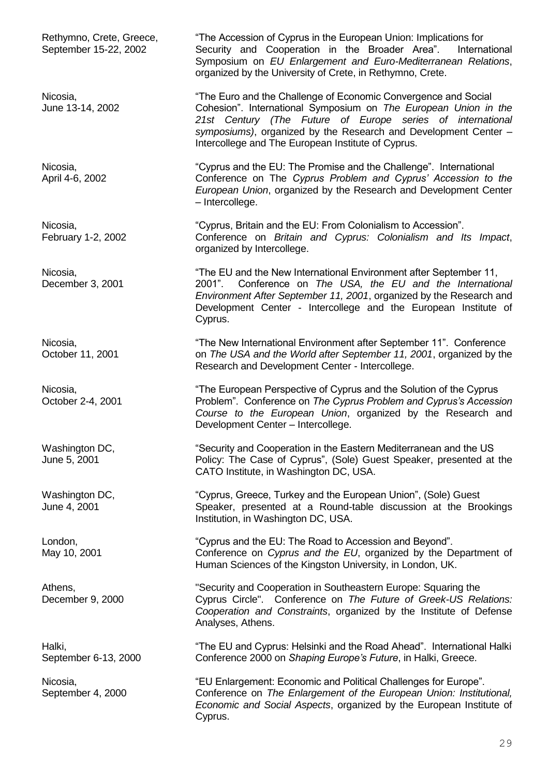Rethymno, Crete, Greece, "The Accession of Cyprus in the European Union: Implications for September 15-22, 2002 Security and Cooperation in the Broader Area". International Symposium on *EU Enlargement and Euro-Mediterranean Relations*, organized by the University of Crete, in Rethymno, Crete.

Nicosia, The Euro and the Challenge of Economic Convergence and Social June 13-14, 2002 Cohesion". International Symposium on *The European Union in the 21st Century (The Future of Europe series of international symposiums)*, organized by the Research and Development Center – Intercollege and The European Institute of Cyprus.

Nicosia, "Cyprus and the EU: The Promise and the Challenge". International April 4-6, 2002 Conference on The *Cyprus Problem and Cyprus' Accession to the European Union*, organized by the Research and Development Center – Intercollege.

Nicosia, "Cyprus, Britain and the EU: From Colonialism to Accession". February 1-2, 2002 Conference on *Britain and Cyprus: Colonialism and Its Impact*, organized by Intercollege.

Nicosia, "The EU and the New International Environment after September 11, December 3, 2001 2001". Conference on *The USA, the EU and the International Environment After September 11, 2001*, organized by the Research and Development Center - Intercollege and the European Institute of Cyprus.

Nicosia, The New International Environment after September 11". Conference October 11, 2001 on *The USA and the World after September 11, 2001*, organized by the Research and Development Center - Intercollege.

Nicosia, The European Perspective of Cyprus and the Solution of the Cyprus October 2-4, 2001 Problem". Conference on *The Cyprus Problem and Cyprus's Accession Course to the European Union*, organized by the Research and Development Center – Intercollege.

Washington DC, "Security and Cooperation in the Eastern Mediterranean and the US<br>
Uune 5, 2001 Policy: The Case of Cyprus". (Sole) Guest Speaker, presented at Policy: The Case of Cyprus", (Sole) Guest Speaker, presented at the CATO Institute, in Washington DC, USA.

Washington DC, "Cyprus, Greece, Turkey and the European Union", (Sole) Guest June 4, 2001 Speaker, presented at a Round-table discussion at the Brookings Institution, in Washington DC, USA.

London, **EXECUTE:** Express and the EU: The Road to Accession and Beyond". May 10, 2001 Conference on *Cyprus and the EU*, organized by the Department of Human Sciences of the Kingston University, in London, UK.

Athens, "Security and Cooperation in Southeastern Europe: Squaring the December 9, 2000 Cyprus Circle". Conference on *The Future of Greek-US Relations: Cooperation and Constraints*, organized by the Institute of Defense Analyses, Athens.

Halki, "The EU and Cyprus: Helsinki and the Road Ahead". International Halki September 6-13, 2000 Conference 2000 on *Shaping Europe's Future*, in Halki, Greece.

Nicosia, "EU Enlargement: Economic and Political Challenges for Europe". September 4, 2000 Conference on *The Enlargement of the European Union: Institutional, Economic and Social Aspects*, organized by the European Institute of Cyprus.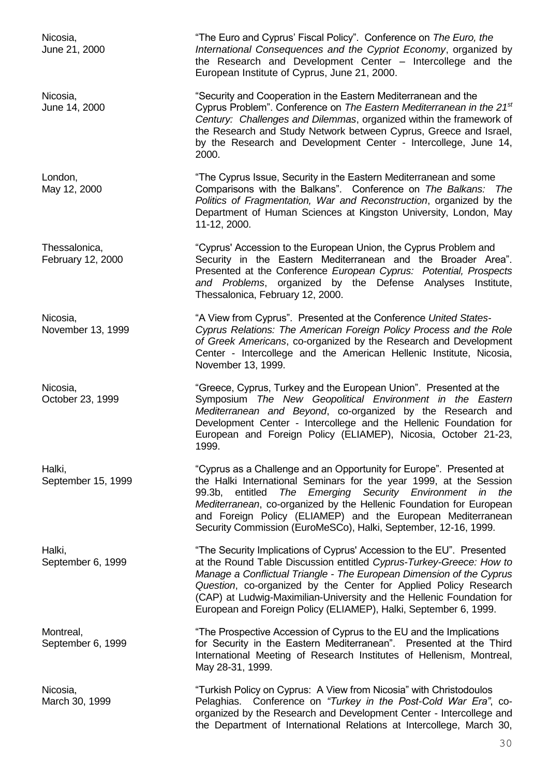Nicosia, "The Euro and Cyprus' Fiscal Policy". Conference on *The Euro, the*  June 21, 2000 *International Consequences and the Cypriot Economy*, organized by the Research and Development Center – Intercollege and the European Institute of Cyprus, June 21, 2000. Nicosia, "Security and Cooperation in the Eastern Mediterranean and the June 14, 2000 Cyprus Problem". Conference on *The Eastern Mediterranean in the 21st Century: Challenges and Dilemmas*, organized within the framework of the Research and Study Network between Cyprus, Greece and Israel, by the Research and Development Center - Intercollege, June 14, 2000. London, Europe of the Cyprus Issue, Security in the Eastern Mediterranean and some May 12, 2000 Comparisons with the Balkans". Conference on *The Balkans: The Politics of Fragmentation, War and Reconstruction*, organized by the Department of Human Sciences at Kingston University, London, May 11-12, 2000. Thessalonica, "Cyprus' Accession to the European Union, the Cyprus Problem and February 12, 2000 Security in the Eastern Mediterranean and the Broader Area". Presented at the Conference *European Cyprus: Potential, Prospects and Problems*, organized by the Defense Analyses Institute, Thessalonica, February 12, 2000. Nicosia, "A View from Cyprus". Presented at the Conference *United States-*November 13, 1999 *Cyprus Relations: The American Foreign Policy Process and the Role of Greek Americans*, co-organized by the Research and Development Center - Intercollege and the American Hellenic Institute, Nicosia, November 13, 1999. Nicosia, "Greece, Cyprus, Turkey and the European Union". Presented at the October 23, 1999 Symposium *The New Geopolitical Environment in the Eastern Mediterranean and Beyond*, co-organized by the Research and Development Center - Intercollege and the Hellenic Foundation for European and Foreign Policy (ELIAMEP), Nicosia, October 21-23, 1999. Halki, "Cyprus as a Challenge and an Opportunity for Europe". Presented at September 15, 1999 **the Halki International Seminars for the year 1999**, at the Session 99.3b, entitled *The Emerging Security Environment in the Mediterranean*, co-organized by the Hellenic Foundation for European and Foreign Policy (ELIAMEP) and the European Mediterranean Security Commission (EuroMeSCo), Halki, September, 12-16, 1999. Halki, "The Security Implications of Cyprus' Accession to the EU". Presented September 6, 1999 **at the Round Table Discussion entitled** *Cyprus-Turkey-Greece: How to* **September 6**, 1999 *Manage a Conflictual Triangle - The European Dimension of the Cyprus Question*, co-organized by the Center for Applied Policy Research (CAP) at Ludwig-Maximilian-University and the Hellenic Foundation for European and Foreign Policy (ELIAMEP), Halki, September 6, 1999. Montreal, The Prospective Accession of Cyprus to the EU and the Implications September 6, 1999 **For Security in the Eastern Mediterranean**". Presented at the Third International Meeting of Research Institutes of Hellenism, Montreal, May 28-31, 1999. Nicosia, Turkish Policy on Cyprus: A View from Nicosia" with Christodoulos March 30, 1999 Pelaghias. Conference on *"Turkey in the Post-Cold War Era"*, co-

> organized by the Research and Development Center - Intercollege and the Department of International Relations at Intercollege, March 30,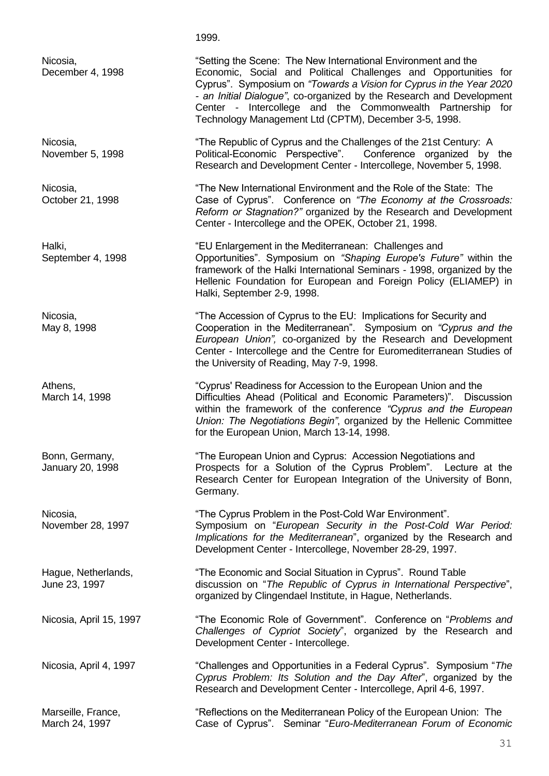1999.

Nicosia, "Setting the Scene: The New International Environment and the December 4, 1998 Economic, Social and Political Challenges and Opportunities for Cyprus". Symposium on *"Towards a Vision for Cyprus in the Year 2020 - an Initial Dialogue"*, co-organized by the Research and Development Center - Intercollege and the Commonwealth Partnership for Technology Management Ltd (CPTM), December 3-5, 1998.

Nicosia, "The Republic of Cyprus and the Challenges of the 21st Century: A November 5, 1998 Political-Economic Perspective". Conference organized by the Research and Development Center - Intercollege, November 5, 1998.

Nicosia, "The New International Environment and the Role of the State: The October 21, 1998 Case of Cyprus". Conference on *"The Economy at the Crossroads: Reform or Stagnation?"* organized by the Research and Development Center - Intercollege and the OPEK, October 21, 1998.

Halki, The Mediterranean: Challenges and "EU Enlargement in the Mediterranean: Challenges and September 4, 1998 Opportunities". Symposium on *"Shaping Europe's Future"* within the framework of the Halki International Seminars - 1998, organized by the Hellenic Foundation for European and Foreign Policy (ELIAMEP) in Halki, September 2-9, 1998.

Nicosia,<br>
May 8, 1998 **The Accession of Cyprus to the EU:** Implications for Security and<br>
May 8, 1998 **Cooperation** in the Mediterranean". Symposium on "Cyprus an Cooperation in the Mediterranean". Symposium on *"Cyprus and the European Union",* co-organized by the Research and Development Center - Intercollege and the Centre for Euromediterranean Studies of the University of Reading, May 7-9, 1998.

Athens, "Cyprus' Readiness for Accession to the European Union and the March 14, 1998 Difficulties Ahead (Political and Economic Parameters)". Discussion within the framework of the conference *"Cyprus and the European Union: The Negotiations Begin"*, organized by the Hellenic Committee for the European Union, March 13-14, 1998.

Bonn, Germany, The European Union and Cyprus: Accession Negotiations and January 20, 1998 **Prospects for a Solution of the Cyprus Problem**". Lecture at the Research Center for European Integration of the University of Bonn, Germany.

Nicosia, "The Cyprus Problem in the Post-Cold War Environment". November 28, 1997 Symposium on "*European Security in the Post-Cold War Period: Implications for the Mediterranean*", organized by the Research and Development Center - Intercollege, November 28-29, 1997.

Hague, Netherlands, "The Economic and Social Situation in Cyprus". Round Table June 23, 1997 discussion on "*The Republic of Cyprus in International Perspective*", organized by Clingendael Institute, in Hague, Netherlands.

Nicosia, April 15, 1997 "The Economic Role of Government". Conference on "*Problems and Challenges of Cypriot Society*", organized by the Research and Development Center - Intercollege.

Nicosia, April 4, 1997 "Challenges and Opportunities in a Federal Cyprus". Symposium "*The Cyprus Problem: Its Solution and the Day After*", organized by the Research and Development Center - Intercollege, April 4-6, 1997.

Marseille, France, "Reflections on the Mediterranean Policy of the European Union: The March 24, 1997 Case of Cyprus". Seminar "*Euro-Mediterranean Forum of Economic*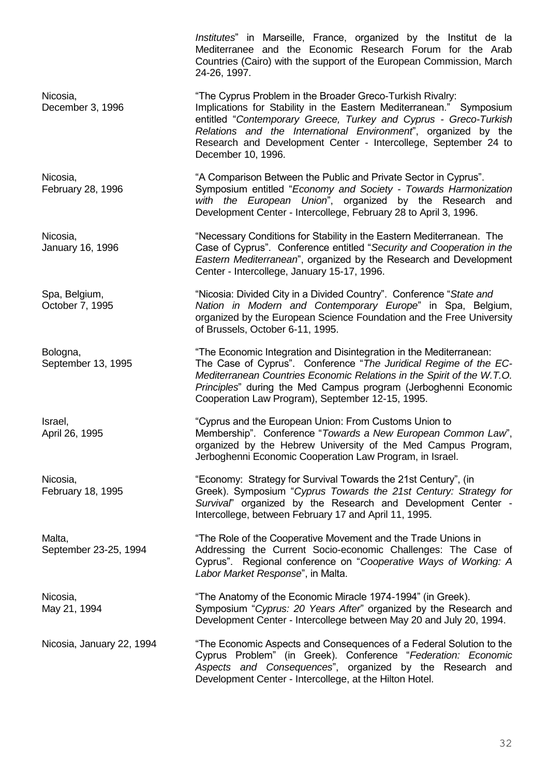*Institutes*" in Marseille, France, organized by the Institut de la Mediterranee and the Economic Research Forum for the Arab Countries (Cairo) with the support of the European Commission, March 24-26, 1997. Nicosia, The Cyprus Problem in the Broader Greco-Turkish Rivalry: December 3, 1996 **Implications for Stability in the Eastern Mediterranean.**" Symposium entitled "*Contemporary Greece, Turkey and Cyprus - Greco-Turkish Relations and the International Environment*", organized by the Research and Development Center - Intercollege, September 24 to December 10, 1996. Nicosia, The Matter of A Comparison Between the Public and Private Sector in Cyprus". February 28, 1996 Symposium entitled "*Economy and Society - Towards Harmonization with the European Union*", organized by the Research and Development Center - Intercollege, February 28 to April 3, 1996. Nicosia, The Micosia, "Necessary Conditions for Stability in the Eastern Mediterranean. The January 16, 1996 Case of Cyprus". Conference entitled "*Security and Cooperation in the Eastern Mediterranean*", organized by the Research and Development Center - Intercollege, January 15-17, 1996. Spa, Belgium, **"Nicosia: Divided City in a Divided Country**". Conference "State and October 7, 1995 *Nation in Modern and Contemporary Europe*" in Spa, Belgium, organized by the European Science Foundation and the Free University of Brussels, October 6-11, 1995. Bologna, The Economic Integration and Disintegration in the Mediterranean: September 13, 1995 The Case of Cyprus". Conference "The Juridical Regime of the EC-*Mediterranean Countries Economic Relations in the Spirit of the W.T.O. Principles*" during the Med Campus program (Jerboghenni Economic Cooperation Law Program), September 12-15, 1995. Israel, "Cyprus and the European Union: From Customs Union to April 26, 1995 Membership". Conference "*Towards a New European Common Law*", organized by the Hebrew University of the Med Campus Program, Jerboghenni Economic Cooperation Law Program, in Israel. Nicosia, The Survival Towards the 21st Century", (in the Survival Towards the 21st Century", (in February 18, 1995 Greek). Symposium "*Cyprus Towards the 21st Century: Strategy for Survival*" organized by the Research and Development Center - Intercollege, between February 17 and April 11, 1995. Malta, The Role of the Cooperative Movement and the Trade Unions in September 23-25, 1994 Addressing the Current Socio-economic Challenges: The Case of Cyprus". Regional conference on "*Cooperative Ways of Working: A Labor Market Response*", in Malta. Nicosia, The Anatomy of the Economic Miracle 1974-1994" (in Greek). May 21, 1994 **Symposium** "Cyprus: 20 Years After" organized by the Research and Development Center - Intercollege between May 20 and July 20, 1994. Nicosia, January 22, 1994 "The Economic Aspects and Consequences of a Federal Solution to the Cyprus Problem" (in Greek). Conference "*Federation: Economic Aspects and Consequences*", organized by the Research and Development Center - Intercollege, at the Hilton Hotel.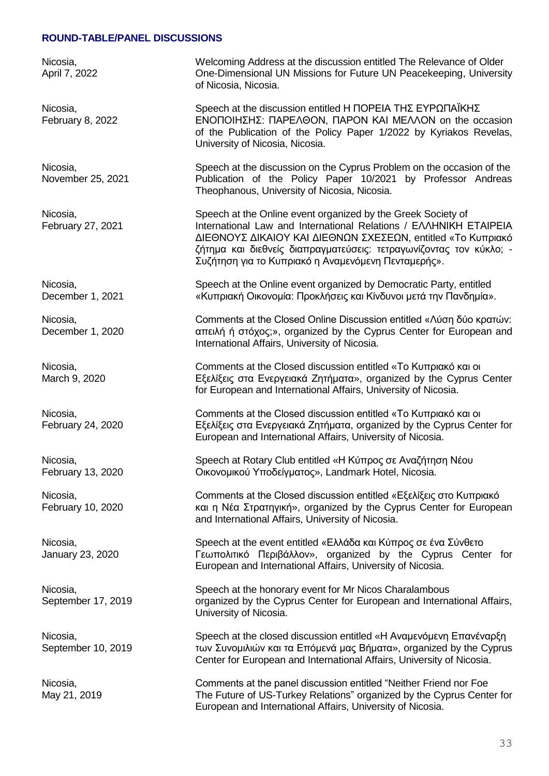#### **ROUND-TABLE/PANEL DISCUSSIONS**

Nicosia, Welcoming Address at the discussion entitled The Relevance of Older April 7, 2022 One-Dimensional UN Missions for Future UN Peacekeeping, University of Nicosia, Nicosia. Nicosia, Speech at the discussion entitled Η ΠΟΡΕΙΑ ΤΗΣ ΕΥΡΩΠΑΪΚΗΣ February 8, 2022 ΕΝΟΠΟΙΗΣΗΣ: ΠΑΡΕΛΘΟΝ, ΠΑΡΟΝ ΚΑΙ ΜΕΛΛΟΝ on the occasion of the Publication of the Policy Paper 1/2022 by Kyriakos Revelas, University of Nicosia, Nicosia. Nicosia, Speech at the discussion on the Cyprus Problem on the occasion of the November 25, 2021 **Publication of the Policy Paper 10/2021** by Professor Andreas Theophanous, University of Nicosia, Nicosia. Nicosia, Speech at the Online event organized by the Greek Society of February 27, 2021 International Law and International Relations / ΕΛΛΗΝΙΚΗ ΕΤΑΙΡΕΙΑ ΔΙΕΘΝΟΥΣ ΔΙΚΑΙΟΥ ΚΑΙ ΔΙΕΘΝΩΝ ΣΧΕΣΕΩΝ, entitled «Το Κυπριακό ζήτημα και διεθνείς διαπραγματεύσεις: τετραγωνίζοντας τον κύκλο; - Συζήτηση για το Κυπριακό η Αναμενόμενη Πενταμερής». Nicosia, Speech at the Online event organized by Democratic Party, entitled December 1, 2021 «Κυπριακή Οικονομία: Προκλήσεις και Κίνδυνοι μετά την Πανδημία». Nicosia, Comments at the Closed Online Discussion entitled «Λύση δύο κρατών: December 1, 2020 απειλή ή στόχος;», organized by the Cyprus Center for European and International Affairs, University of Nicosia. Nicosia, Comments at the Closed discussion entitled «Το Κυπριακό και οι March 9, 2020 **Εξελίξεις στα Ενεργειακά Ζητήματα»**, organized by the Cyprus Center for European and International Affairs, University of Nicosia. Nicosia, Comments at the Closed discussion entitled «Το Κυπριακό και οι Εξελίξεις στα Ενεργειακά Ζητήματα, organized by the Cyprus Center for European and International Affairs, University of Nicosia. Nicosia, Speech at Rotary Club entitled «Η Κύπρος σε Αναζήτηση Νέου February 13, 2020 Οικονομικού Υποδείγματος», Landmark Hotel, Nicosia. Nicosia, Comments at the Closed discussion entitled «Εξελίξεις στο Κυπριακό February 10, 2020 και η Νέα Στρατηγική», organized by the Cyprus Center for European and International Affairs, University of Nicosia. Nicosia, Speech at the event entitled «Ελλάδα και Κύπρος σε ένα Σύνθετο January 23, 2020 Γεωπολιτικό Περιβάλλον», organized by the Cyprus Center for European and International Affairs, University of Nicosia. Nicosia, Speech at the honorary event for Mr Nicos Charalambous September 17, 2019 **September 17, 2019 organized by the Cyprus Center for European and International Affairs,** University of Nicosia. Nicosia, Speech at the closed discussion entitled «Η Αναμενόμενη Επανέναρξη September 10, 2019 των Συνομιλιών και τα Επόμενά μας Βήματα», organized by the Cyprus Center for European and International Affairs, University of Nicosia. Nicosia, Comments at the panel discussion entitled "Neither Friend nor Foe May 21, 2019 The Future of US-Turkey Relations" organized by the Cyprus Center for European and International Affairs, University of Nicosia.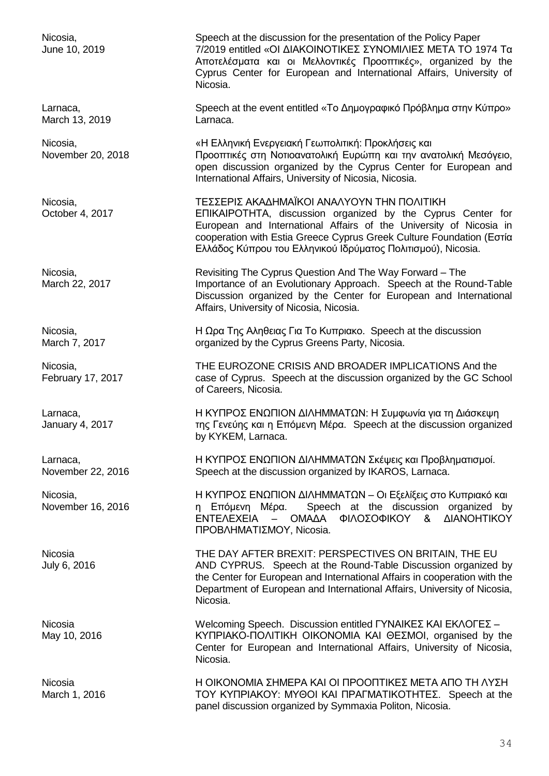Nicosia, Speech at the discussion for the presentation of the Policy Paper June 10, 2019 7/2019 entitled «ΟΙ ΔΙΑΚΟΙΝΟΤΙΚΕΣ ΣΥΝΟΜΙΛΙΕΣ ΜΕΤΑ ΤΟ 1974 Τα Αποτελέσματα και οι Μελλοντικές Προοπτικές», organized by the Cyprus Center for European and International Affairs, University of Nicosia. Larnaca, Speech at the event entitled «Το Δημογραφικό Πρόβλημα στην Κύπρο» March 13, 2019 Larnaca. Nicosia, «Η Ελληνική Ενεργειακή Γεωπολιτική: Προκλήσεις και November 20, 2018 Προοπτικές στη Νοτιοανατολική Ευρώπη και την ανατολική Μεσόγειο, open discussion organized by the Cyprus Center for European and International Affairs, University of Nicosia, Nicosia. Nicosia, ΤΕΣΣΕΡΙΣ ΑΚΑΔΗΜΑΪΚΟΙ ΑΝΑΛΥΟΥΝ ΤΗΝ ΠΟΛΙΤΙΚΗ October 4, 2017 ΕΠΙΚΑΙΡΟΤΗΤΑ, discussion organized by the Cyprus Center for European and International Affairs of the University of Nicosia in cooperation with Estia Greece Cyprus Greek Culture Foundation (Εστία Ελλάδος Κύπρου του Ελληνικού Ιδρύματος Πολιτισμού), Nicosia. Nicosia, Revisiting The Cyprus Question And The Way Forward – The March 22, 2017 **Importance of an Evolutionary Approach.** Speech at the Round-Table Discussion organized by the Center for European and International Affairs, University of Nicosia, Nicosia. Nicosia, Η Ωρα Της Αληθειας Για Το Κυπριακο. Speech at the discussion March 7, 2017 **Cancer Cyprus Greens Party, Nicosia.** organized by the Cyprus Greens Party, Nicosia. Nicosia, THE EUROZONE CRISIS AND BROADER IMPLICATIONS And the February 17, 2017 case of Cyprus. Speech at the discussion organized by the GC School of Careers, Nicosia. Larnaca, entitled το H ΚΥΠΡΟΣ ΕΝΩΠΙΟΝ ΔΙΛΗΜΜΑΤΩΝ: Η Συμφωνία για τη Διάσκεψη January 4, 2017 **Γραμματικό της Γενεύης και η Επόμενη Μέρα.** Speech at the discussion organized by KYKEM, Larnaca. Larnaca, Η ΚΥΠΡΟΣ ΕΝΩΠΙΟΝ ΔΙΛΗΜΜΑΤΩΝ Σκέψεις και Προβληματισμοί. November 22, 2016 Speech at the discussion organized by IKAROS, Larnaca. Nicosia, Η ΚΥΠΡΟΣ ΕΝΩΠΙΟΝ ΔΙΛΗΜΜΑΤΩΝ – Οι Εξελίξεις στο Κυπριακό και November 16, 2016 **η Επόμενη Μέρα.** Speech at the discussion organized by ΕΝΤΕΛΕΧΕΙΑ – ΟΜΑΔΑ ΦΙΛΟΣΟΦΙΚΟΥ & ΔΙΑΝΟΗΤΙΚΟΥ ΠΡΟΒΛΗΜΑΤΙΣΜΟΥ, Nicosia. Nicosia THE DAY AFTER BREXIT: PERSPECTIVES ON BRITAIN, THE EU<br>July 6. 2016 1991 AND CYPRUS. Speech at the Round-Table Discussion organized AND CYPRUS. Speech at the Round-Table Discussion organized by the Center for European and International Affairs in cooperation with the Department of European and International Affairs, University of Nicosia, Nicosia. Nicosia Welcoming Speech. Discussion entitled ΓΥΝΑΙΚΕΣ ΚΑΙ ΕΚΛΟΓΕΣ – May 10, 2016 *KYΠΡΙΑΚΟ-ΠΟΛΙΤΙΚΗ ΟΙΚΟΝΟΜΙΑ ΚΑΙ ΘΕΣΜΟΙ, organised by the* Center for European and International Affairs, University of Nicosia, Nicosia. Nicosia Η ΟΙΚΟΝΟΜΙΑ ΣΗΜΕΡΑ ΚΑΙ ΟΙ ΠΡΟΟΠΤΙΚΕΣ ΜΕΤΑ ΑΠΟ ΤΗ ΛΥΣΗ March 1, 2016 TOY ΚΥΠΡΙΑΚΟΥ: ΜΥΘΟΙ ΚΑΙ ΠΡΑΓΜΑΤΙΚΟΤΗΤΕΣ. Speech at the

panel discussion organized by Symmaxia Politon, Nicosia.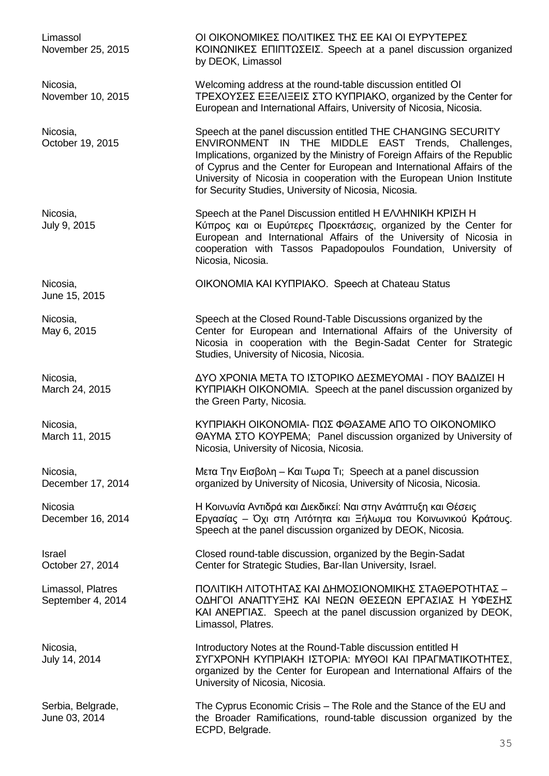June 15, 2015

Limassol ΟΙ ΟΙΚΟΝΟΜΙΚΕΣ ΠΟΛΙΤΙΚΕΣ ΤΗΣ ΕΕ ΚΑΙ ΟΙ ΕΥΡΥΤΕΡΕΣ November 25, 2015 ΚΟΙΝΩΝΙΚΕΣ ΕΠΙΠΤΩΣΕΙΣ. Speech at a panel discussion organized by DEOK, Limassol

Nicosia, Welcoming address at the round-table discussion entitled ΟΙ November 10, 2015 TPEXOΥΣΕΣ ΕΞΕΛΙΞΕΙΣ ΣΤΟ ΚΥΠΡΙΑΚΟ, organized by the Center for European and International Affairs, University of Nicosia, Nicosia.

Nicosia, Speech at the panel discussion entitled THE CHANGING SECURITY October 19, 2015 ENVIRONMENT IN THE MIDDLE EAST Trends, Challenges, Implications, organized by the Ministry of Foreign Affairs of the Republic of Cyprus and the Center for European and International Affairs of the University of Nicosia in cooperation with the European Union Institute for Security Studies, University of Nicosia, Nicosia.

Nicosia, Speech at the Panel Discussion entitled Η ΕΛΛΗΝΙΚΗ ΚΡΙΣΗ Η July 9, 2015 Κύπρος και οι Ευρύτερες Προεκτάσεις, organized by the Center for European and International Affairs of the University of Nicosia in cooperation with Tassos Papadopoulos Foundation, University of Nicosia, Nicosia.

Nicosia, ΟΙΚΟΝΟΜΙΑ ΚΑΙ ΚΥΠΡΙΑΚΟ. Speech at [Chateau Status](https://www.facebook.com/pages/Chateau-Status/239985992679088)

Nicosia, Speech at the Closed Round-Table Discussions organized by the May 6, 2015 **Center for European and International Affairs of the University of** Nicosia in cooperation with the Begin-Sadat Center for Strategic Studies, University of Nicosia, Nicosia.

Nicosia, ΔΥΟ ΧΡΟΝΙΑ ΜΕΤΑ ΤΟ ΙΣΤΟΡΙΚΟ ΔΕΣΜΕΥΟΜΑΙ - ΠΟΥ ΒΑΔΙΖΕΙ Η March 24, 2015 **ΚΥΠΡΙΑΚΗ ΟΙΚΟΝΟΜΙΑ.** Speech at the panel discussion organized by the Green Party, Nicosia.

Nicosia, ΚΥΠΡΙΑΚΗ ΟΙΚΟΝΟΜΙΑ- ΠΩΣ ΦΘΑΣΑΜΕ ΑΠΟ ΤΟ ΟΙΚΟΝΟΜΙΚΟ March 11, 2015 ΘΑΥΜΑ ΣΤΟ ΚΟΥΡΕΜΑ; Panel discussion organized by University of Nicosia, University of Nicosia, Nicosia.

Nicosia, Μετα Την Εισβολη – Και Τωρα Τι; Speech at a panel discussion December 17, 2014 organized by University of Nicosia, University of Nicosia, Nicosia.

Nicosia Η Κοινωνία Αντιδρά και Διεκδικεί: Ναι στην Ανάπτυξη και Θέσεις December 16, 2014 **Εργασίας - Όχι στη Λιτότητα και Ξήλωμα του Κοινωνικού Κράτους.** Speech at the panel discussion organized by DEOK, Nicosia.

Israel Closed round-table discussion, organized by the Begin-Sadat<br>October 27. 2014 Center for Strategic Studies, Bar-Ilan University, Israel. Center for Strategic Studies, Bar-Ilan University, Israel.

Limassol, Platres ΠΟΛΙΤΙΚΗ ΛΙΤΟΤΗΤΑΣ ΚΑΙ ΔΗΜΟΣΙΟΝΟΜΙΚΗΣ ΣΤΑΘΕΡΟΤΗΤΑΣ – September 4, 2014 ΟΔΗΓΟΙ ΑΝΑΠΤΥΞΗΣ ΚΑΙ ΝΕΩΝ ΘΕΣΕΩΝ ΕΡΓΑΣΙΑΣ Η ΥΦΕΣΗΣ ΚΑΙ ΑΝΕΡΓΙΑΣ. Speech at the panel discussion organized by DEOK, Limassol, Platres.

Nicosia, Introductory Notes at the Round-Table discussion entitled Η July 14, 2014 ΣΥΓΧΡΟΝΗ ΚΥΠΡΙΑΚΗ ΙΣΤΟΡΙΑ: ΜΥΘΟΙ ΚΑΙ ΠΡΑΓΜΑΤΙΚΟΤΗΤΕΣ, organized by the Center for European and International Affairs of the University of Nicosia, Nicosia.

Serbia, Belgrade, The Cyprus Economic Crisis – The Role and the Stance of the EU and June 03, 2014 the Broader Ramifications, round-table discussion organized by the ECPD, Belgrade.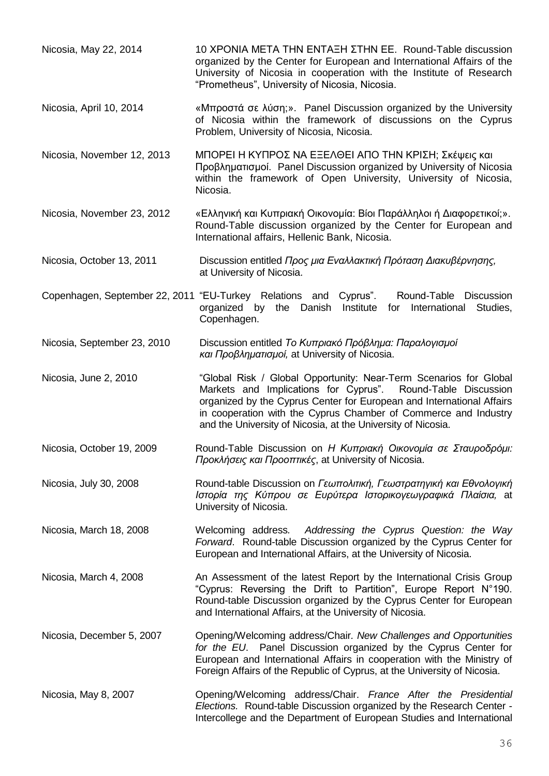- Nicosia, May 22, 2014 10 ΧΡΟΝΙΑ ΜΕΤΑ ΤΗΝ ΕΝΤΑΞΗ ΣΤΗΝ ΕΕ. Round-Table discussion organized by the Center for European and International Affairs of the University of Nicosia in cooperation with the Institute of Research "Prometheus", University of Nicosia, Nicosia.
- Nicosia, April 10, 2014 «Μπροστά σε λύση;». Panel Discussion organized by the University of Nicosia within the framework of discussions on the Cyprus Problem, University of Nicosia, Nicosia.
- Nicosia, November 12, 2013 ΜΠΟΡΕΙ Η ΚΥΠΡΟΣ ΝΑ ΕΞΕΛΘΕΙ ΑΠΟ ΤΗΝ ΚΡΙΣΗ; Σκέψεις και Προβληματισμοί. Panel Discussion organized by University of Nicosia within the framework of Open University, University of Nicosia, Nicosia.
- Nicosia, November 23, 2012 «Ελληνική και Κυπριακή Οικονομία: Βίοι Παράλληλοι ή Διαφορετικοί;». Round-Table discussion organized by the Center for European and International affairs, Hellenic Bank, Nicosia.
- Nicosia, October 13, 2011 Discussion entitled *Προς μια Εναλλακτική Πρόταση Διακυβέρνησης,* at University of Nicosia.
- Copenhagen, September 22, 2011 "EU-Turkey Relations and Cyprus". Round-Table Discussion organized by the Danish Institute for International Studies, Copenhagen.
- Nicosia, September 23, 2010 Discussion entitled *Το Κυπριακό Πρόβλημα: Παραλογισμοί και Προβληματισμοί,* at University of Nicosia.
- Nicosia, June 2, 2010 "Global Risk / Global Opportunity: Near-Term Scenarios for Global Markets and Implications for Cyprus". Round-Table Discussion organized by the Cyprus Center for European and International Affairs in cooperation with the Cyprus Chamber of Commerce and Industry and the University of Nicosia, at the University of Nicosia.
- Nicosia, October 19, 2009 Round-Table Discussion on *H Κυπριακή Οικονομία σε Σταυροδρόμι: Προκλήσεις και Προοπτικές*, at University of Nicosia.
- Nicosia, July 30, 2008 Round-table Discussion on *Γεωπολιτική, Γεωστρατηγική και Εθνολογική Ιστορία της Κύπρου σε Ευρύτερα Ιστορικογεωγραφικά Πλαίσια,* at University of Nicosia.
- Nicosia, March 18, 2008 Welcoming address*. Addressing the Cyprus Question: the Way Forward*. Round-table Discussion organized by the Cyprus Center for European and International Affairs, at the University of Nicosia.
- Nicosia, March 4, 2008 An Assessment of the latest Report by the International Crisis Group "Cyprus: Reversing the Drift to Partition", Europe Report N°190. Round-table Discussion organized by the Cyprus Center for European and International Affairs, at the University of Nicosia.
- Nicosia, December 5, 2007 Opening/Welcoming address/Chair*. New Challenges and Opportunities for the EU*. Panel Discussion organized by the Cyprus Center for European and International Affairs in cooperation with the Ministry of Foreign Affairs of the Republic of Cyprus, at the University of Nicosia.
- Nicosia, May 8, 2007 Opening/Welcoming address/Chair. *France After the Presidential Elections.* Round-table Discussion organized by the Research Center - Intercollege and the Department of European Studies and International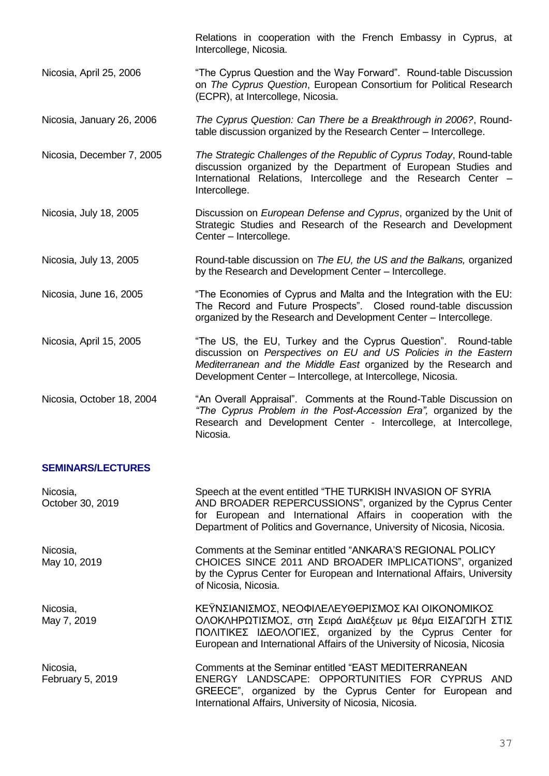Relations in cooperation with the French Embassy in Cyprus, at Intercollege, Nicosia. Nicosia, April 25, 2006 "The Cyprus Question and the Way Forward". Round-table Discussion on *The Cyprus Question*, European Consortium for Political Research (ECPR), at Intercollege, Nicosia. Nicosia, January 26, 2006 *The Cyprus Question: Can There be a Breakthrough in 2006?*, Roundtable discussion organized by the Research Center – Intercollege. Nicosia, December 7, 2005 *The Strategic Challenges of the Republic of Cyprus Today*, Round-table discussion organized by the Department of European Studies and International Relations, Intercollege and the Research Center – Intercollege. Nicosia, July 18, 2005 Discussion on *European Defense and Cyprus*, organized by the Unit of Strategic Studies and Research of the Research and Development Center – Intercollege. Nicosia, July 13, 2005 Round-table discussion on *The EU, the US and the Balkans,* organized by the Research and Development Center – Intercollege. Nicosia, June 16, 2005 "The Economies of Cyprus and Malta and the Integration with the EU: The Record and Future Prospects". Closed round-table discussion organized by the Research and Development Center – Intercollege. Nicosia, April 15, 2005 "The US, the EU, Turkey and the Cyprus Question". Round-table discussion on *Perspectives on EU and US Policies in the Eastern Mediterranean and the Middle East* organized by the Research and Development Center – Intercollege, at Intercollege, Nicosia. Nicosia, October 18, 2004 "An Overall Appraisal". Comments at the Round-Table Discussion on *"The Cyprus Problem in the Post-Accession Era",* organized by the Research and Development Center - Intercollege, at Intercollege, Nicosia.

#### **SEMINARS/LECTURES**

| Nicosia,<br>October 30, 2019 | Speech at the event entitled "THE TURKISH INVASION OF SYRIA<br>AND BROADER REPERCUSSIONS", organized by the Cyprus Center<br>for European and International Affairs in cooperation with the<br>Department of Politics and Governance, University of Nicosia, Nicosia. |
|------------------------------|-----------------------------------------------------------------------------------------------------------------------------------------------------------------------------------------------------------------------------------------------------------------------|
| Nicosia,<br>May 10, 2019     | Comments at the Seminar entitled "ANKARA'S REGIONAL POLICY<br>CHOICES SINCE 2011 AND BROADER IMPLICATIONS", organized<br>by the Cyprus Center for European and International Affairs, University<br>of Nicosia, Nicosia.                                              |
| Nicosia,<br>May 7, 2019      | ΚΕΫΝΣΙΑΝΙΣΜΟΣ, ΝΕΟΦΙΛΕΛΕΥΘΕΡΙΣΜΟΣ ΚΑΙ ΟΙΚΟΝΟΜΙΚΟΣ<br>ΟΛΟΚΛΗΡΩΤΙΣΜΟΣ, στη Σειρά Διαλέξεων με θέμα ΕΙΣΑΓΩΓΗ ΣΤΙΣ<br>ΠΟΛΙΤΙΚΕΣ ΙΔΕΟΛΟΓΙΕΣ, organized by the Cyprus Center for<br>European and International Affairs of the University of Nicosia, Nicosia                |
| Nicosia,<br>February 5, 2019 | Comments at the Seminar entitled "EAST MEDITERRANEAN<br>ENERGY LANDSCAPE: OPPORTUNITIES FOR CYPRUS AND<br>GREECE", organized by the Cyprus Center for European and<br>International Affairs, University of Nicosia, Nicosia.                                          |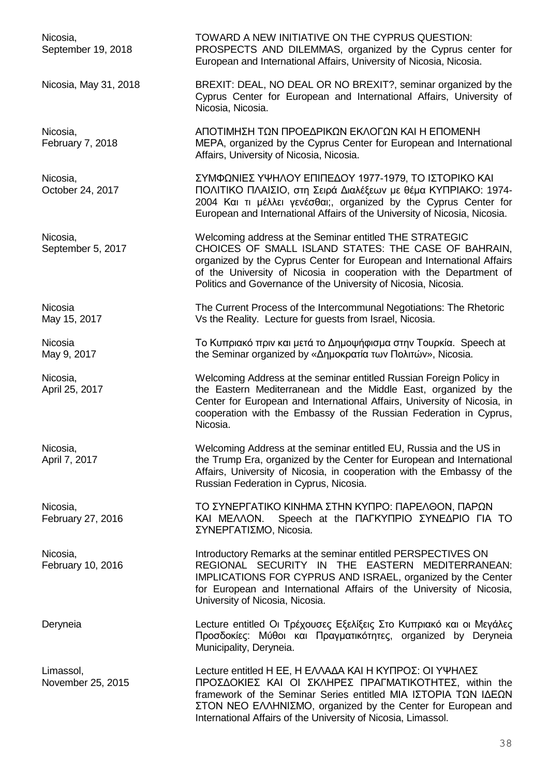Nicosia, TOWARD A NEW INITIATIVE ON THE CYPRUS QUESTION: September 19, 2018 **PROSPECTS** AND DILEMMAS, organized by the Cyprus center for European and International Affairs, University of Nicosia, Nicosia. Nicosia, May 31, 2018 BREXIT: DEAL, NO DEAL OR NO BREXIT?, seminar organized by the Cyprus Center for European and International Affairs, University of Nicosia, Nicosia. Nicosia, ΑΠΟΤΙΜΗΣΗ ΤΩΝ ΠΡΟΕΔΡΙΚΩΝ ΕΚΛΟΓΩΝ ΚΑΙ Η ΕΠΟΜΕΝΗ February 7, 2018 **MEPA, organized by the Cyprus Center for European and International** Affairs, University of Nicosia, Nicosia. Nicosia, ΣΥΜΦΩΝΙΕΣ ΥΨΗΛΟΥ ΕΠΙΠΕΔΟΥ 1977-1979, ΤΟ ΙΣΤΟΡΙΚΟ ΚΑΙ October 24, 2017 ΠΟΛΙΤΙΚΟ ΠΛΑΙΣΙΟ, στη Σειρά Διαλέξεων με θέμα ΚΥΠΡΙΑΚΟ: 1974- 2004 Και τι μέλλει γενέσθαι;, organized by the Cyprus Center for European and International Affairs of the University of Nicosia, Nicosia. Nicosia, Welcoming address at the Seminar entitled THE STRATEGIC September 5, 2017 CHOICES OF SMALL ISLAND STATES: THE CASE OF BAHRAIN, organized by the Cyprus Center for European and International Affairs of the University of Nicosia in cooperation with the Department of Politics and Governance of the University of Nicosia, Nicosia. Nicosia The Current Process of the Intercommunal Negotiations: The Rhetoric May 15, 2017 **Vs the Reality. Lecture for quests from Israel, Nicosia.** Nicosia **Το Κυπριακό πριν και μετά το Δημοψήφισμα στην Τουρκία.** Speech at May 9, 2017 **the Seminar organized by «Δημοκρατία των Πολιτών», Nicosia.** Nicosia, Welcoming Address at the seminar entitled Russian Foreign Policy in April 25, 2017 **the Eastern Mediterranean and the Middle East, organized by the** Center for European and International Affairs, University of Nicosia, in cooperation with the Embassy of the Russian Federation in Cyprus, Nicosia. Nicosia, Welcoming Address at the seminar entitled EU, Russia and the US in April 7, 2017 **the Trump Era, organized by the Center for European and International** Affairs, University of Nicosia, in cooperation with the Embassy of the Russian Federation in Cyprus, Nicosia. Nicosia, ΤΟ ΣΥΝΕΡΓΑΤΙΚΟ ΚΙΝΗΜΑ ΣΤΗΝ ΚΥΠΡΟ: ΠΑΡΕΛΘΟΝ, ΠΑΡΩΝ February 27, 2016 ΚΑΙ ΜΕΛΛΟΝ. Speech at the ΠΑΓΚΥΠΡΙΟ ΣΥΝΕΔΡΙΟ ΓΙΑ ΤΟ ΣΥΝΕΡΓΑΤΙΣΜΟ, Nicosia. Nicosia, Introductory Remarks at the seminar entitled PERSPECTIVES ON February 10, 2016 **REGIONAL SECURITY IN THE EASTERN MEDITERRANEAN:** IMPLICATIONS FOR CYPRUS AND ISRAEL, organized by the Center for European and International Affairs of the University of Nicosia, University of Nicosia, Nicosia. Deryneia Lecture entitled Οι Τρέχουσες Εξελίξεις Στο Κυπριακό και οι Μεγάλες Προσδοκίες: Μύθοι και Πραγματικότητες, organized by Deryneia Municipality, Deryneia. Limassol, Lecture entitled Η ΕΕ, Η ΕΛΛΑΔΑ ΚΑΙ Η ΚΥΠΡΟΣ: ΟΙ ΥΨΗΛΕΣ November 25, 2015 ΠΡΟΣΔΟΚΙΕΣ ΚΑΙ ΟΙ ΣΚΛΗΡΕΣ ΠΡΑΓΜΑΤΙΚΟΤΗΤΕΣ, within the framework of the Seminar Series entitled ΜΙΑ ΙΣΤΟΡΙΑ ΤΩΝ ΙΔΕΩΝ ΣΤΟΝ ΝΕΟ ΕΛΛΗΝΙΣΜΟ, organized by the Center for European and International Affairs of the University of Nicosia, Limassol.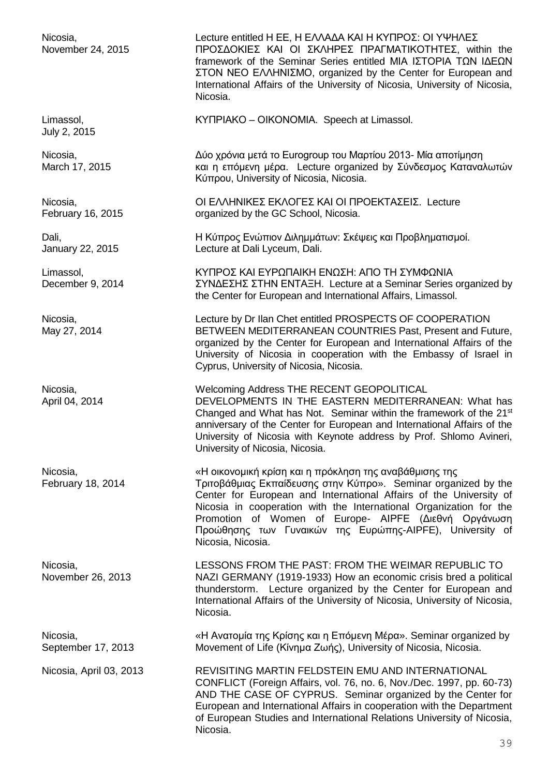Nicosia, Lecture entitled Η ΕΕ, Η ΕΛΛΑΔΑ ΚΑΙ Η ΚΥΠΡΟΣ: ΟΙ ΥΨΗΛΕΣ November 24, 2015 ΠΡΟΣΔΟΚΙΕΣ ΚΑΙ ΟΙ ΣΚΛΗΡΕΣ ΠΡΑΓΜΑΤΙΚΟΤΗΤΕΣ, within the framework of the Seminar Series entitled ΜΙΑ ΙΣΤΟΡΙΑ ΤΩΝ ΙΔΕΩΝ ΣΤΟΝ ΝΕΟ ΕΛΛΗΝΙΣΜΟ, organized by the Center for European and International Affairs of the University of Nicosia, University of Nicosia, Nicosia. Limassol, ΚΥΠΡΙΑΚΟ – ΟΙΚΟΝΟΜΙΑ. Speech at Limassol. July 2, 2015 Nicosia, Δύο χρόνια μετά το Eurogroup του Μαρτίου 2013- Μία αποτίμηση March 17, 2015 **Και η επόμενη μέρα.** Lecture organized by Σύνδεσμος Καταναλωτών Κύπρου, University of Nicosia, Nicosia. Nicosia, ΟΙ ΕΛΛΗΝΙΚΕΣ ΕΚΛΟΓΕΣ ΚΑΙ ΟΙ ΠΡΟΕΚΤΑΣΕΙΣ. Lecture February 16, 2015 **Canadian Exercise School**, Nicosia. Dali, Η Κύπρος Ενώπιον Διλημμάτων: Σκέψεις και Προβληματισμοί. January 22, 2015 Lecture at Dali Lyceum, Dali. Limassol, ΚΥΠΡΟΣ ΚΑΙ ΕΥΡΩΠΑΙΚΗ ΕΝΩΣΗ: ΑΠΟ ΤΗ ΣΥΜΦΩΝΙΑ December 9, 2014 ΣΥΝΔΕΣΗΣ ΣΤΗΝ ΕΝΤΑΞΗ. Lecture at a Seminar Series organized by the Center for European and International Affairs, Limassol. Nicosia, Lecture by Dr Ilan Chet entitled PROSPECTS OF COOPERATION May 27, 2014 **BETWEEN MEDITERRANEAN COUNTRIES Past, Present and Future,** organized by the Center for European and International Affairs of the University of Nicosia in cooperation with the Embassy of Israel in Cyprus, University of Nicosia, Nicosia. Nicosia, Welcoming Address THE RECENT GEOPOLITICAL April 04, 2014 **DEVELOPMENTS IN THE EASTERN MEDITERRANEAN:** What has Changed and What has Not. Seminar within the framework of the 21<sup>st</sup> anniversary of the Center for European and International Affairs of the University of Nicosia with Keynote address by Prof. Shlomo Avineri, University of Nicosia, Nicosia. Nicosia, «Η οικονομική κρίση και η πρόκληση της αναβάθμισης της February 18, 2014 Τριτοβάθμιας Εκπαίδευσης στην Κύπρο». Seminar organized by the Center for European and International Affairs of the University of Nicosia in cooperation with the International Organization for the Promotion of Women of Europe- AIPFE (Διεθνή Οργάνωση Προώθησης των Γυναικών της Ευρώπης-AIPFE), University of Nicosia, Nicosia. Nicosia, LESSONS FROM THE PAST: FROM THE WEIMAR REPUBLIC TO November 26, 2013 NAZI GERMANY (1919-1933) How an economic crisis bred a political thunderstorm. Lecture organized by the Center for European and International Affairs of the University of Nicosia, University of Nicosia, Nicosia. Nicosia, «Η Ανατομία της Κρίσης και η Επόμενη Μέρα». Seminar organized by September 17, 2013 Movement of Life (Κίνημα Ζωής), University of Nicosia, Nicosia. Nicosia, April 03, 2013 REVISITING MARTIN FELDSTEIN EMU AND INTERNATIONAL CONFLICT (Foreign Affairs, vol. 76, no. 6, Nov./Dec. 1997, pp. 60-73) AND THE CASE OF CYPRUS. Seminar organized by the Center for European and International Affairs in cooperation with the Department of European Studies and International Relations University of Nicosia, Nicosia.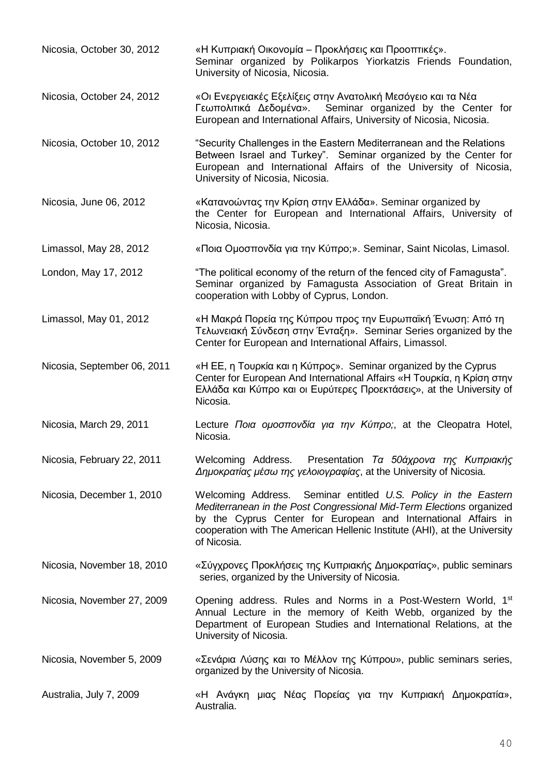| Nicosia, October 30, 2012   | «Η Κυπριακή Οικονομία – Προκλήσεις και Προοπτικές».<br>Seminar organized by Polikarpos Yiorkatzis Friends Foundation,<br>University of Nicosia, Nicosia.                                                                                                                                             |
|-----------------------------|------------------------------------------------------------------------------------------------------------------------------------------------------------------------------------------------------------------------------------------------------------------------------------------------------|
| Nicosia, October 24, 2012   | «Οι Ενεργειακές Εξελίξεις στην Ανατολική Μεσόγειο και τα Νέα<br>Γεωπολιτικά Δεδομένα».<br>Seminar organized by the Center for<br>European and International Affairs, University of Nicosia, Nicosia.                                                                                                 |
| Nicosia, October 10, 2012   | "Security Challenges in the Eastern Mediterranean and the Relations<br>Between Israel and Turkey". Seminar organized by the Center for<br>European and International Affairs of the University of Nicosia,<br>University of Nicosia, Nicosia.                                                        |
| Nicosia, June 06, 2012      | «Κατανοώντας την Κρίση στην Ελλάδα». Seminar organized by<br>the Center for European and International Affairs, University of<br>Nicosia, Nicosia.                                                                                                                                                   |
| Limassol, May 28, 2012      | «Ποια Ομοσπονδία για την Κύπρο;». Seminar, Saint Nicolas, Limasol.                                                                                                                                                                                                                                   |
| London, May 17, 2012        | "The political economy of the return of the fenced city of Famagusta".<br>Seminar organized by Famagusta Association of Great Britain in<br>cooperation with Lobby of Cyprus, London.                                                                                                                |
| Limassol, May 01, 2012      | «Η Μακρά Πορεία της Κύπρου προς την Ευρωπαϊκή Ένωση: Από τη<br>Τελωνειακή Σύνδεση στην Ένταξη». Seminar Series organized by the<br>Center for European and International Affairs, Limassol.                                                                                                          |
| Nicosia, September 06, 2011 | «Η ΕΕ, η Τουρκία και η Κύπρος». Seminar organized by the Cyprus<br>Center for European And International Affairs «Η Τουρκία, η Κρίση στην<br>Ελλάδα και Κύπρο και οι Ευρύτερες Προεκτάσεις», at the University of<br>Nicosia.                                                                        |
| Nicosia, March 29, 2011     | Lecture Ποια ομοσπονδία για την Κύπρο;, at the Cleopatra Hotel,<br>Nicosia.                                                                                                                                                                                                                          |
| Nicosia, February 22, 2011  | Welcoming Address. Presentation Τα 50άχρονα της Κυπριακής<br>Δημοκρατίας μέσω της γελοιογραφίας, at the University of Nicosia.                                                                                                                                                                       |
| Nicosia, December 1, 2010   | Welcoming Address. Seminar entitled U.S. Policy in the Eastern<br>Mediterranean in the Post Congressional Mid-Term Elections organized<br>by the Cyprus Center for European and International Affairs in<br>cooperation with The American Hellenic Institute (AHI), at the University<br>of Nicosia. |
| Nicosia, November 18, 2010  | «Σύγχρονες Προκλήσεις της Κυπριακής Δημοκρατίας», public seminars<br>series, organized by the University of Nicosia.                                                                                                                                                                                 |
| Nicosia, November 27, 2009  | Opening address. Rules and Norms in a Post-Western World, 1 <sup>st</sup><br>Annual Lecture in the memory of Keith Webb, organized by the<br>Department of European Studies and International Relations, at the<br>University of Nicosia.                                                            |
| Nicosia, November 5, 2009   | «Σενάρια Λύσης και το Μέλλον της Κύπρου», public seminars series,<br>organized by the University of Nicosia.                                                                                                                                                                                         |
| Australia, July 7, 2009     | «Η Ανάγκη μιας Νέας Πορείας για την Κυπριακή Δημοκρατία»,<br>Australia.                                                                                                                                                                                                                              |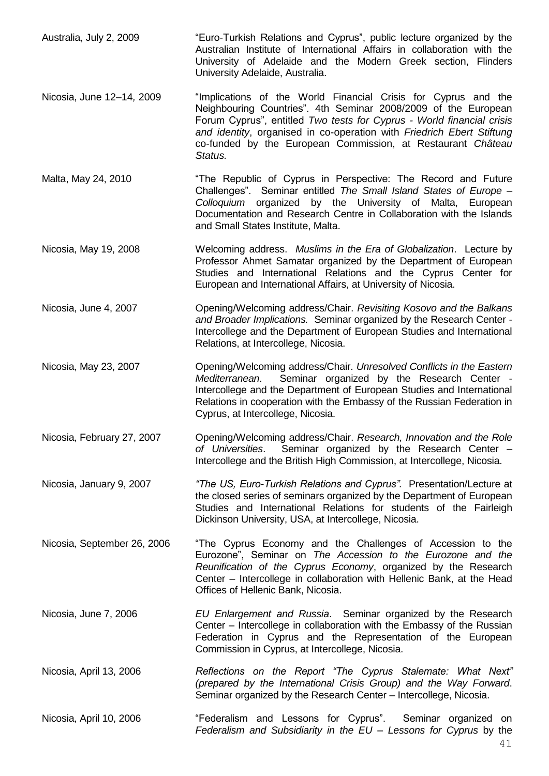- Australia, July 2, 2009 "Euro-Turkish Relations and Cyprus", public lecture organized by the Australian Institute of International Affairs in collaboration with the University of Adelaide and the Modern Greek section, Flinders University Adelaide, Australia.
- Nicosia, June 12–14*,* 2009 "Implications of the World Financial Crisis for Cyprus and the Neighbouring Countries". 4th Seminar 2008/2009 of the European Forum Cyprus", entitled *Two tests for Cyprus - World financial crisis and identity*, organised in co-operation with *Friedrich Ebert Stiftung* co-funded by the European Commission, at Restaurant *Château Status.*
- Malta, May 24, 2010 **"The Republic of Cyprus in Perspective: The Record and Future** Challenges". Seminar entitled *The Small Island States of Europe – Colloquium* organized by the University of Malta, European Documentation and Research Centre in Collaboration with the Islands and Small States Institute, Malta.
- Nicosia, May 19, 2008 Welcoming address. *Muslims in the Era of Globalization*. Lecture by Professor Ahmet Samatar organized by the Department of European Studies and International Relations and the Cyprus Center for European and International Affairs, at University of Nicosia.
- Nicosia, June 4, 2007 Opening/Welcoming address/Chair. *Revisiting Kosovo and the Balkans and Broader Implications.* Seminar organized by the Research Center - Intercollege and the Department of European Studies and International Relations, at Intercollege, Nicosia.
- Nicosia, May 23, 2007 Opening/Welcoming address/Chair. *Unresolved Conflicts in the Eastern Mediterranean*. Seminar organized by the Research Center - Intercollege and the Department of European Studies and International Relations in cooperation with the Embassy of the Russian Federation in Cyprus, at Intercollege, Nicosia.
- Nicosia, February 27, 2007 Opening/Welcoming address/Chair. *Research, Innovation and the Role of Universities*. Seminar organized by the Research Center – Intercollege and the British High Commission, at Intercollege, Nicosia.
- Nicosia, January 9, 2007 *"The US, Euro-Turkish Relations and Cyprus".* Presentation/Lecture at the closed series of seminars organized by the Department of European Studies and International Relations for students of the Fairleigh Dickinson University, USA, at Intercollege, Nicosia.
- Nicosia, September 26, 2006 "The Cyprus Economy and the Challenges of Accession to the Eurozone", Seminar on *The Accession to the Eurozone and the Reunification of the Cyprus Economy*, organized by the Research Center – Intercollege in collaboration with Hellenic Bank, at the Head Offices of Hellenic Bank, Nicosia.
- Nicosia, June 7, 2006 *EU Enlargement and Russia*. Seminar organized by the Research Center – Intercollege in collaboration with the Embassy of the Russian Federation in Cyprus and the Representation of the European Commission in Cyprus, at Intercollege, Nicosia.
- Nicosia, April 13, 2006 *Reflections on the Report "The Cyprus Stalemate: What Next" (prepared by the International Crisis Group) and the Way Forward*. Seminar organized by the Research Center – Intercollege, Nicosia.
- Nicosia, April 10, 2006 "Federalism and Lessons for Cyprus". Seminar organized on *Federalism and Subsidiarity in the EU – Lessons for Cyprus* by the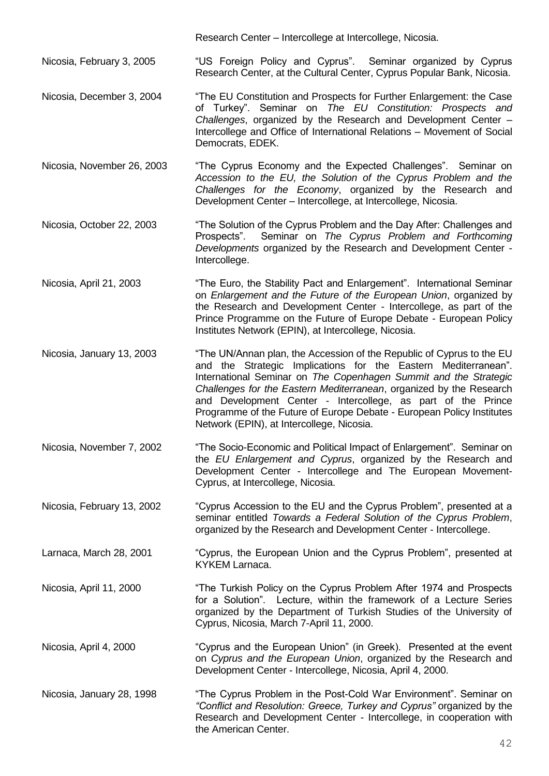Research Center – Intercollege at Intercollege, Nicosia.

Nicosia, February 3, 2005 "US Foreign Policy and Cyprus". Seminar organized by Cyprus Research Center, at the Cultural Center, Cyprus Popular Bank, Nicosia.

Nicosia, December 3, 2004 "The EU Constitution and Prospects for Further Enlargement: the Case of Turkey". Seminar on *The EU Constitution: Prospects and Challenges*, organized by the Research and Development Center – Intercollege and Office of International Relations – Movement of Social Democrats, EDEK.

Nicosia, November 26, 2003 "The Cyprus Economy and the Expected Challenges". Seminar on *Accession to the EU, the Solution of the Cyprus Problem and the Challenges for the Economy*, organized by the Research and Development Center – Intercollege, at Intercollege, Nicosia.

Nicosia, October 22, 2003 "The Solution of the Cyprus Problem and the Day After: Challenges and Prospects". Seminar on *The Cyprus Problem and Forthcoming Developments* organized by the Research and Development Center - Intercollege.

Nicosia, April 21, 2003 "The Euro, the Stability Pact and Enlargement". International Seminar on *Enlargement and the Future of the European Union*, organized by the Research and Development Center - Intercollege, as part of the Prince Programme on the Future of Europe Debate - European Policy Institutes Network (EPIN), at Intercollege, Nicosia.

Nicosia, January 13, 2003 "The UN/Annan plan, the Accession of the Republic of Cyprus to the EU and the Strategic Implications for the Eastern Mediterranean". International Seminar on *The Copenhagen Summit and the Strategic Challenges for the Eastern Mediterranean*, organized by the Research and Development Center - Intercollege, as part of the Prince Programme of the Future of Europe Debate - European Policy Institutes Network (EPIN), at Intercollege, Nicosia.

Nicosia, November 7, 2002 "The Socio-Economic and Political Impact of Enlargement". Seminar on the *EU Enlargement and Cyprus*, organized by the Research and Development Center - Intercollege and The European Movement-Cyprus, at Intercollege, Nicosia.

Nicosia, February 13, 2002 "Cyprus Accession to the EU and the Cyprus Problem", presented at a seminar entitled *Towards a Federal Solution of the Cyprus Problem*, organized by the Research and Development Center - Intercollege.

Larnaca, March 28, 2001 "Cyprus, the European Union and the Cyprus Problem", presented at KYKEM Larnaca.

Nicosia, April 11, 2000 "The Turkish Policy on the Cyprus Problem After 1974 and Prospects for a Solution". Lecture, within the framework of a Lecture Series organized by the Department of Turkish Studies of the University of Cyprus, Nicosia, March 7-April 11, 2000.

Nicosia, April 4, 2000 "Cyprus and the European Union" (in Greek). Presented at the event on *Cyprus and the European Union*, organized by the Research and Development Center - Intercollege, Nicosia, April 4, 2000.

Nicosia, January 28, 1998 "The Cyprus Problem in the Post-Cold War Environment". Seminar on *"Conflict and Resolution: Greece, Turkey and Cyprus"* organized by the Research and Development Center - Intercollege, in cooperation with the American Center.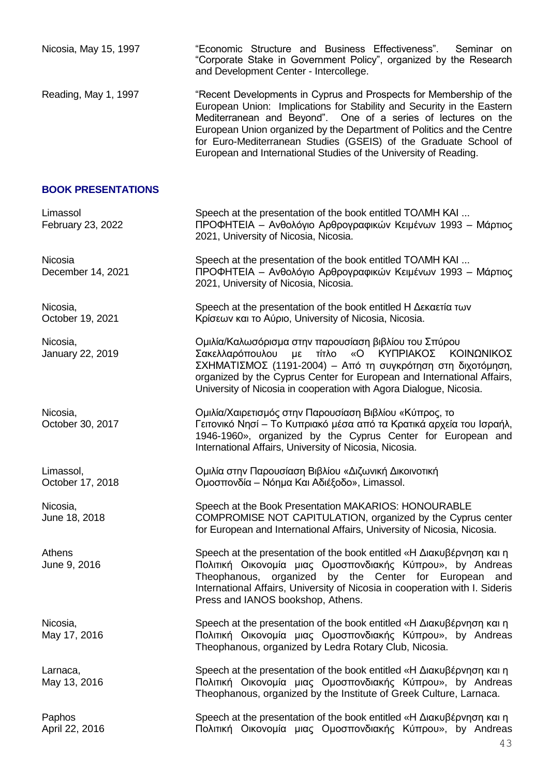| Nicosia, May 15, 1997         | "Economic Structure and Business Effectiveness".<br>Seminar on<br>"Corporate Stake in Government Policy", organized by the Research<br>and Development Center - Intercollege.                                                                                                                                                                                                                                                  |
|-------------------------------|--------------------------------------------------------------------------------------------------------------------------------------------------------------------------------------------------------------------------------------------------------------------------------------------------------------------------------------------------------------------------------------------------------------------------------|
| Reading, May 1, 1997          | "Recent Developments in Cyprus and Prospects for Membership of the<br>European Union: Implications for Stability and Security in the Eastern<br>Mediterranean and Beyond". One of a series of lectures on the<br>European Union organized by the Department of Politics and the Centre<br>for Euro-Mediterranean Studies (GSEIS) of the Graduate School of<br>European and International Studies of the University of Reading. |
| <b>BOOK PRESENTATIONS</b>     |                                                                                                                                                                                                                                                                                                                                                                                                                                |
| Limassol<br>February 23, 2022 | Speech at the presentation of the book entitled TOAMH KAI<br>ΠΡΟΦΗΤΕΙΑ - Ανθολόγιο Αρθρογραφικών Κειμένων 1993 - Μάρτιος<br>2021, University of Nicosia, Nicosia.                                                                                                                                                                                                                                                              |
| Nicosia<br>December 14, 2021  | Speech at the presentation of the book entitled TOAMH KAI<br>ΠΡΟΦΗΤΕΙΑ - Ανθολόγιο Αρθρογραφικών Κειμένων 1993 - Μάρτιος<br>2021, University of Nicosia, Nicosia.                                                                                                                                                                                                                                                              |
| Nicosia,<br>October 19, 2021  | Speech at the presentation of the book entitled H Δεκαετία των<br>Κρίσεων και το Αύριο, University of Nicosia, Nicosia.                                                                                                                                                                                                                                                                                                        |
| Nicosia,<br>January 22, 2019  | Ομιλία/Καλωσόρισμα στην παρουσίαση βιβλίου του Σπύρου<br>με τίτλο<br>«Ο ΚΥΠΡΙΑΚΟΣ ΚΟΙΝΩΝΙΚΟΣ<br>Σακελλαρόπουλου<br>ΣΧΗΜΑΤΙΣΜΟΣ (1191-2004) - Από τη συγκρότηση στη διχοτόμηση,<br>organized by the Cyprus Center for European and International Affairs,<br>University of Nicosia in cooperation with Agora Dialogue, Nicosia.                                                                                                 |
| Nicosia,<br>October 30, 2017  | Ομιλία/Χαιρετισμός στην Παρουσίαση Βιβλίου «Κύπρος, το<br>Γειτονικό Νησί – Το Κυπριακό μέσα από τα Κρατικά αρχεία του Ισραήλ,<br>1946-1960», organized by the Cyprus Center for European and<br>International Affairs, University of Nicosia, Nicosia.                                                                                                                                                                         |
| Limassol,<br>October 17, 2018 | Ομιλία στην Παρουσίαση Βιβλίου «Διζωνική Δικοινοτική<br>Ομοσπονδία – Νόημα Και Αδιέξοδο», Limassol.                                                                                                                                                                                                                                                                                                                            |
| Nicosia,<br>June 18, 2018     | Speech at the Book Presentation MAKARIOS: HONOURABLE<br>COMPROMISE NOT CAPITULATION, organized by the Cyprus center<br>for European and International Affairs, University of Nicosia, Nicosia.                                                                                                                                                                                                                                 |
| Athens<br>June 9, 2016        | Speech at the presentation of the book entitled «Η Διακυβέρνηση και η<br>Πολιτική Οικονομία μιας Ομοσπονδιακής Κύπρου», by Andreas<br>Theophanous, organized by the Center for European and<br>International Affairs, University of Nicosia in cooperation with I. Sideris<br>Press and IANOS bookshop, Athens.                                                                                                                |
| Nicosia,<br>May 17, 2016      | Speech at the presentation of the book entitled «Η Διακυβέρνηση και η<br>Πολιτική Οικονομία μιας Ομοσπονδιακής Κύπρου», by Andreas<br>Theophanous, organized by Ledra Rotary Club, Nicosia.                                                                                                                                                                                                                                    |
| Larnaca,<br>May 13, 2016      | Speech at the presentation of the book entitled «Η Διακυβέρνηση και η<br>Πολιτική Οικονομία μιας Ομοσπονδιακής Κύπρου», by Andreas<br>Theophanous, organized by the Institute of Greek Culture, Larnaca.                                                                                                                                                                                                                       |
| Paphos<br>April 22, 2016      | Speech at the presentation of the book entitled «Η Διακυβέρνηση και η<br>Πολιτική Οικονομία μιας Ομοσπονδιακής Κύπρου», by Andreas                                                                                                                                                                                                                                                                                             |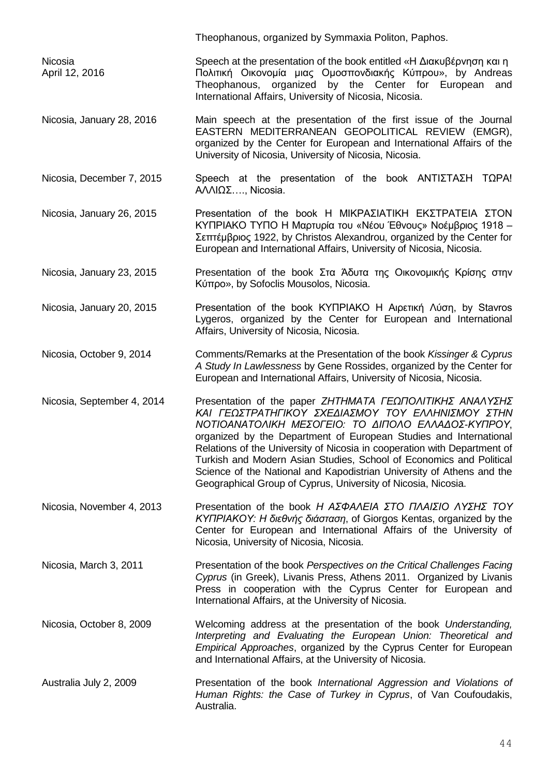|                                  | Theophanous, organized by Symmaxia Politon, Paphos.                                                                                                                                                                                                                                                                                                                                                                                                                                                                                   |
|----------------------------------|---------------------------------------------------------------------------------------------------------------------------------------------------------------------------------------------------------------------------------------------------------------------------------------------------------------------------------------------------------------------------------------------------------------------------------------------------------------------------------------------------------------------------------------|
| <b>Nicosia</b><br>April 12, 2016 | Speech at the presentation of the book entitled «Η Διακυβέρνηση και η<br>Πολιτική Οικονομία μιας Ομοσπονδιακής Κύπρου», by Andreas<br>Theophanous, organized by the Center for European<br>and<br>International Affairs, University of Nicosia, Nicosia.                                                                                                                                                                                                                                                                              |
| Nicosia, January 28, 2016        | Main speech at the presentation of the first issue of the Journal<br>EASTERN MEDITERRANEAN GEOPOLITICAL REVIEW (EMGR),<br>organized by the Center for European and International Affairs of the<br>University of Nicosia, University of Nicosia, Nicosia.                                                                                                                                                                                                                                                                             |
| Nicosia, December 7, 2015        | Speech at the presentation of the book $ANTIZTAZH T\Omega PA!$<br>$A\land\land I\Omega\Sigma$ , Nicosia.                                                                                                                                                                                                                                                                                                                                                                                                                              |
| Nicosia, January 26, 2015        | Presentation of the book Η ΜΙΚΡΑΣΙΑΤΙΚΗ ΕΚΣΤΡΑΤΕΙΑ ΣΤΟΝ<br>ΚΥΠΡΙΑΚΟ ΤΥΠΟ Η Μαρτυρία του «Νέου Έθνους» Νοέμβριος 1918 -<br>Σεπτέμβριος 1922, by Christos Alexandrou, organized by the Center for<br>European and International Affairs, University of Nicosia, Nicosia.                                                                                                                                                                                                                                                                |
| Nicosia, January 23, 2015        | Presentation of the book Στα Άδυτα της Οικονομικής Κρίσης στην<br>Kύπρο», by Sofoclis Mousolos, Nicosia.                                                                                                                                                                                                                                                                                                                                                                                                                              |
| Nicosia, January 20, 2015        | Presentation of the book KYΠΡΙΑΚΟ Η Αιρετική Λύση, by Stavros<br>Lygeros, organized by the Center for European and International<br>Affairs, University of Nicosia, Nicosia.                                                                                                                                                                                                                                                                                                                                                          |
| Nicosia, October 9, 2014         | Comments/Remarks at the Presentation of the book Kissinger & Cyprus<br>A Study In Lawlessness by Gene Rossides, organized by the Center for<br>European and International Affairs, University of Nicosia, Nicosia.                                                                                                                                                                                                                                                                                                                    |
| Nicosia, September 4, 2014       | Presentation of the paper ZHTHMATA ΓΕΩΠΟΛΙΤΙΚΗΣ ΑΝΑΛΥΣΗΣ<br>ΚΑΙ ΓΕΩΣΤΡΑΤΗΓΙΚΟΥ ΣΧΕΔΙΑΣΜΟΥ ΤΟΥ ΕΛΛΗΝΙΣΜΟΥ ΣΤΗΝ<br>ΝΟΤΙΟΑΝΑΤΟΛΙΚΗ ΜΕΣΟΓΕΙΟ: ΤΟ ΔΙΠΟΛΟ ΕΛΛΑΔΟΣ-ΚΥΠΡΟΥ,<br>organized by the Department of European Studies and International<br>Relations of the University of Nicosia in cooperation with Department of<br>Turkish and Modern Asian Studies, School of Economics and Political<br>Science of the National and Kapodistrian University of Athens and the<br>Geographical Group of Cyprus, University of Nicosia, Nicosia. |
| Nicosia, November 4, 2013        | Presentation of the book H AΣΦΑΛΕΙΑ ΣΤΟ ΠΛΑΙΣΙΟ ΛΥΣΗΣ ΤΟΥ<br>KYΠΡΙΑΚΟΥ: Η διεθνής διάσταση, of Giorgos Kentas, organized by the<br>Center for European and International Affairs of the University of<br>Nicosia, University of Nicosia, Nicosia.                                                                                                                                                                                                                                                                                     |
| Nicosia, March 3, 2011           | Presentation of the book Perspectives on the Critical Challenges Facing<br>Cyprus (in Greek), Livanis Press, Athens 2011. Organized by Livanis<br>Press in cooperation with the Cyprus Center for European and<br>International Affairs, at the University of Nicosia.                                                                                                                                                                                                                                                                |
| Nicosia, October 8, 2009         | Welcoming address at the presentation of the book Understanding,<br>Interpreting and Evaluating the European Union: Theoretical and<br>Empirical Approaches, organized by the Cyprus Center for European<br>and International Affairs, at the University of Nicosia.                                                                                                                                                                                                                                                                  |
| Australia July 2, 2009           | Presentation of the book International Aggression and Violations of<br>Human Rights: the Case of Turkey in Cyprus, of Van Coufoudakis,<br>Australia.                                                                                                                                                                                                                                                                                                                                                                                  |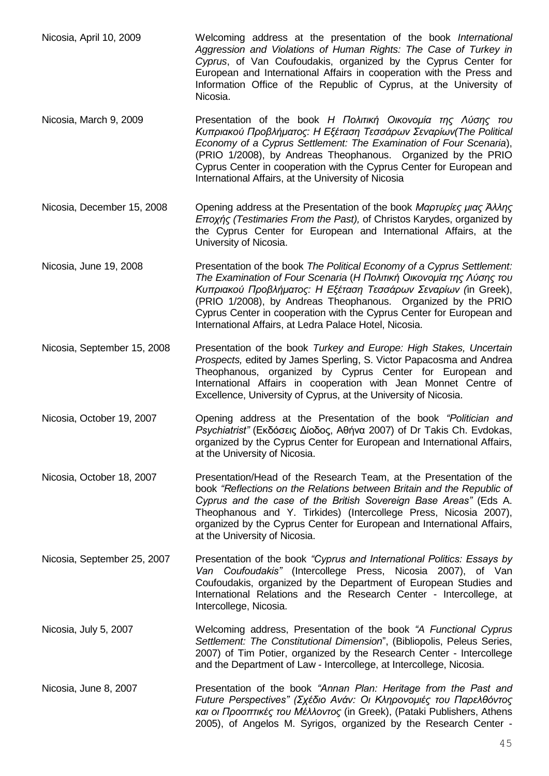- Nicosia, April 10, 2009 Welcoming address at the presentation of the book *International Aggression and Violations of Human Rights: The Case of Turkey in Cyprus*, of Van Coufoudakis, organized by the Cyprus Center for European and International Affairs in cooperation with the Press and Information Office of the Republic of Cyprus, at the University of Nicosia.
- Nicosia, March 9, 2009 Presentation of the book *H Πολιτική Οικονομία της Λύσης του Κυπριακού Προβλήματος: Η Εξέταση Τεσσάρων Σεναρίων(The Political Economy of a Cyprus Settlement: The Examination of Four Scenaria*), (PRIO 1/2008), by Andreas Theophanous. Organized by the PRIO Cyprus Center in cooperation with the Cyprus Center for European and International Affairs, at the University of Nicosia
- Nicosia, December 15, 2008 Opening address at the Presentation of the book *Μαρτυρίες μιας Άλλης Εποχής (Testimaries From the Past),* of Christos Karydes, organized by the Cyprus Center for European and International Affairs, at the University of Nicosia.
- Nicosia, June 19, 2008 Presentation of the book *The Political Economy of a Cyprus Settlement: The Examination of Four Scenaria* (*H Πολιτική Οικονομία της Λύσης του Κυπριακού Προβλήματος: Η Εξέταση Τεσσάρων Σεναρίων (*in Greek), (PRIO 1/2008), by Andreas Theophanous. Organized by the PRIO Cyprus Center in cooperation with the Cyprus Center for European and International Affairs, at Ledra Palace Hotel, Nicosia.
- Nicosia, September 15, 2008 Presentation of the book *Turkey and Europe: High Stakes, Uncertain Prospects,* edited by James Sperling, S. Victor Papacosma and Andrea Theophanous, organized by Cyprus Center for European and International Affairs in cooperation with Jean Monnet Centre of Excellence, University of Cyprus, at the University of Nicosia.
- Nicosia, October 19, 2007 Opening address at the Presentation of the book *"Politician and Psychiatrist"* (Εκδόσεις Δίοδος, Αθήνα 2007) of Dr Takis Ch. Evdokas, organized by the Cyprus Center for European and International Affairs, at the University of Nicosia.
- Nicosia, October 18, 2007 Presentation/Head of the Research Team, at the Presentation of the book *"Reflections on the Relations between Britain and the Republic of Cyprus and the case of the British Sovereign Base Areas"* (Eds A. Theophanous and Y. Tirkides) (Intercollege Press, Nicosia 2007), organized by the Cyprus Center for European and International Affairs, at the University of Nicosia.
- Nicosia, September 25, 2007 Presentation of the book *"Cyprus and International Politics: Essays by Van Coufoudakis"* (Intercollege Press, Nicosia 2007), of Van Coufoudakis, organized by the Department of European Studies and International Relations and the Research Center - Intercollege, at Intercollege, Nicosia.
- Nicosia, July 5, 2007 Welcoming address, Presentation of the book *"A Functional Cyprus Settlement: The Constitutional Dimension*", (Bibliopolis, Peleus Series, 2007) of Tim Potier, organized by the Research Center - Intercollege and the Department of Law - Intercollege, at Intercollege, Nicosia.
- Nicosia, June 8, 2007 Presentation of the book *"Annan Plan: Heritage from the Past and Future Perspectives" (Σχέδιο Ανάν: Οι Κληρονομιές του Παρελθόντος και οι Προοπτικές του Μέλλοντος* (in Greek), (Pataki Publishers, Athens 2005), of Angelos M. Syrigos, organized by the Research Center -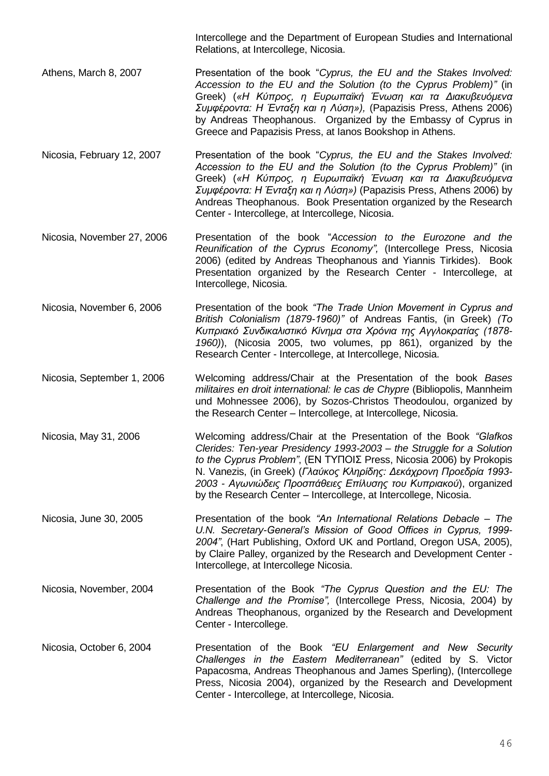Intercollege and the Department of European Studies and International Relations, at Intercollege, Nicosia.

- Athens, March 8, 2007 **Presentation of the book "Cyprus, the EU and the Stakes Involved:** *Accession to the EU and the Solution (to the Cyprus Problem)"* (in Greek) (*«Η Κύπρος, η Ευρωπαϊκή Ένωση και τα Διακυβευόμενα Συμφέροντα: H Ένταξη και η Λύση»),* (Papazisis Press, Athens 2006) by Andreas Theophanous. Organized by the Embassy of Cyprus in Greece and Papazisis Press, at Ianos Bookshop in Athens.
- Nicosia, February 12, 2007 Presentation of the book "*Cyprus, the EU and the Stakes Involved: Accession to the EU and the Solution (to the Cyprus Problem)"* (in Greek) (*«Η Κύπρος, η Ευρωπαϊκή Ένωση και τα Διακυβευόμενα Συμφέροντα: H Ένταξη και η Λύση»)* (Papazisis Press, Athens 2006) by Andreas Theophanous. Book Presentation organized by the Research Center - Intercollege, at Intercollege, Nicosia.
- Nicosia, November 27, 2006 Presentation of the book "*Accession to the Eurozone and the Reunification of the Cyprus Economy",* (Intercollege Press, Nicosia 2006) (edited by Andreas Theophanous and Yiannis Tirkides). Book Presentation organized by the Research Center - Intercollege, at Intercollege, Nicosia.
- Nicosia, November 6, 2006 Presentation of the book *"The Trade Union Movement in Cyprus and British Colonialism (1879-1960)"* of Andreas Fantis, (in Greek) *(Το Κυπριακό Συνδικαλιστικό Κίνημα στα Χρόνια της Αγγλοκρατίας (1878- 1960)*), (Nicosia 2005, two volumes, pp 861), organized by the Research Center - Intercollege, at Intercollege, Nicosia.
- Nicosia, September 1, 2006 Welcoming address/Chair at the Presentation of the book *Bases militaires en droit international: le cas de Chypre* (Bibliopolis, Mannheim und Mohnessee 2006), by Sozos-Christos Theodoulou, organized by the Research Center – Intercollege, at Intercollege, Nicosia.
- Nicosia, May 31, 2006 Welcoming address/Chair at the Presentation of the Book *"Glafkos Clerides: Ten-year Presidency 1993-2003 – the Struggle for a Solution to the Cyprus Problem"*, (ΕΝ ΤΥΠΟΙΣ Press, Nicosia 2006) by Prokopis N. Vanezis, (in Greek) (*Γλαύκος Κληρίδης: Δεκάχρονη Προεδρία 1993- 2003 - Αγωνιώδεις Προσπάθειες Επίλυσης του Κυπριακού*), organized by the Research Center – Intercollege, at Intercollege, Nicosia.
- Nicosia, June 30, 2005 Presentation of the book *"An International Relations Debacle – The U.N. Secretary-General's Mission of Good Offices in Cyprus, 1999- 2004"*, (Hart Publishing, Oxford UK and Portland, Oregon USA, 2005), by Claire Palley, organized by the Research and Development Center - Intercollege, at Intercollege Nicosia.
- Nicosia, November, 2004 Presentation of the Book *"The Cyprus Question and the EU: The Challenge and the Promise",* (Intercollege Press, Nicosia, 2004) by Andreas Theophanous, organized by the Research and Development Center - Intercollege.
- Nicosia, October 6, 2004 Presentation of the Book *"EU Enlargement and New Security Challenges in the Eastern Mediterranean"* (edited by S. Victor Papacosma, Andreas Theophanous and James Sperling), (Intercollege Press, Nicosia 2004), organized by the Research and Development Center - Intercollege, at Intercollege, Nicosia.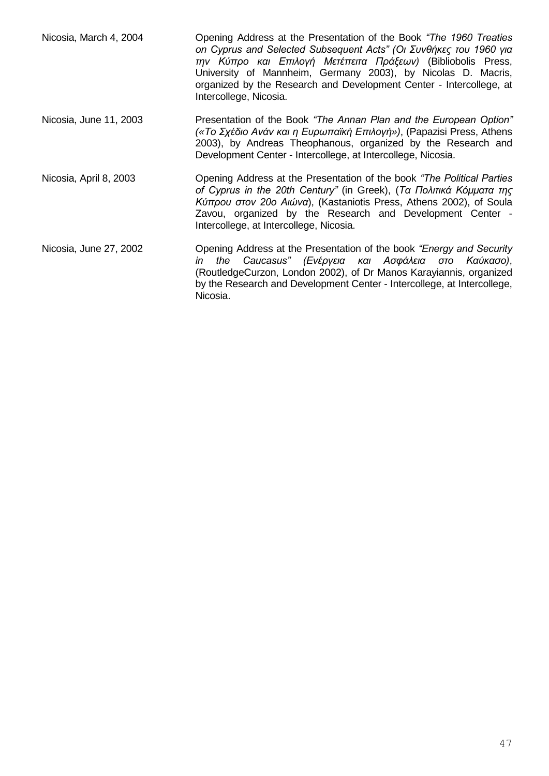| Nicosia, March 4, 2004 | Opening Address at the Presentation of the Book "The 1960 Treaties"<br>on Cyprus and Selected Subsequent Acts" (Οι Συνθήκες του 1960 για<br>την Κύπρο και Επιλογή Μετέπειτα Πράξεων) (Bibliobolis Press,<br>University of Mannheim, Germany 2003), by Nicolas D. Macris,<br>organized by the Research and Development Center - Intercollege, at<br>Intercollege, Nicosia. |
|------------------------|---------------------------------------------------------------------------------------------------------------------------------------------------------------------------------------------------------------------------------------------------------------------------------------------------------------------------------------------------------------------------|
| Nicosia, June 11, 2003 | Presentation of the Book "The Annan Plan and the European Option"<br>(«Το Σχέδιο Ανάν και η Ευρωπαϊκή Επιλογή»), (Papazisi Press, Athens<br>2003), by Andreas Theophanous, organized by the Research and<br>Development Center - Intercollege, at Intercollege, Nicosia.                                                                                                  |
| Nicosia, April 8, 2003 | Opening Address at the Presentation of the book "The Political Parties"<br>of Cyprus in the 20th Century" (in Greek), (Τα Πολιτικά Κόμματα της<br>Κύπρου στον 20ο Αιώνα), (Kastaniotis Press, Athens 2002), of Soula<br>Zavou, organized by the Research and Development Center -<br>Intercollege, at Intercollege, Nicosia.                                              |
| Nicosia, June 27, 2002 | Opening Address at the Presentation of the book "Energy and Security"<br>Caucasus" (Ενέργεια και Ασφάλεια στο<br>the<br>Καύκασο),<br>in<br>(RoutledgeCurzon, London 2002), of Dr Manos Karayiannis, organized<br>by the Research and Development Center - Intercollege, at Intercollege,<br>Nicosia.                                                                      |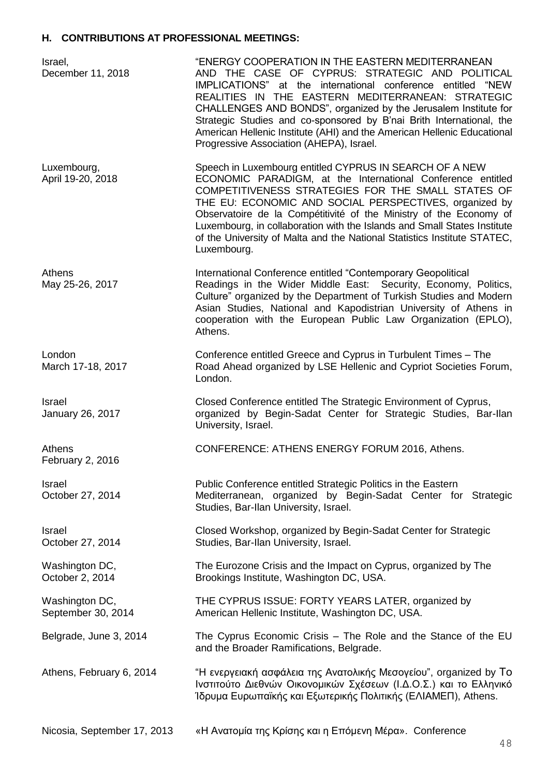## **H. CONTRIBUTIONS AT PROFESSIONAL MEETINGS:**

| Israel,<br>December 11, 2018         | "ENERGY COOPERATION IN THE EASTERN MEDITERRANEAN<br>AND THE CASE OF CYPRUS: STRATEGIC AND POLITICAL<br>IMPLICATIONS" at the international conference entitled "NEW<br>REALITIES IN THE EASTERN MEDITERRANEAN: STRATEGIC<br>CHALLENGES AND BONDS", organized by the Jerusalem Institute for<br>Strategic Studies and co-sponsored by B'nai Brith International, the<br>American Hellenic Institute (AHI) and the American Hellenic Educational<br>Progressive Association (AHEPA), Israel. |
|--------------------------------------|-------------------------------------------------------------------------------------------------------------------------------------------------------------------------------------------------------------------------------------------------------------------------------------------------------------------------------------------------------------------------------------------------------------------------------------------------------------------------------------------|
| Luxembourg,<br>April 19-20, 2018     | Speech in Luxembourg entitled CYPRUS IN SEARCH OF A NEW<br>ECONOMIC PARADIGM, at the International Conference entitled<br>COMPETITIVENESS STRATEGIES FOR THE SMALL STATES OF<br>THE EU: ECONOMIC AND SOCIAL PERSPECTIVES, organized by<br>Observatoire de la Compétitivité of the Ministry of the Economy of<br>Luxembourg, in collaboration with the Islands and Small States Institute<br>of the University of Malta and the National Statistics Institute STATEC,<br>Luxembourg.       |
| Athens<br>May 25-26, 2017            | International Conference entitled "Contemporary Geopolitical<br>Readings in the Wider Middle East: Security, Economy, Politics,<br>Culture" organized by the Department of Turkish Studies and Modern<br>Asian Studies, National and Kapodistrian University of Athens in<br>cooperation with the European Public Law Organization (EPLO),<br>Athens.                                                                                                                                     |
| London<br>March 17-18, 2017          | Conference entitled Greece and Cyprus in Turbulent Times - The<br>Road Ahead organized by LSE Hellenic and Cypriot Societies Forum,<br>London.                                                                                                                                                                                                                                                                                                                                            |
| Israel<br>January 26, 2017           | Closed Conference entitled The Strategic Environment of Cyprus,<br>organized by Begin-Sadat Center for Strategic Studies, Bar-Ilan<br>University, Israel.                                                                                                                                                                                                                                                                                                                                 |
| Athens<br>February 2, 2016           | CONFERENCE: ATHENS ENERGY FORUM 2016, Athens.                                                                                                                                                                                                                                                                                                                                                                                                                                             |
| <b>Israel</b><br>October 27, 2014    | Public Conference entitled Strategic Politics in the Eastern<br>Mediterranean, organized by Begin-Sadat Center for Strategic<br>Studies, Bar-Ilan University, Israel.                                                                                                                                                                                                                                                                                                                     |
| Israel<br>October 27, 2014           | Closed Workshop, organized by Begin-Sadat Center for Strategic<br>Studies, Bar-Ilan University, Israel.                                                                                                                                                                                                                                                                                                                                                                                   |
| Washington DC,<br>October 2, 2014    | The Eurozone Crisis and the Impact on Cyprus, organized by The<br>Brookings Institute, Washington DC, USA.                                                                                                                                                                                                                                                                                                                                                                                |
| Washington DC,<br>September 30, 2014 | THE CYPRUS ISSUE: FORTY YEARS LATER, organized by<br>American Hellenic Institute, Washington DC, USA.                                                                                                                                                                                                                                                                                                                                                                                     |
| Belgrade, June 3, 2014               | The Cyprus Economic Crisis - The Role and the Stance of the EU<br>and the Broader Ramifications, Belgrade.                                                                                                                                                                                                                                                                                                                                                                                |
| Athens, February 6, 2014             | "Η ενεργειακή ασφάλεια της Ανατολικής Μεσογείου", organized by To<br>Ινστιτούτο Διεθνών Οικονομικών Σχέσεων (Ι.Δ.Ο.Σ.) και το Ελληνικό<br>Ίδρυμα Ευρωπαϊκής και Εξωτερικής Πολιτικής (ΕΛΙΑΜΕΠ), Athens.                                                                                                                                                                                                                                                                                   |
| Nicosia, September 17, 2013          | «Η Ανατομία της Κρίσης και η Επόμενη Μέρα». Conference                                                                                                                                                                                                                                                                                                                                                                                                                                    |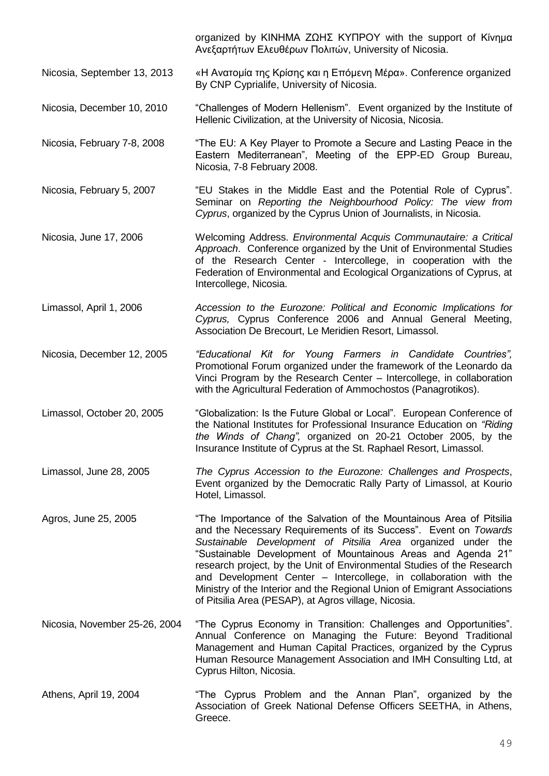organized by ΚΙΝΗΜΑ ΖΩΗΣ ΚΥΠΡΟΥ with the support of Κίνημα Ανεξαρτήτων Ελευθέρων Πολιτών, University of Nicosia.

- Nicosia, September 13, 2013 «Η Ανατομία της Κρίσης και η Επόμενη Μέρα». Conference organized By CNP Cyprialife, University of Nicosia.
- Nicosia, December 10, 2010 "Challenges of Modern Hellenism". Event organized by the Institute of Hellenic Civilization, at the University of Nicosia, Nicosia.
- Nicosia, February 7-8, 2008 "The EU: A Key Player to Promote a Secure and Lasting Peace in the Eastern Mediterranean", Meeting of the EPP-ED Group Bureau, Nicosia, 7-8 February 2008.
- Nicosia, February 5, 2007 "EU Stakes in the Middle East and the Potential Role of Cyprus". Seminar on *Reporting the Neighbourhood Policy: The view from Cyprus*, organized by the Cyprus Union of Journalists, in Nicosia.
- Nicosia, June 17, 2006 Welcoming Address. *Environmental Acquis Communautaire: a Critical Approach*. Conference organized by the Unit of Environmental Studies of the Research Center - Intercollege, in cooperation with the Federation of Environmental and Ecological Organizations of Cyprus, at Intercollege, Nicosia.
- Limassol, April 1, 2006 *Accession to the Eurozone: Political and Economic Implications for Cyprus,* Cyprus Conference 2006 and Annual General Meeting, Association De Brecourt, Le Meridien Resort, Limassol.
- Nicosia, December 12, 2005 *"Educational Kit for Young Farmers in Candidate Countries",* Promotional Forum organized under the framework of the Leonardo da Vinci Program by the Research Center – Intercollege, in collaboration with the Agricultural Federation of Ammochostos (Panagrotikos).
- Limassol, October 20, 2005 "Globalization: Is the Future Global or Local". European Conference of the National Institutes for Professional Insurance Education on *"Riding the Winds of Chang",* organized on 20-21 October 2005, by the Insurance Institute of Cyprus at the St. Raphael Resort, Limassol.
- Limassol, June 28, 2005 *The Cyprus Accession to the Eurozone: Challenges and Prospects*, Event organized by the Democratic Rally Party of Limassol, at Kourio Hotel, Limassol.
- Agros, June 25, 2005 "The Importance of the Salvation of the Mountainous Area of Pitsilia and the Necessary Requirements of its Success". Event on *Towards Sustainable Development of Pitsilia Area* organized under the "Sustainable Development of Mountainous Areas and Agenda 21" research project, by the Unit of Environmental Studies of the Research and Development Center – Intercollege, in collaboration with the Ministry of the Interior and the Regional Union of Emigrant Associations of Pitsilia Area (PESAP), at Agros village, Nicosia.
- Nicosia, November 25-26, 2004 "The Cyprus Economy in Transition: Challenges and Opportunities". Annual Conference on Managing the Future: Beyond Traditional Management and Human Capital Practices, organized by the Cyprus Human Resource Management Association and IMH Consulting Ltd, at Cyprus Hilton, Nicosia.
- Athens, April 19, 2004 "The Cyprus Problem and the Annan Plan", organized by the Association of Greek National Defense Officers SEETHA, in Athens, Greece.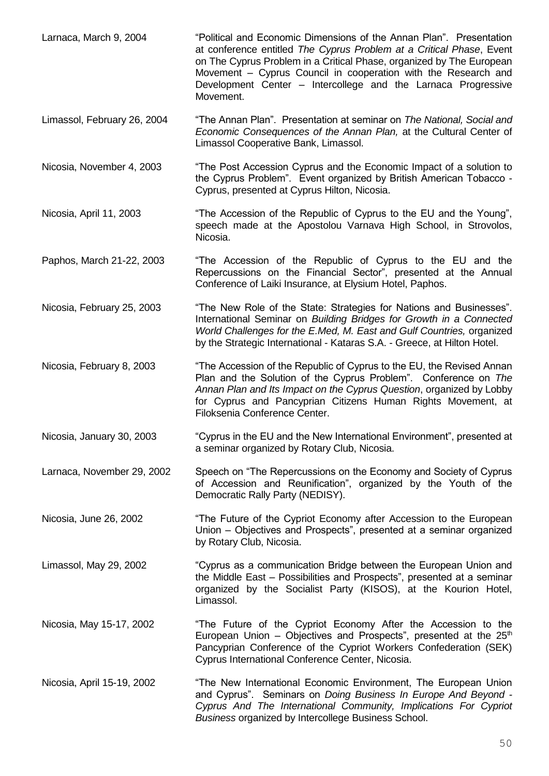| Larnaca, March 9, 2004      | "Political and Economic Dimensions of the Annan Plan". Presentation<br>at conference entitled The Cyprus Problem at a Critical Phase, Event<br>on The Cyprus Problem in a Critical Phase, organized by The European<br>Movement - Cyprus Council in cooperation with the Research and<br>Development Center - Intercollege and the Larnaca Progressive<br>Movement. |
|-----------------------------|---------------------------------------------------------------------------------------------------------------------------------------------------------------------------------------------------------------------------------------------------------------------------------------------------------------------------------------------------------------------|
| Limassol, February 26, 2004 | "The Annan Plan". Presentation at seminar on The National, Social and<br>Economic Consequences of the Annan Plan, at the Cultural Center of<br>Limassol Cooperative Bank, Limassol.                                                                                                                                                                                 |
| Nicosia, November 4, 2003   | "The Post Accession Cyprus and the Economic Impact of a solution to<br>the Cyprus Problem". Event organized by British American Tobacco -<br>Cyprus, presented at Cyprus Hilton, Nicosia.                                                                                                                                                                           |
| Nicosia, April 11, 2003     | "The Accession of the Republic of Cyprus to the EU and the Young",<br>speech made at the Apostolou Varnava High School, in Strovolos,<br>Nicosia.                                                                                                                                                                                                                   |
| Paphos, March 21-22, 2003   | "The Accession of the Republic of Cyprus to the EU and the<br>Repercussions on the Financial Sector", presented at the Annual<br>Conference of Laiki Insurance, at Elysium Hotel, Paphos.                                                                                                                                                                           |
| Nicosia, February 25, 2003  | "The New Role of the State: Strategies for Nations and Businesses".<br>International Seminar on Building Bridges for Growth in a Connected<br>World Challenges for the E.Med, M. East and Gulf Countries, organized<br>by the Strategic International - Kataras S.A. - Greece, at Hilton Hotel.                                                                     |
| Nicosia, February 8, 2003   | "The Accession of the Republic of Cyprus to the EU, the Revised Annan<br>Plan and the Solution of the Cyprus Problem". Conference on The<br>Annan Plan and Its Impact on the Cyprus Question, organized by Lobby<br>for Cyprus and Pancyprian Citizens Human Rights Movement, at<br>Filoksenia Conference Center.                                                   |
| Nicosia, January 30, 2003   | "Cyprus in the EU and the New International Environment", presented at<br>a seminar organized by Rotary Club, Nicosia.                                                                                                                                                                                                                                              |
| Larnaca, November 29, 2002  | Speech on "The Repercussions on the Economy and Society of Cyprus<br>of Accession and Reunification", organized by the Youth of the<br>Democratic Rally Party (NEDISY).                                                                                                                                                                                             |
| Nicosia, June 26, 2002      | "The Future of the Cypriot Economy after Accession to the European<br>Union – Objectives and Prospects", presented at a seminar organized<br>by Rotary Club, Nicosia.                                                                                                                                                                                               |
| Limassol, May 29, 2002      | "Cyprus as a communication Bridge between the European Union and<br>the Middle East - Possibilities and Prospects", presented at a seminar<br>organized by the Socialist Party (KISOS), at the Kourion Hotel,<br>Limassol.                                                                                                                                          |
| Nicosia, May 15-17, 2002    | "The Future of the Cypriot Economy After the Accession to the<br>European Union – Objectives and Prospects", presented at the $25th$<br>Pancyprian Conference of the Cypriot Workers Confederation (SEK)<br>Cyprus International Conference Center, Nicosia.                                                                                                        |
| Nicosia, April 15-19, 2002  | "The New International Economic Environment, The European Union<br>and Cyprus". Seminars on Doing Business In Europe And Beyond -<br>Cyprus And The International Community, Implications For Cypriot<br>Business organized by Intercollege Business School.                                                                                                        |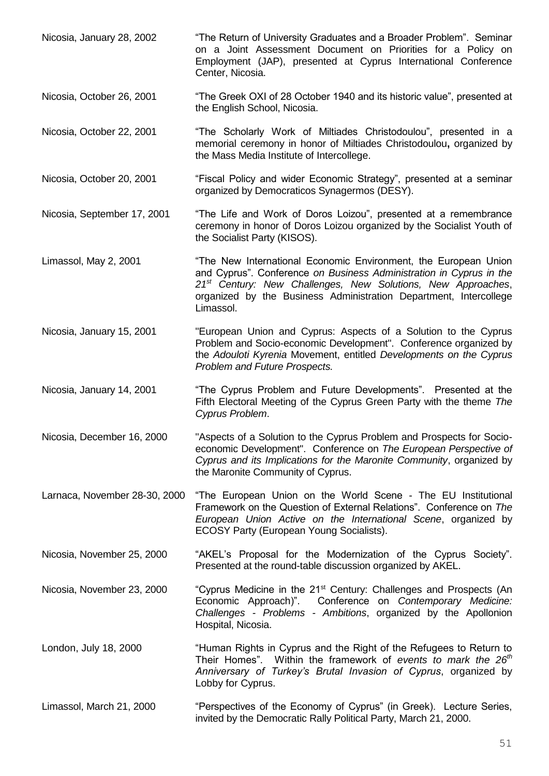Nicosia, January 28, 2002 "The Return of University Graduates and a Broader Problem". Seminar on a Joint Assessment Document on Priorities for a Policy on Employment (JAP), presented at Cyprus International Conference Center, Nicosia.

Nicosia, October 26, 2001 "The Greek OXI of 28 October 1940 and its historic value", presented at the English School, Nicosia.

Nicosia, October 22, 2001 "The Scholarly Work of Miltiades Christodoulou", presented in a memorial ceremony in honor of Miltiades Christodoulou**,** organized by the Mass Media Institute of Intercollege.

Nicosia, October 20, 2001 "Fiscal Policy and wider Economic Strategy", presented at a seminar organized by Democraticos Synagermos (DESY).

Nicosia, September 17, 2001 "The Life and Work of Doros Loizou", presented at a remembrance ceremony in honor of Doros Loizou organized by the Socialist Youth of the Socialist Party (KISOS).

Limassol, May 2, 2001 "The New International Economic Environment, the European Union and Cyprus". Conference *on Business Administration in Cyprus in the 21st Century: New Challenges, New Solutions, New Approaches*, organized by the Business Administration Department, Intercollege Limassol.

Nicosia, January 15, 2001 "European Union and Cyprus: Aspects of a Solution to the Cyprus Problem and Socio-economic Development". Conference organized by the *Adouloti Kyrenia* Movement, entitled *Developments on the Cyprus Problem and Future Prospects.*

Nicosia, January 14, 2001 "The Cyprus Problem and Future Developments". Presented at the Fifth Electoral Meeting of the Cyprus Green Party with the theme *The Cyprus Problem*.

Nicosia, December 16, 2000 "Aspects of a Solution to the Cyprus Problem and Prospects for Socioeconomic Development". Conference on *The European Perspective of Cyprus and its Implications for the Maronite Community*, organized by the Maronite Community of Cyprus.

Larnaca, November 28-30, 2000 "The European Union on the World Scene - The EU Institutional Framework on the Question of External Relations". Conference on *The European Union Active on the International Scene*, organized by ECOSY Party (European Young Socialists).

Nicosia, November 25, 2000 "AKEL's Proposal for the Modernization of the Cyprus Society". Presented at the round-table discussion organized by AKEL.

Nicosia, November 23, 2000 "Cyprus Medicine in the 21<sup>st</sup> Century: Challenges and Prospects (An Economic Approach)". Conference on *Contemporary Medicine: Challenges - Problems - Ambitions*, organized by the Apollonion Hospital, Nicosia.

London, July 18, 2000 "Human Rights in Cyprus and the Right of the Refugees to Return to Their Homes". Within the framework of *events to mark the 26th Anniversary of Turkey's Brutal Invasion of Cyprus*, organized by Lobby for Cyprus.

Limassol, March 21, 2000 "Perspectives of the Economy of Cyprus" (in Greek). Lecture Series, invited by the Democratic Rally Political Party, March 21, 2000.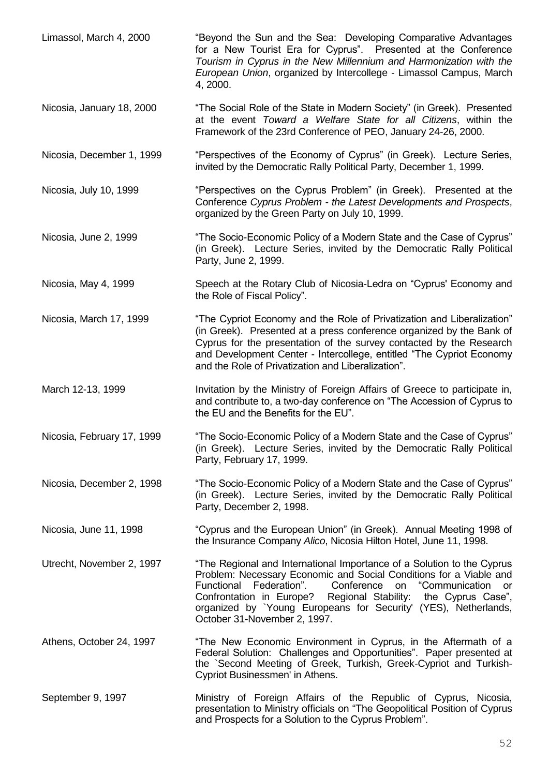| Limassol, March 4, 2000    | "Beyond the Sun and the Sea: Developing Comparative Advantages<br>for a New Tourist Era for Cyprus". Presented at the Conference<br>Tourism in Cyprus in the New Millennium and Harmonization with the<br>European Union, organized by Intercollege - Limassol Campus, March<br>4, 2000.                                                                                                    |
|----------------------------|---------------------------------------------------------------------------------------------------------------------------------------------------------------------------------------------------------------------------------------------------------------------------------------------------------------------------------------------------------------------------------------------|
| Nicosia, January 18, 2000  | "The Social Role of the State in Modern Society" (in Greek). Presented<br>at the event Toward a Welfare State for all Citizens, within the<br>Framework of the 23rd Conference of PEO, January 24-26, 2000.                                                                                                                                                                                 |
| Nicosia, December 1, 1999  | "Perspectives of the Economy of Cyprus" (in Greek). Lecture Series,<br>invited by the Democratic Rally Political Party, December 1, 1999.                                                                                                                                                                                                                                                   |
| Nicosia, July 10, 1999     | "Perspectives on the Cyprus Problem" (in Greek). Presented at the<br>Conference Cyprus Problem - the Latest Developments and Prospects,<br>organized by the Green Party on July 10, 1999.                                                                                                                                                                                                   |
| Nicosia, June 2, 1999      | "The Socio-Economic Policy of a Modern State and the Case of Cyprus"<br>(in Greek). Lecture Series, invited by the Democratic Rally Political<br>Party, June 2, 1999.                                                                                                                                                                                                                       |
| Nicosia, May 4, 1999       | Speech at the Rotary Club of Nicosia-Ledra on "Cyprus' Economy and<br>the Role of Fiscal Policy".                                                                                                                                                                                                                                                                                           |
| Nicosia, March 17, 1999    | "The Cypriot Economy and the Role of Privatization and Liberalization"<br>(in Greek). Presented at a press conference organized by the Bank of<br>Cyprus for the presentation of the survey contacted by the Research<br>and Development Center - Intercollege, entitled "The Cypriot Economy<br>and the Role of Privatization and Liberalization".                                         |
| March 12-13, 1999          | Invitation by the Ministry of Foreign Affairs of Greece to participate in,<br>and contribute to, a two-day conference on "The Accession of Cyprus to<br>the EU and the Benefits for the EU".                                                                                                                                                                                                |
| Nicosia, February 17, 1999 | "The Socio-Economic Policy of a Modern State and the Case of Cyprus"<br>(in Greek). Lecture Series, invited by the Democratic Rally Political<br>Party, February 17, 1999.                                                                                                                                                                                                                  |
| Nicosia, December 2, 1998  | "The Socio-Economic Policy of a Modern State and the Case of Cyprus"<br>(in Greek). Lecture Series, invited by the Democratic Rally Political<br>Party, December 2, 1998.                                                                                                                                                                                                                   |
| Nicosia, June 11, 1998     | "Cyprus and the European Union" (in Greek). Annual Meeting 1998 of<br>the Insurance Company Alico, Nicosia Hilton Hotel, June 11, 1998.                                                                                                                                                                                                                                                     |
| Utrecht, November 2, 1997  | "The Regional and International Importance of a Solution to the Cyprus<br>Problem: Necessary Economic and Social Conditions for a Viable and<br>on "Communication<br>Functional<br>Federation".<br>Conference<br>or<br>Confrontation in Europe?<br>Regional Stability: the Cyprus Case",<br>organized by `Young Europeans for Security' (YES), Netherlands,<br>October 31-November 2, 1997. |
| Athens, October 24, 1997   | "The New Economic Environment in Cyprus, in the Aftermath of a<br>Federal Solution: Challenges and Opportunities". Paper presented at<br>the `Second Meeting of Greek, Turkish, Greek-Cypriot and Turkish-<br>Cypriot Businessmen' in Athens.                                                                                                                                               |
| September 9, 1997          | Ministry of Foreign Affairs of the Republic of Cyprus, Nicosia,<br>presentation to Ministry officials on "The Geopolitical Position of Cyprus<br>and Prospects for a Solution to the Cyprus Problem".                                                                                                                                                                                       |

52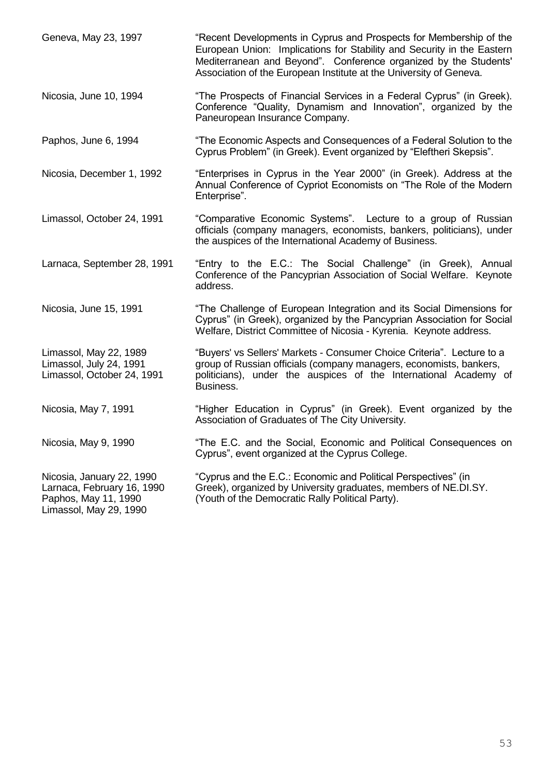| Geneva, May 23, 1997                                                                                      | "Recent Developments in Cyprus and Prospects for Membership of the<br>European Union: Implications for Stability and Security in the Eastern<br>Mediterranean and Beyond". Conference organized by the Students'<br>Association of the European Institute at the University of Geneva. |
|-----------------------------------------------------------------------------------------------------------|----------------------------------------------------------------------------------------------------------------------------------------------------------------------------------------------------------------------------------------------------------------------------------------|
| Nicosia, June 10, 1994                                                                                    | "The Prospects of Financial Services in a Federal Cyprus" (in Greek).<br>Conference "Quality, Dynamism and Innovation", organized by the<br>Paneuropean Insurance Company.                                                                                                             |
| Paphos, June 6, 1994                                                                                      | "The Economic Aspects and Consequences of a Federal Solution to the<br>Cyprus Problem" (in Greek). Event organized by "Eleftheri Skepsis".                                                                                                                                             |
| Nicosia, December 1, 1992                                                                                 | "Enterprises in Cyprus in the Year 2000" (in Greek). Address at the<br>Annual Conference of Cypriot Economists on "The Role of the Modern<br>Enterprise".                                                                                                                              |
| Limassol, October 24, 1991                                                                                | "Comparative Economic Systems". Lecture to a group of Russian<br>officials (company managers, economists, bankers, politicians), under<br>the auspices of the International Academy of Business.                                                                                       |
| Larnaca, September 28, 1991                                                                               | "Entry to the E.C.: The Social Challenge" (in Greek), Annual<br>Conference of the Pancyprian Association of Social Welfare. Keynote<br>address.                                                                                                                                        |
| Nicosia, June 15, 1991                                                                                    | "The Challenge of European Integration and its Social Dimensions for<br>Cyprus" (in Greek), organized by the Pancyprian Association for Social<br>Welfare, District Committee of Nicosia - Kyrenia. Keynote address.                                                                   |
| Limassol, May 22, 1989<br>Limassol, July 24, 1991<br>Limassol, October 24, 1991                           | "Buyers' vs Sellers' Markets - Consumer Choice Criteria". Lecture to a<br>group of Russian officials (company managers, economists, bankers,<br>politicians), under the auspices of the International Academy of<br>Business.                                                          |
| Nicosia, May 7, 1991                                                                                      | "Higher Education in Cyprus" (in Greek). Event organized by the<br>Association of Graduates of The City University.                                                                                                                                                                    |
| Nicosia, May 9, 1990                                                                                      | "The E.C. and the Social, Economic and Political Consequences on<br>Cyprus", event organized at the Cyprus College.                                                                                                                                                                    |
| Nicosia, January 22, 1990<br>Larnaca, February 16, 1990<br>Paphos, May 11, 1990<br>Limassol, May 29, 1990 | "Cyprus and the E.C.: Economic and Political Perspectives" (in<br>Greek), organized by University graduates, members of NE.DI.SY.<br>(Youth of the Democratic Rally Political Party).                                                                                                  |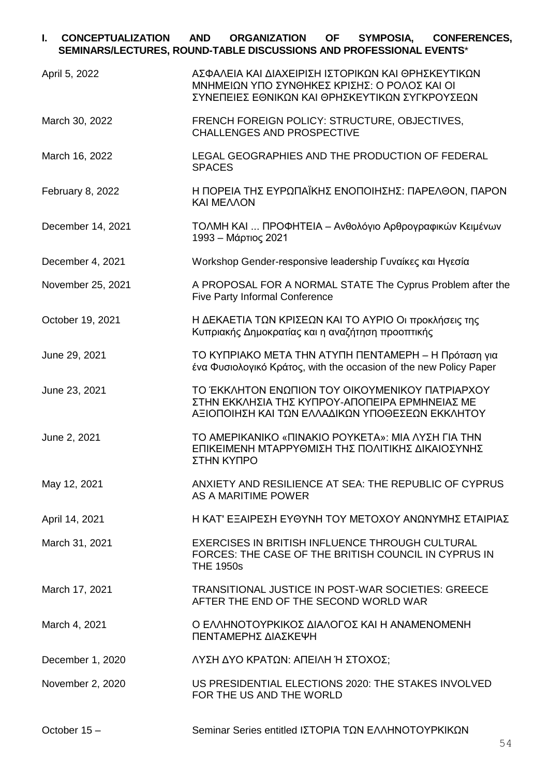## **I. CONCEPTUALIZATION AND ORGANIZATION OF SYMPOSIA, CONFERENCES, SEMINARS/LECTURES, ROUND-TABLE DISCUSSIONS AND PROFESSIONAL EVENTS**\*

| April 5, 2022     | ΑΣΦΑΛΕΙΑ ΚΑΙ ΔΙΑΧΕΙΡΙΣΗ ΙΣΤΟΡΙΚΩΝ ΚΑΙ ΘΡΗΣΚΕΥΤΙΚΩΝ<br>ΜΝΗΜΕΙΩΝ ΥΠΟ ΣΥΝΘΗΚΕΣ ΚΡΙΣΗΣ: Ο ΡΟΛΟΣ ΚΑΙ ΟΙ<br>ΣΥΝΕΠΕΙΕΣ ΕΘΝΙΚΩΝ ΚΑΙ ΘΡΗΣΚΕΥΤΙΚΩΝ ΣΥΓΚΡΟΥΣΕΩΝ |
|-------------------|------------------------------------------------------------------------------------------------------------------------------------------------------|
| March 30, 2022    | FRENCH FOREIGN POLICY: STRUCTURE, OBJECTIVES,<br><b>CHALLENGES AND PROSPECTIVE</b>                                                                   |
| March 16, 2022    | LEGAL GEOGRAPHIES AND THE PRODUCTION OF FEDERAL<br><b>SPACES</b>                                                                                     |
| February 8, 2022  | Η ΠΟΡΕΙΑ ΤΗΣ ΕΥΡΩΠΑΪΚΗΣ ΕΝΟΠΟΙΗΣΗΣ: ΠΑΡΕΛΘΟΝ, ΠΑΡΟΝ<br><b>KAI MEAAON</b>                                                                             |
| December 14, 2021 | ΤΟΛΜΗ ΚΑΙ  ΠΡΟΦΗΤΕΙΑ – Ανθολόγιο Αρθρογραφικών Κειμένων<br>1993 - Μάρτιος 2021                                                                       |
| December 4, 2021  | Workshop Gender-responsive leadership Γυναίκες και Ηγεσία                                                                                            |
| November 25, 2021 | A PROPOSAL FOR A NORMAL STATE The Cyprus Problem after the<br>Five Party Informal Conference                                                         |
| October 19, 2021  | Η ΔΕΚΑΕΤΙΑ ΤΩΝ ΚΡΙΣΕΩΝ ΚΑΙ ΤΟ ΑΥΡΙΟ Οι προκλήσεις της<br>Κυπριακής Δημοκρατίας και η αναζήτηση προοπτικής                                            |
| June 29, 2021     | ΤΟ ΚΥΠΡΙΑΚΟ ΜΕΤΑ ΤΗΝ ΑΤΥΠΗ ΠΕΝΤΑΜΕΡΗ – Η Πρόταση για<br>ένα Φυσιολογικό Κράτος, with the occasion of the new Policy Paper                            |
| June 23, 2021     | ΤΟ ΈΚΚΛΗΤΟΝ ΕΝΩΠΙΟΝ ΤΟΥ ΟΙΚΟΥΜΕΝΙΚΟΥ ΠΑΤΡΙΑΡΧΟΥ<br>ΣΤΗΝ ΕΚΚΛΗΣΙΑ ΤΗΣ ΚΥΠΡΟΥ-ΑΠΟΠΕΙΡΑ ΕΡΜΗΝΕΙΑΣ ΜΕ<br>ΑΞΙΟΠΟΙΗΣΗ ΚΑΙ ΤΩΝ ΕΛΛΑΔΙΚΩΝ ΥΠΟΘΕΣΕΩΝ ΕΚΚΛΗΤΟΥ |
| June 2, 2021      | ΤΟ ΑΜΕΡΙΚΑΝΙΚΟ «ΠΙΝΑΚΙΟ ΡΟΥΚΕΤΑ»: ΜΙΑ ΛΥΣΗ ΓΙΑ ΤΗΝ<br>ΕΠΙΚΕΙΜΕΝΗ ΜΤΑΡΡΥΘΜΙΣΗ ΤΗΣ ΠΟΛΙΤΙΚΗΣ ΔΙΚΑΙΟΣΥΝΗΣ<br>ΣΤΗΝ ΚΥΠΡΟ                                 |
| May 12, 2021      | ANXIETY AND RESILIENCE AT SEA: THE REPUBLIC OF CYPRUS<br>AS A MARITIME POWER                                                                         |
| April 14, 2021    | Η ΚΑΤ' ΕΞΑΙΡΕΣΗ ΕΥΘΥΝΗ ΤΟΥ ΜΕΤΟΧΟΥ ΑΝΩΝΥΜΗΣ ΕΤΑΙΡΙΑΣ                                                                                                 |
| March 31, 2021    | EXERCISES IN BRITISH INFLUENCE THROUGH CULTURAL<br>FORCES: THE CASE OF THE BRITISH COUNCIL IN CYPRUS IN<br><b>THE 1950s</b>                          |
| March 17, 2021    | <b>TRANSITIONAL JUSTICE IN POST-WAR SOCIETIES: GREECE</b><br>AFTER THE END OF THE SECOND WORLD WAR                                                   |
| March 4, 2021     | Ο ΕΛΛΗΝΟΤΟΥΡΚΙΚΟΣ ΔΙΑΛΟΓΟΣ ΚΑΙ Η ΑΝΑΜΕΝΟΜΕΝΗ<br>ΠΕΝΤΑΜΕΡΗΣ ΔΙΑΣΚΕΨΗ                                                                                  |
| December 1, 2020  | ΛΥΣΗ ΔΥΟ ΚΡΑΤΩΝ: ΑΠΕΙΛΗ Ή ΣΤΟΧΟΣ;                                                                                                                    |
| November 2, 2020  | US PRESIDENTIAL ELECTIONS 2020: THE STAKES INVOLVED<br>FOR THE US AND THE WORLD                                                                      |
| October 15-       | Seminar Series entitled IΣΤΟΡΙΑ ΤΩΝ ΕΛΛΗΝΟΤΟΥΡΚΙΚΩΝ                                                                                                  |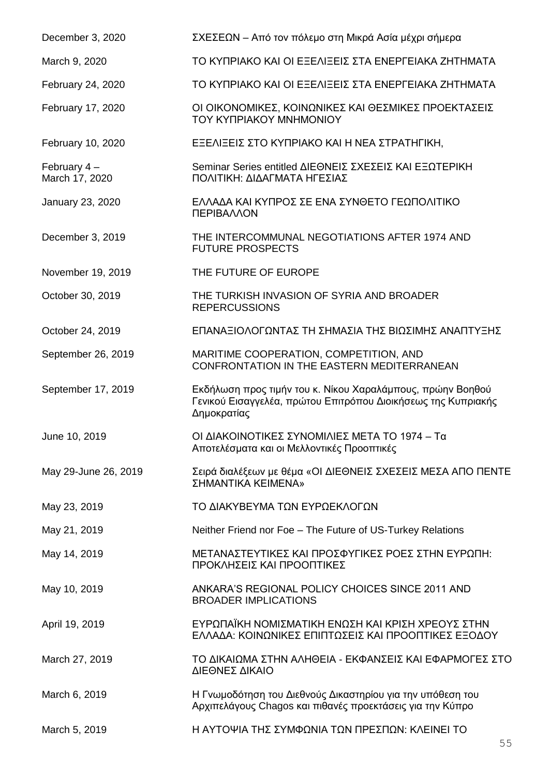| December 3, 2020                | ΣΧΕΣΕΩΝ – Από τον πόλεμο στη Μικρά Ασία μέχρι σήμερα                                                                                       |
|---------------------------------|--------------------------------------------------------------------------------------------------------------------------------------------|
| March 9, 2020                   | ΤΟ ΚΥΠΡΙΑΚΟ ΚΑΙ ΟΙ ΕΞΕΛΙΞΕΙΣ ΣΤΑ ΕΝΕΡΓΕΙΑΚΑ ΖΗΤΗΜΑΤΑ                                                                                       |
| February 24, 2020               | ΤΟ ΚΥΠΡΙΑΚΟ ΚΑΙ ΟΙ ΕΞΕΛΙΞΕΙΣ ΣΤΑ ΕΝΕΡΓΕΙΑΚΑ ΖΗΤΗΜΑΤΑ                                                                                       |
| February 17, 2020               | ΟΙ ΟΙΚΟΝΟΜΙΚΕΣ, ΚΟΙΝΩΝΙΚΕΣ ΚΑΙ ΘΕΣΜΙΚΕΣ ΠΡΟΕΚΤΑΣΕΙΣ<br><b>TOY KYΠPIAKOY MNHMONIOY</b>                                                      |
| February 10, 2020               | ΕΞΕΛΙΞΕΙΣ ΣΤΟ ΚΥΠΡΙΑΚΟ ΚΑΙ Η ΝΕΑ ΣΤΡΑΤΗΓΙΚΗ,                                                                                               |
| February $4-$<br>March 17, 2020 | Seminar Series entitled ΔΙΕΘΝΕΙΣ ΣΧΕΣΕΙΣ ΚΑΙ ΕΞΩΤΕΡΙΚΗ<br>ΠΟΛΙΤΙΚΗ: ΔΙΔΑΓΜΑΤΑ ΗΓΕΣΙΑΣ                                                      |
| January 23, 2020                | ΕΛΛΑΔΑ ΚΑΙ ΚΥΠΡΟΣ ΣΕ ΕΝΑ ΣΥΝΘΕΤΟ ΓΕΩΠΟΛΙΤΙΚΟ<br>ΠΕΡΙΒΑΛΛΟΝ                                                                                 |
| December 3, 2019                | THE INTERCOMMUNAL NEGOTIATIONS AFTER 1974 AND<br><b>FUTURE PROSPECTS</b>                                                                   |
| November 19, 2019               | THE FUTURE OF EUROPE                                                                                                                       |
| October 30, 2019                | THE TURKISH INVASION OF SYRIA AND BROADER<br><b>REPERCUSSIONS</b>                                                                          |
| October 24, 2019                | ΕΠΑΝΑΞΙΟΛΟΓΩΝΤΑΣ ΤΗ ΣΗΜΑΣΙΑ ΤΗΣ ΒΙΩΣΙΜΗΣ ΑΝΑΠΤΥΞΗΣ                                                                                         |
| September 26, 2019              | MARITIME COOPERATION, COMPETITION, AND<br>CONFRONTATION IN THE EASTERN MEDITERRANEAN                                                       |
| September 17, 2019              | Εκδήλωση προς τιμήν του κ. Νίκου Χαραλάμπους, πρώην Βοηθού<br>Γενικού Εισαγγελέα, πρώτου Επιτρόπου Διοικήσεως της Κυπριακής<br>Δημοκρατίας |
| June 10, 2019                   | ΟΙ ΔΙΑΚΟΙΝΟΤΙΚΕΣ ΣΥΝΟΜΙΛΙΕΣ ΜΕΤΑ ΤΟ 1974 - Τα<br>Αποτελέσματα και οι Μελλοντικές Προοπτικές                                                |
| May 29-June 26, 2019            | Σειρά διαλέξεων με θέμα «ΟΙ ΔΙΕΘΝΕΙΣ ΣΧΕΣΕΙΣ ΜΕΣΑ ΑΠΟ ΠΕΝΤΕ<br>ΣΗΜΑΝΤΙΚΑ ΚΕΙΜΕΝΑ»                                                          |
| May 23, 2019                    | ΤΟ ΔΙΑΚΥΒΕΥΜΑ ΤΩΝ ΕΥΡΩΕΚΛΟΓΩΝ                                                                                                              |
| May 21, 2019                    | Neither Friend nor Foe - The Future of US-Turkey Relations                                                                                 |
| May 14, 2019                    | ΜΕΤΑΝΑΣΤΕΥΤΙΚΕΣ ΚΑΙ ΠΡΟΣΦΥΓΙΚΕΣ ΡΟΕΣ ΣΤΗΝ ΕΥΡΩΠΗ:<br>ΠΡΟΚΛΗΣΕΙΣ ΚΑΙ ΠΡΟΟΠΤΙΚΕΣ                                                             |
| May 10, 2019                    | ANKARA'S REGIONAL POLICY CHOICES SINCE 2011 AND<br><b>BROADER IMPLICATIONS</b>                                                             |
| April 19, 2019                  | ΕΥΡΩΠΑΪΚΗ ΝΟΜΙΣΜΑΤΙΚΗ ΕΝΩΣΗ ΚΑΙ ΚΡΙΣΗ ΧΡΕΟΥΣ ΣΤΗΝ<br>ΕΛΛΑΔΑ: ΚΟΙΝΩΝΙΚΕΣ ΕΠΙΠΤΩΣΕΙΣ ΚΑΙ ΠΡΟΟΠΤΙΚΕΣ ΕΞΟΔΟΥ                                   |
| March 27, 2019                  | ΤΟ ΔΙΚΑΙΩΜΑ ΣΤΗΝ ΑΛΗΘΕΙΑ - ΕΚΦΑΝΣΕΙΣ ΚΑΙ ΕΦΑΡΜΟΓΕΣ ΣΤΟ<br>ΔΙΕΘΝΕΣ ΔΙΚΑΙΟ                                                                   |
| March 6, 2019                   | Η Γνωμοδότηση του Διεθνούς Δικαστηρίου για την υπόθεση του<br>Αρχιπελάγους Chagos και πιθανές προεκτάσεις για την Κύπρο                    |
| March 5, 2019                   | Η ΑΥΤΟΨΙΑ ΤΗΣ ΣΥΜΦΩΝΙΑ ΤΩΝ ΠΡΕΣΠΩΝ: ΚΛΕΙΝΕΙ ΤΟ                                                                                             |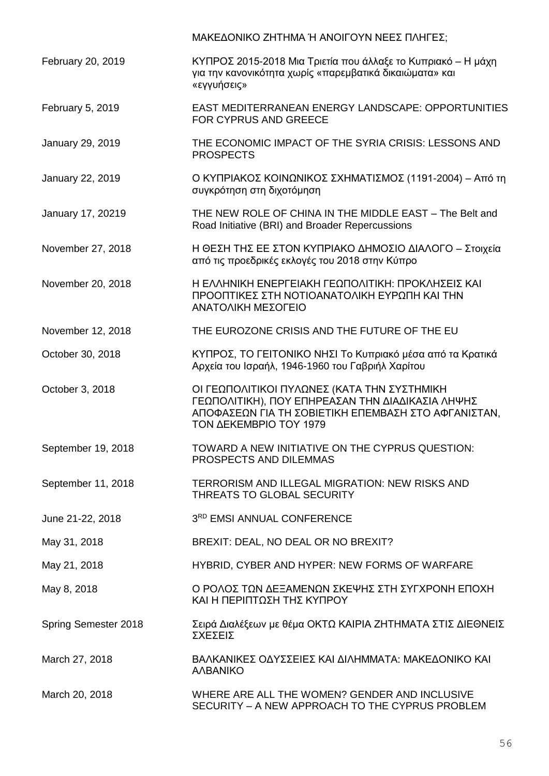|                      | ΜΑΚΕΔΟΝΙΚΟ ΖΗΤΗΜΑ Ή ΑΝΟΙΓΟΥΝ ΝΕΕΣ ΠΛΗΓΕΣ;                                                                                                                                               |
|----------------------|-----------------------------------------------------------------------------------------------------------------------------------------------------------------------------------------|
| February 20, 2019    | ΚΥΠΡΟΣ 2015-2018 Μια Τριετία που άλλαξε το Κυπριακό – Η μάχη<br>για την κανονικότητα χωρίς «παρεμβατικά δικαιώματα» και<br>«εγγυήσεις»                                                  |
| February 5, 2019     | <b>EAST MEDITERRANEAN ENERGY LANDSCAPE: OPPORTUNITIES</b><br><b>FOR CYPRUS AND GREECE</b>                                                                                               |
| January 29, 2019     | THE ECONOMIC IMPACT OF THE SYRIA CRISIS: LESSONS AND<br><b>PROSPECTS</b>                                                                                                                |
| January 22, 2019     | Ο ΚΥΠΡΙΑΚΟΣ ΚΟΙΝΩΝΙΚΟΣ ΣΧΗΜΑΤΙΣΜΟΣ (1191-2004) – Από τη<br>συγκρότηση στη διχοτόμηση                                                                                                    |
| January 17, 20219    | THE NEW ROLE OF CHINA IN THE MIDDLE EAST - The Belt and<br>Road Initiative (BRI) and Broader Repercussions                                                                              |
| November 27, 2018    | Η ΘΕΣΗ ΤΗΣ ΕΕ ΣΤΟΝ ΚΥΠΡΙΑΚΟ ΔΗΜΟΣΙΟ ΔΙΑΛΟΓΟ - Στοιχεία<br>από τις προεδρικές εκλογές του 2018 στην Κύπρο                                                                                |
| November 20, 2018    | Η ΕΛΛΗΝΙΚΗ ΕΝΕΡΓΕΙΑΚΗ ΓΕΩΠΟΛΙΤΙΚΗ: ΠΡΟΚΛΗΣΕΙΣ ΚΑΙ<br>ΠΡΟΟΠΤΙΚΕΣ ΣΤΗ ΝΟΤΙΟΑΝΑΤΟΛΙΚΗ ΕΥΡΩΠΗ ΚΑΙ ΤΗΝ<br>ΑΝΑΤΟΛΙΚΗ ΜΕΣΟΓΕΙΟ                                                                 |
| November 12, 2018    | THE EUROZONE CRISIS AND THE FUTURE OF THE EU                                                                                                                                            |
| October 30, 2018     | ΚΥΠΡΟΣ, ΤΟ ΓΕΙΤΟΝΙΚΟ ΝΗΣΙ Το Κυπριακό μέσα από τα Κρατικά<br>Αρχεία του Ισραήλ, 1946-1960 του Γαβριήλ Χαρίτου                                                                           |
| October 3, 2018      | ΟΙ ΓΕΩΠΟΛΙΤΙΚΟΙ ΠΥΛΩΝΕΣ (ΚΑΤΑ ΤΗΝ ΣΥΣΤΗΜΙΚΗ<br>ΓΕΩΠΟΛΙΤΙΚΗ), ΠΟΥ ΕΠΗΡΕΑΣΑΝ ΤΗΝ ΔΙΑΔΙΚΑΣΙΑ ΛΗΨΗΣ<br>ΑΠΟΦΑΣΕΩΝ ΓΙΑ ΤΗ ΣΟΒΙΕΤΙΚΗ ΕΠΕΜΒΑΣΗ ΣΤΟ ΑΦΓΑΝΙΣΤΑΝ,<br><b>ΤΟΝ ΔΕΚΕΜΒΡΙΟ ΤΟΥ 1979</b> |
| September 19, 2018   | TOWARD A NEW INITIATIVE ON THE CYPRUS QUESTION:<br>PROSPECTS AND DILEMMAS                                                                                                               |
| September 11, 2018   | TERRORISM AND ILLEGAL MIGRATION: NEW RISKS AND<br><b>THREATS TO GLOBAL SECURITY</b>                                                                                                     |
| June 21-22, 2018     | 3RD EMSI ANNUAL CONFERENCE                                                                                                                                                              |
| May 31, 2018         | BREXIT: DEAL, NO DEAL OR NO BREXIT?                                                                                                                                                     |
| May 21, 2018         | HYBRID, CYBER AND HYPER: NEW FORMS OF WARFARE                                                                                                                                           |
| May 8, 2018          | Ο ΡΟΛΟΣ ΤΩΝ ΔΕΞΑΜΕΝΩΝ ΣΚΕΨΗΣ ΣΤΗ ΣΥΓΧΡΟΝΗ ΕΠΟΧΗ<br>ΚΑΙ Η ΠΕΡΙΠΤΩΣΗ ΤΗΣ ΚΥΠΡΟΥ                                                                                                           |
| Spring Semester 2018 | Σειρά Διαλέξεων με θέμα ΟΚΤΩ ΚΑΙΡΙΑ ΖΗΤΗΜΑΤΑ ΣΤΙΣ ΔΙΕΘΝΕΙΣ<br><b>ΣΧΕΣΕΙΣ</b>                                                                                                            |
| March 27, 2018       | ΒΑΛΚΑΝΙΚΕΣ ΟΔΥΣΣΕΙΕΣ ΚΑΙ ΔΙΛΗΜΜΑΤΑ: ΜΑΚΕΔΟΝΙΚΟ ΚΑΙ<br><b>AABANIKO</b>                                                                                                                   |
| March 20, 2018       | WHERE ARE ALL THE WOMEN? GENDER AND INCLUSIVE<br>SECURITY - A NEW APPROACH TO THE CYPRUS PROBLEM                                                                                        |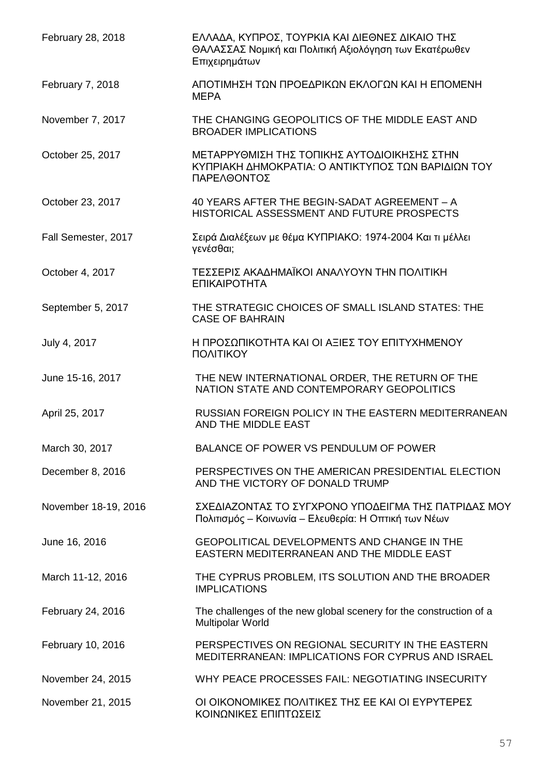| February 28, 2018    | ΕΛΛΑΔΑ, ΚΥΠΡΟΣ, ΤΟΥΡΚΙΑ ΚΑΙ ΔΙΕΘΝΕΣ ΔΙΚΑΙΟ ΤΗΣ<br>ΘΑΛΑΣΣΑΣ Νομική και Πολιτική Αξιολόγηση των Εκατέρωθεν<br>Επιχειρημάτων |
|----------------------|---------------------------------------------------------------------------------------------------------------------------|
| February 7, 2018     | ΑΠΟΤΙΜΗΣΗ ΤΩΝ ΠΡΟΕΔΡΙΚΩΝ ΕΚΛΟΓΩΝ ΚΑΙ Η ΕΠΟΜΕΝΗ<br><b>MEPA</b>                                                             |
| November 7, 2017     | THE CHANGING GEOPOLITICS OF THE MIDDLE EAST AND<br><b>BROADER IMPLICATIONS</b>                                            |
| October 25, 2017     | ΜΕΤΑΡΡΥΘΜΙΣΗ ΤΗΣ ΤΟΠΙΚΗΣ ΑΥΤΟΔΙΟΙΚΗΣΗΣ ΣΤΗΝ<br>ΚΥΠΡΙΑΚΗ ΔΗΜΟΚΡΑΤΙΑ: Ο ΑΝΤΙΚΤΥΠΟΣ ΤΩΝ ΒΑΡΙΔΙΩΝ ΤΟΥ<br>ΠΑΡΕΛΘΟΝΤΟΣ          |
| October 23, 2017     | 40 YEARS AFTER THE BEGIN-SADAT AGREEMENT - A<br>HISTORICAL ASSESSMENT AND FUTURE PROSPECTS                                |
| Fall Semester, 2017  | Σειρά Διαλέξεων με θέμα ΚΥΠΡΙΑΚΟ: 1974-2004 Και τι μέλλει<br>γενέσθαι;                                                    |
| October 4, 2017      | ΤΕΣΣΕΡΙΣ ΑΚΑΔΗΜΑΪΚΟΙ ΑΝΑΛΥΟΥΝ ΤΗΝ ΠΟΛΙΤΙΚΗ<br>ΕΠΙΚΑΙΡΟΤΗΤΑ                                                                |
| September 5, 2017    | THE STRATEGIC CHOICES OF SMALL ISLAND STATES: THE<br><b>CASE OF BAHRAIN</b>                                               |
| July 4, 2017         | Η ΠΡΟΣΩΠΙΚΟΤΗΤΑ ΚΑΙ ΟΙ ΑΞΙΕΣ ΤΟΥ ΕΠΙΤΥΧΗΜΕΝΟΥ<br>ΠΟΛΙΤΙΚΟΥ                                                                |
| June 15-16, 2017     | THE NEW INTERNATIONAL ORDER, THE RETURN OF THE<br>NATION STATE AND CONTEMPORARY GEOPOLITICS                               |
| April 25, 2017       | RUSSIAN FOREIGN POLICY IN THE EASTERN MEDITERRANEAN<br>AND THE MIDDLE EAST                                                |
| March 30, 2017       | BALANCE OF POWER VS PENDULUM OF POWER                                                                                     |
| December 8, 2016     | PERSPECTIVES ON THE AMERICAN PRESIDENTIAL ELECTION<br>AND THE VICTORY OF DONALD TRUMP                                     |
| November 18-19, 2016 | ΣΧΕΔΙΑΖΟΝΤΑΣ ΤΟ ΣΥΓΧΡΟΝΟ ΥΠΟΔΕΙΓΜΑ ΤΗΣ ΠΑΤΡΙΔΑΣ ΜΟΥ<br>Πολιτισμός – Κοινωνία – Ελευθερία: Η Οπτική των Νέων               |
| June 16, 2016        | GEOPOLITICAL DEVELOPMENTS AND CHANGE IN THE<br>EASTERN MEDITERRANEAN AND THE MIDDLE EAST                                  |
| March 11-12, 2016    | THE CYPRUS PROBLEM, ITS SOLUTION AND THE BROADER<br><b>IMPLICATIONS</b>                                                   |
| February 24, 2016    | The challenges of the new global scenery for the construction of a<br>Multipolar World                                    |
| February 10, 2016    | PERSPECTIVES ON REGIONAL SECURITY IN THE EASTERN<br>MEDITERRANEAN: IMPLICATIONS FOR CYPRUS AND ISRAEL                     |
| November 24, 2015    | WHY PEACE PROCESSES FAIL: NEGOTIATING INSECURITY                                                                          |
| November 21, 2015    | ΟΙ ΟΙΚΟΝΟΜΙΚΕΣ ΠΟΛΙΤΙΚΕΣ ΤΗΣ ΕΕ ΚΑΙ ΟΙ ΕΥΡΥΤΕΡΕΣ<br>ΚΟΙΝΩΝΙΚΕΣ ΕΠΙΠΤΩΣΕΙΣ                                                 |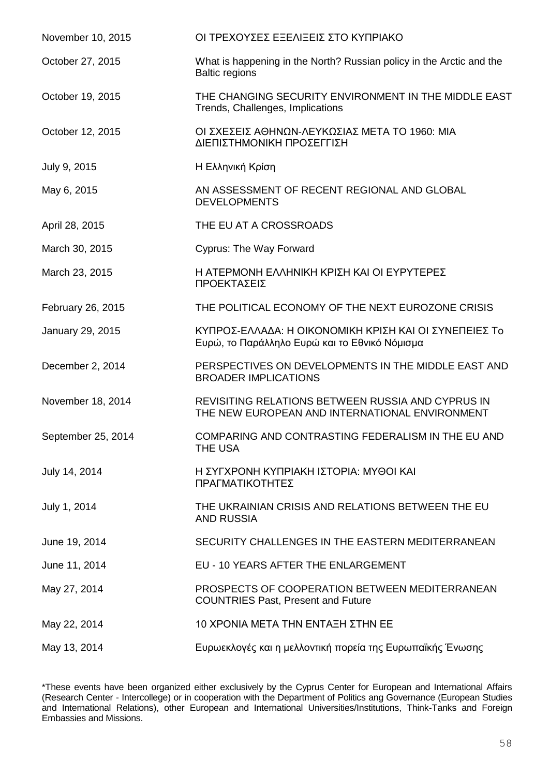| November 10, 2015  | ΟΙ ΤΡΕΧΟΥΣΕΣ ΕΞΕΛΙΞΕΙΣ ΣΤΟ ΚΥΠΡΙΑΚΟ                                                                    |
|--------------------|--------------------------------------------------------------------------------------------------------|
| October 27, 2015   | What is happening in the North? Russian policy in the Arctic and the<br><b>Baltic regions</b>          |
| October 19, 2015   | THE CHANGING SECURITY ENVIRONMENT IN THE MIDDLE EAST<br>Trends, Challenges, Implications               |
| October 12, 2015   | ΟΙ ΣΧΕΣΕΙΣ ΑΘΗΝΩΝ-ΛΕΥΚΩΣΙΑΣ ΜΕΤΑ ΤΟ 1960: ΜΙΑ<br>ΔΙΕΠΙΣΤΗΜΟΝΙΚΗ ΠΡΟΣΕΓΓΙΣΗ                             |
| July 9, 2015       | Η Ελληνική Κρίση                                                                                       |
| May 6, 2015        | AN ASSESSMENT OF RECENT REGIONAL AND GLOBAL<br><b>DEVELOPMENTS</b>                                     |
| April 28, 2015     | THE EU AT A CROSSROADS                                                                                 |
| March 30, 2015     | <b>Cyprus: The Way Forward</b>                                                                         |
| March 23, 2015     | Η ΑΤΕΡΜΟΝΗ ΕΛΛΗΝΙΚΗ ΚΡΙΣΗ ΚΑΙ ΟΙ ΕΥΡΥΤΕΡΕΣ<br>ΠΡΟΕΚΤΑΣΕΙΣ                                              |
| February 26, 2015  | THE POLITICAL ECONOMY OF THE NEXT EUROZONE CRISIS                                                      |
| January 29, 2015   | ΚΥΠΡΟΣ-ΕΛΛΑΔΑ: Η ΟΙΚΟΝΟΜΙΚΗ ΚΡΙΣΗ ΚΑΙ ΟΙ ΣΥΝΕΠΕΙΕΣ Το<br>Ευρώ, το Παράλληλο Ευρώ και το Εθνικό Νόμισμα |
| December 2, 2014   | PERSPECTIVES ON DEVELOPMENTS IN THE MIDDLE EAST AND<br><b>BROADER IMPLICATIONS</b>                     |
| November 18, 2014  | REVISITING RELATIONS BETWEEN RUSSIA AND CYPRUS IN<br>THE NEW EUROPEAN AND INTERNATIONAL ENVIRONMENT    |
| September 25, 2014 | COMPARING AND CONTRASTING FEDERALISM IN THE EU AND<br><b>THE USA</b>                                   |
| July 14, 2014      | Η ΣΥΓΧΡΟΝΗ ΚΥΠΡΙΑΚΗ ΙΣΤΟΡΙΑ: ΜΥΘΟΙ ΚΑΙ<br>ΠΡΑΓΜΑΤΙΚΟΤΗΤΕΣ                                              |
| July 1, 2014       | THE UKRAINIAN CRISIS AND RELATIONS BETWEEN THE EU<br><b>AND RUSSIA</b>                                 |
| June 19, 2014      | SECURITY CHALLENGES IN THE EASTERN MEDITERRANEAN                                                       |
| June 11, 2014      | EU - 10 YEARS AFTER THE ENLARGEMENT                                                                    |
| May 27, 2014       | PROSPECTS OF COOPERATION BETWEEN MEDITERRANEAN<br><b>COUNTRIES Past, Present and Future</b>            |
| May 22, 2014       | 10 XPONIA META THN ENTAΞΗ ΣΤΗΝ ΕΕ                                                                      |
| May 13, 2014       | Ευρωεκλογές και η μελλοντική πορεία της Ευρωπαϊκής Ένωσης                                              |

\*These events have been organized either exclusively by the Cyprus Center for European and International Affairs (Research Center - Intercollege) or in cooperation with the Department of Politics ang Governance (European Studies and International Relations), other European and International Universities/Institutions, Think-Tanks and Foreign Embassies and Missions.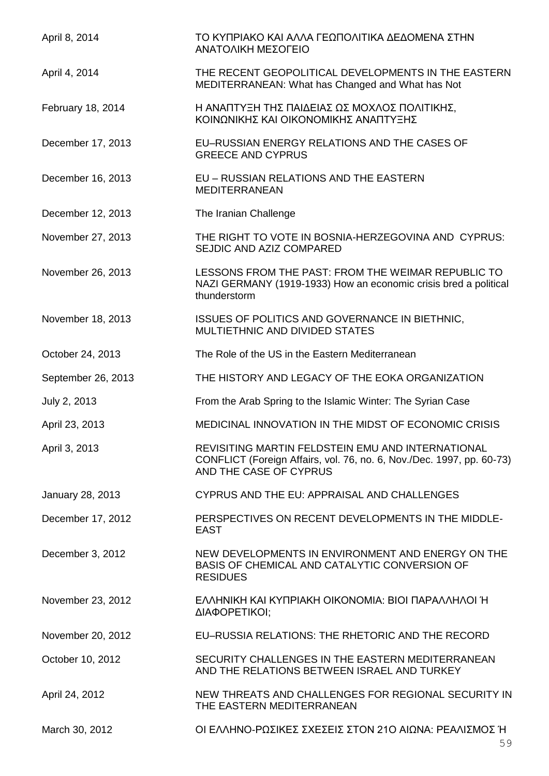| April 8, 2014      | ΤΟ ΚΥΠΡΙΑΚΟ ΚΑΙ ΑΛΛΑ ΓΕΩΠΟΛΙΤΙΚΑ ΔΕΔΟΜΕΝΑ ΣΤΗΝ<br>ΑΝΑΤΟΛΙΚΗ ΜΕΣΟΓΕΙΟ                                                                                 |
|--------------------|------------------------------------------------------------------------------------------------------------------------------------------------------|
| April 4, 2014      | THE RECENT GEOPOLITICAL DEVELOPMENTS IN THE EASTERN<br>MEDITERRANEAN: What has Changed and What has Not                                              |
| February 18, 2014  | Η ΑΝΑΠΤΥΞΗ ΤΗΣ ΠΑΙΔΕΙΑΣ ΩΣ ΜΟΧΛΟΣ ΠΟΛΙΤΙΚΗΣ,<br>ΚΟΙΝΩΝΙΚΗΣ ΚΑΙ ΟΙΚΟΝΟΜΙΚΗΣ ΑΝΑΠΤΥΞΗΣ                                                                 |
| December 17, 2013  | EU-RUSSIAN ENERGY RELATIONS AND THE CASES OF<br><b>GREECE AND CYPRUS</b>                                                                             |
| December 16, 2013  | EU - RUSSIAN RELATIONS AND THE EASTERN<br><b>MEDITERRANEAN</b>                                                                                       |
| December 12, 2013  | The Iranian Challenge                                                                                                                                |
| November 27, 2013  | THE RIGHT TO VOTE IN BOSNIA-HERZEGOVINA AND CYPRUS:<br>SEJDIC AND AZIZ COMPARED                                                                      |
| November 26, 2013  | LESSONS FROM THE PAST: FROM THE WEIMAR REPUBLIC TO<br>NAZI GERMANY (1919-1933) How an economic crisis bred a political<br>thunderstorm               |
| November 18, 2013  | ISSUES OF POLITICS AND GOVERNANCE IN BIETHNIC,<br>MULTIETHNIC AND DIVIDED STATES                                                                     |
| October 24, 2013   | The Role of the US in the Eastern Mediterranean                                                                                                      |
| September 26, 2013 | THE HISTORY AND LEGACY OF THE EOKA ORGANIZATION                                                                                                      |
| July 2, 2013       | From the Arab Spring to the Islamic Winter: The Syrian Case                                                                                          |
| April 23, 2013     | MEDICINAL INNOVATION IN THE MIDST OF ECONOMIC CRISIS                                                                                                 |
| April 3, 2013      | REVISITING MARTIN FELDSTEIN EMU AND INTERNATIONAL<br>CONFLICT (Foreign Affairs, vol. 76, no. 6, Nov./Dec. 1997, pp. 60-73)<br>AND THE CASE OF CYPRUS |
| January 28, 2013   | CYPRUS AND THE EU: APPRAISAL AND CHALLENGES                                                                                                          |
| December 17, 2012  | PERSPECTIVES ON RECENT DEVELOPMENTS IN THE MIDDLE-<br><b>EAST</b>                                                                                    |
| December 3, 2012   | NEW DEVELOPMENTS IN ENVIRONMENT AND ENERGY ON THE<br>BASIS OF CHEMICAL AND CATALYTIC CONVERSION OF<br><b>RESIDUES</b>                                |
| November 23, 2012  | ΕΛΛΗΝΙΚΗ ΚΑΙ ΚΥΠΡΙΑΚΗ ΟΙΚΟΝΟΜΙΑ: ΒΙΟΙ ΠΑΡΑΛΛΗΛΟΙ Ή<br>ΔΙΑΦΟΡΕΤΙΚΟΙ;                                                                                  |
| November 20, 2012  | EU-RUSSIA RELATIONS: THE RHETORIC AND THE RECORD                                                                                                     |
| October 10, 2012   | SECURITY CHALLENGES IN THE EASTERN MEDITERRANEAN<br>AND THE RELATIONS BETWEEN ISRAEL AND TURKEY                                                      |
| April 24, 2012     | NEW THREATS AND CHALLENGES FOR REGIONAL SECURITY IN<br>THE EASTERN MEDITERRANEAN                                                                     |
| March 30, 2012     | ΟΙ ΕΛΛΗΝΟ-ΡΩΣΙΚΕΣ ΣΧΕΣΕΙΣ ΣΤΟΝ 21Ο ΑΙΩΝΑ: ΡΕΑΛΙΣΜΟΣ Ή                                                                                                |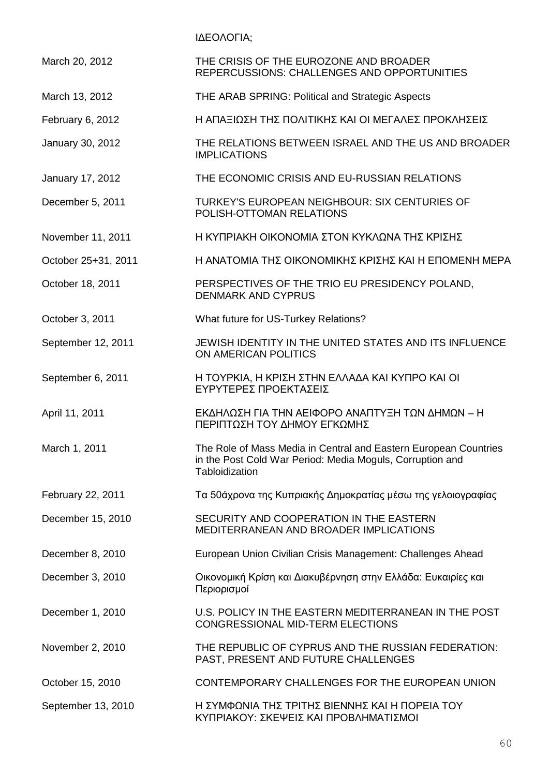ΙΔΕΟΛΟΓΙΑ;

| March 20, 2012      | THE CRISIS OF THE EUROZONE AND BROADER<br>REPERCUSSIONS: CHALLENGES AND OPPORTUNITIES                                                           |
|---------------------|-------------------------------------------------------------------------------------------------------------------------------------------------|
| March 13, 2012      | THE ARAB SPRING: Political and Strategic Aspects                                                                                                |
| February 6, 2012    | Η ΑΠΑΞΙΩΣΗ ΤΗΣ ΠΟΛΙΤΙΚΗΣ ΚΑΙ ΟΙ ΜΕΓΑΛΕΣ ΠΡΟΚΛΗΣΕΙΣ                                                                                              |
| January 30, 2012    | THE RELATIONS BETWEEN ISRAEL AND THE US AND BROADER<br><b>IMPLICATIONS</b>                                                                      |
| January 17, 2012    | THE ECONOMIC CRISIS AND EU-RUSSIAN RELATIONS                                                                                                    |
| December 5, 2011    | TURKEY'S EUROPEAN NEIGHBOUR: SIX CENTURIES OF<br>POLISH-OTTOMAN RELATIONS                                                                       |
| November 11, 2011   | Η ΚΥΠΡΙΑΚΗ ΟΙΚΟΝΟΜΙΑ ΣΤΟΝ ΚΥΚΛΩΝΑ ΤΗΣ ΚΡΙΣΗΣ                                                                                                    |
| October 25+31, 2011 | Η ΑΝΑΤΟΜΙΑ ΤΗΣ ΟΙΚΟΝΟΜΙΚΗΣ ΚΡΙΣΗΣ ΚΑΙ Η ΕΠΟΜΕΝΗ ΜΕΡΑ                                                                                            |
| October 18, 2011    | PERSPECTIVES OF THE TRIO EU PRESIDENCY POLAND,<br><b>DENMARK AND CYPRUS</b>                                                                     |
| October 3, 2011     | What future for US-Turkey Relations?                                                                                                            |
| September 12, 2011  | JEWISH IDENTITY IN THE UNITED STATES AND ITS INFLUENCE<br>ON AMERICAN POLITICS                                                                  |
| September 6, 2011   | Η ΤΟΥΡΚΙΑ, Η ΚΡΙΣΗ ΣΤΗΝ ΕΛΛΑΔΑ ΚΑΙ ΚΥΠΡΟ ΚΑΙ ΟΙ<br>ΕΥΡΥΤΕΡΕΣ ΠΡΟΕΚΤΑΣΕΙΣ                                                                        |
| April 11, 2011      | ΕΚΔΗΛΩΣΗ ΓΙΑ ΤΗΝ ΑΕΙΦΟΡΟ ΑΝΑΠΤΥΞΗ ΤΩΝ ΔΗΜΩΝ - Η<br>ΠΕΡΙΠΤΩΣΗ ΤΟΥ ΔΗΜΟΥ ΕΓΚΩΜΗΣ                                                                  |
| March 1, 2011       | The Role of Mass Media in Central and Eastern European Countries<br>in the Post Cold War Period: Media Moguls, Corruption and<br>Tabloidization |
| February 22, 2011   | Τα 50άχρονα της Κυπριακής Δημοκρατίας μέσω της γελοιογραφίας                                                                                    |
| December 15, 2010   | SECURITY AND COOPERATION IN THE EASTERN<br>MEDITERRANEAN AND BROADER IMPLICATIONS                                                               |
| December 8, 2010    | European Union Civilian Crisis Management: Challenges Ahead                                                                                     |
| December 3, 2010    | Οικονομική Κρίση και Διακυβέρνηση στην Ελλάδα: Ευκαιρίες και<br>Περιορισμοί                                                                     |
| December 1, 2010    | U.S. POLICY IN THE EASTERN MEDITERRANEAN IN THE POST<br>CONGRESSIONAL MID-TERM ELECTIONS                                                        |
| November 2, 2010    | THE REPUBLIC OF CYPRUS AND THE RUSSIAN FEDERATION:<br>PAST, PRESENT AND FUTURE CHALLENGES                                                       |
| October 15, 2010    | CONTEMPORARY CHALLENGES FOR THE EUROPEAN UNION                                                                                                  |
| September 13, 2010  | Η ΣΥΜΦΩΝΙΑ ΤΗΣ ΤΡΙΤΗΣ ΒΙΕΝΝΗΣ ΚΑΙ Η ΠΟΡΕΙΑ ΤΟΥ<br>ΚΥΠΡΙΑΚΟΥ: ΣΚΕΨΕΙΣ ΚΑΙ ΠΡΟΒΛΗΜΑΤΙΣΜΟΙ                                                         |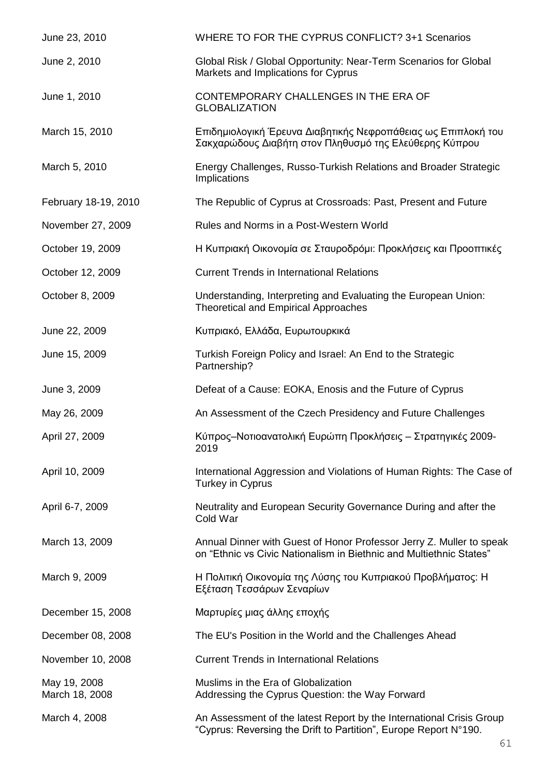| June 23, 2010                  | WHERE TO FOR THE CYPRUS CONFLICT? 3+1 Scenarios                                                                                             |
|--------------------------------|---------------------------------------------------------------------------------------------------------------------------------------------|
| June 2, 2010                   | Global Risk / Global Opportunity: Near-Term Scenarios for Global<br>Markets and Implications for Cyprus                                     |
| June 1, 2010                   | CONTEMPORARY CHALLENGES IN THE ERA OF<br><b>GLOBALIZATION</b>                                                                               |
| March 15, 2010                 | Επιδημιολογική Έρευνα Διαβητικής Νεφροπάθειας ως Επιπλοκή του<br>Σακχαρώδους Διαβήτη στον Πληθυσμό της Ελεύθερης Κύπρου                     |
| March 5, 2010                  | Energy Challenges, Russo-Turkish Relations and Broader Strategic<br>Implications                                                            |
| February 18-19, 2010           | The Republic of Cyprus at Crossroads: Past, Present and Future                                                                              |
| November 27, 2009              | Rules and Norms in a Post-Western World                                                                                                     |
| October 19, 2009               | Η Κυπριακή Οικονομία σε Σταυροδρόμι: Προκλήσεις και Προοπτικές                                                                              |
| October 12, 2009               | <b>Current Trends in International Relations</b>                                                                                            |
| October 8, 2009                | Understanding, Interpreting and Evaluating the European Union:<br><b>Theoretical and Empirical Approaches</b>                               |
| June 22, 2009                  | Κυπριακό, Ελλάδα, Ευρωτουρκικά                                                                                                              |
| June 15, 2009                  | Turkish Foreign Policy and Israel: An End to the Strategic<br>Partnership?                                                                  |
| June 3, 2009                   | Defeat of a Cause: EOKA, Enosis and the Future of Cyprus                                                                                    |
| May 26, 2009                   | An Assessment of the Czech Presidency and Future Challenges                                                                                 |
| April 27, 2009                 | Κύπρος–Νοτιοανατολική Ευρώπη Προκλήσεις – Στρατηγικές 2009-<br>2019                                                                         |
| April 10, 2009                 | International Aggression and Violations of Human Rights: The Case of<br>Turkey in Cyprus                                                    |
| April 6-7, 2009                | Neutrality and European Security Governance During and after the<br>Cold War                                                                |
| March 13, 2009                 | Annual Dinner with Guest of Honor Professor Jerry Z. Muller to speak<br>on "Ethnic vs Civic Nationalism in Biethnic and Multiethnic States" |
| March 9, 2009                  | Η Πολιτική Οικονομία της Λύσης του Κυπριακού Προβλήματος: Η<br>Εξέταση Τεσσάρων Σεναρίων                                                    |
| December 15, 2008              | Μαρτυρίες μιας άλλης εποχής                                                                                                                 |
| December 08, 2008              | The EU's Position in the World and the Challenges Ahead                                                                                     |
| November 10, 2008              | <b>Current Trends in International Relations</b>                                                                                            |
| May 19, 2008<br>March 18, 2008 | Muslims in the Era of Globalization<br>Addressing the Cyprus Question: the Way Forward                                                      |
| March 4, 2008                  | An Assessment of the latest Report by the International Crisis Group<br>"Cyprus: Reversing the Drift to Partition", Europe Report N°190.    |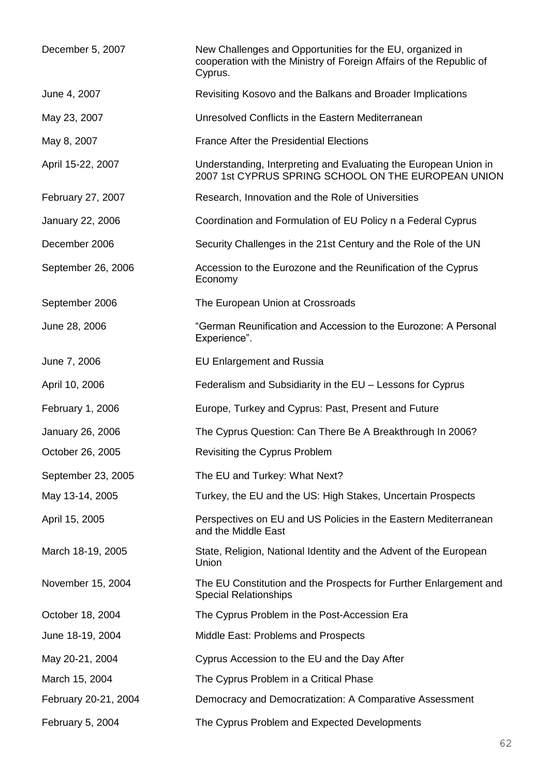| December 5, 2007     | New Challenges and Opportunities for the EU, organized in<br>cooperation with the Ministry of Foreign Affairs of the Republic of<br>Cyprus. |
|----------------------|---------------------------------------------------------------------------------------------------------------------------------------------|
| June 4, 2007         | Revisiting Kosovo and the Balkans and Broader Implications                                                                                  |
| May 23, 2007         | Unresolved Conflicts in the Eastern Mediterranean                                                                                           |
| May 8, 2007          | <b>France After the Presidential Elections</b>                                                                                              |
| April 15-22, 2007    | Understanding, Interpreting and Evaluating the European Union in<br>2007 1st CYPRUS SPRING SCHOOL ON THE EUROPEAN UNION                     |
| February 27, 2007    | Research, Innovation and the Role of Universities                                                                                           |
| January 22, 2006     | Coordination and Formulation of EU Policy n a Federal Cyprus                                                                                |
| December 2006        | Security Challenges in the 21st Century and the Role of the UN                                                                              |
| September 26, 2006   | Accession to the Eurozone and the Reunification of the Cyprus<br>Economy                                                                    |
| September 2006       | The European Union at Crossroads                                                                                                            |
| June 28, 2006        | "German Reunification and Accession to the Eurozone: A Personal<br>Experience".                                                             |
| June 7, 2006         | <b>EU Enlargement and Russia</b>                                                                                                            |
| April 10, 2006       | Federalism and Subsidiarity in the EU - Lessons for Cyprus                                                                                  |
| February 1, 2006     | Europe, Turkey and Cyprus: Past, Present and Future                                                                                         |
| January 26, 2006     | The Cyprus Question: Can There Be A Breakthrough In 2006?                                                                                   |
| October 26, 2005     | Revisiting the Cyprus Problem                                                                                                               |
| September 23, 2005   | The EU and Turkey: What Next?                                                                                                               |
| May 13-14, 2005      | Turkey, the EU and the US: High Stakes, Uncertain Prospects                                                                                 |
| April 15, 2005       | Perspectives on EU and US Policies in the Eastern Mediterranean<br>and the Middle East                                                      |
| March 18-19, 2005    | State, Religion, National Identity and the Advent of the European<br>Union                                                                  |
| November 15, 2004    | The EU Constitution and the Prospects for Further Enlargement and<br><b>Special Relationships</b>                                           |
| October 18, 2004     | The Cyprus Problem in the Post-Accession Era                                                                                                |
| June 18-19, 2004     | Middle East: Problems and Prospects                                                                                                         |
| May 20-21, 2004      | Cyprus Accession to the EU and the Day After                                                                                                |
| March 15, 2004       | The Cyprus Problem in a Critical Phase                                                                                                      |
| February 20-21, 2004 | Democracy and Democratization: A Comparative Assessment                                                                                     |
| February 5, 2004     | The Cyprus Problem and Expected Developments                                                                                                |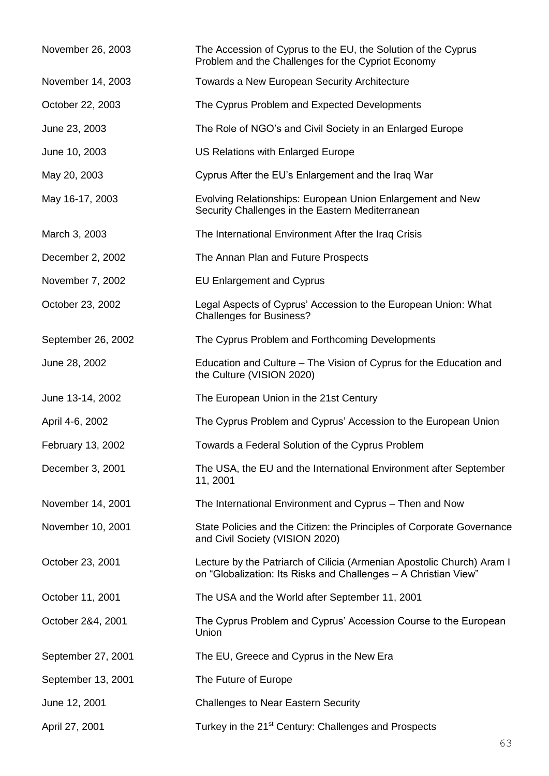| November 26, 2003  | The Accession of Cyprus to the EU, the Solution of the Cyprus<br>Problem and the Challenges for the Cypriot Economy                       |
|--------------------|-------------------------------------------------------------------------------------------------------------------------------------------|
| November 14, 2003  | Towards a New European Security Architecture                                                                                              |
| October 22, 2003   | The Cyprus Problem and Expected Developments                                                                                              |
| June 23, 2003      | The Role of NGO's and Civil Society in an Enlarged Europe                                                                                 |
| June 10, 2003      | US Relations with Enlarged Europe                                                                                                         |
| May 20, 2003       | Cyprus After the EU's Enlargement and the Iraq War                                                                                        |
| May 16-17, 2003    | Evolving Relationships: European Union Enlargement and New<br>Security Challenges in the Eastern Mediterranean                            |
| March 3, 2003      | The International Environment After the Iraq Crisis                                                                                       |
| December 2, 2002   | The Annan Plan and Future Prospects                                                                                                       |
| November 7, 2002   | <b>EU Enlargement and Cyprus</b>                                                                                                          |
| October 23, 2002   | Legal Aspects of Cyprus' Accession to the European Union: What<br><b>Challenges for Business?</b>                                         |
| September 26, 2002 | The Cyprus Problem and Forthcoming Developments                                                                                           |
| June 28, 2002      | Education and Culture – The Vision of Cyprus for the Education and<br>the Culture (VISION 2020)                                           |
| June 13-14, 2002   | The European Union in the 21st Century                                                                                                    |
| April 4-6, 2002    | The Cyprus Problem and Cyprus' Accession to the European Union                                                                            |
| February 13, 2002  | Towards a Federal Solution of the Cyprus Problem                                                                                          |
| December 3, 2001   | The USA, the EU and the International Environment after September<br>11, 2001                                                             |
| November 14, 2001  | The International Environment and Cyprus - Then and Now                                                                                   |
| November 10, 2001  | State Policies and the Citizen: the Principles of Corporate Governance<br>and Civil Society (VISION 2020)                                 |
| October 23, 2001   | Lecture by the Patriarch of Cilicia (Armenian Apostolic Church) Aram I<br>on "Globalization: Its Risks and Challenges - A Christian View" |
| October 11, 2001   | The USA and the World after September 11, 2001                                                                                            |
| October 2&4, 2001  | The Cyprus Problem and Cyprus' Accession Course to the European<br>Union                                                                  |
| September 27, 2001 | The EU, Greece and Cyprus in the New Era                                                                                                  |
| September 13, 2001 | The Future of Europe                                                                                                                      |
| June 12, 2001      | <b>Challenges to Near Eastern Security</b>                                                                                                |
| April 27, 2001     | Turkey in the 21 <sup>st</sup> Century: Challenges and Prospects                                                                          |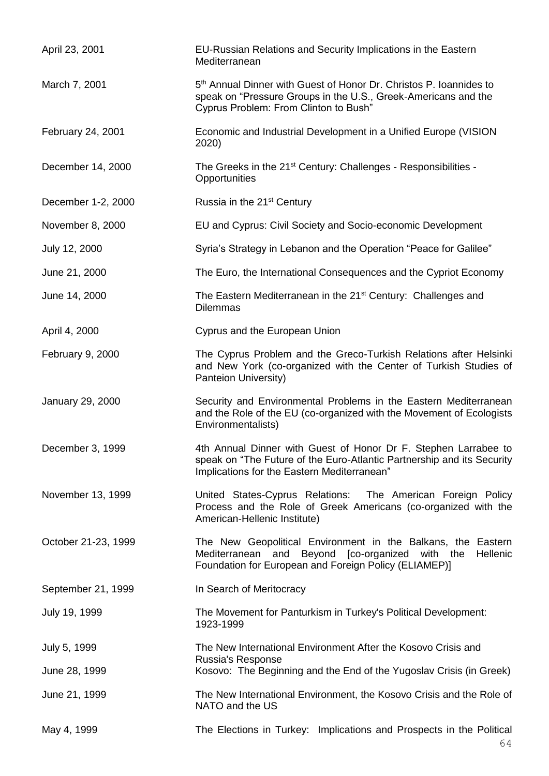| April 23, 2001      | EU-Russian Relations and Security Implications in the Eastern<br>Mediterranean                                                                                                            |
|---------------------|-------------------------------------------------------------------------------------------------------------------------------------------------------------------------------------------|
| March 7, 2001       | 5 <sup>th</sup> Annual Dinner with Guest of Honor Dr. Christos P. Ioannides to<br>speak on "Pressure Groups in the U.S., Greek-Americans and the<br>Cyprus Problem: From Clinton to Bush" |
| February 24, 2001   | Economic and Industrial Development in a Unified Europe (VISION<br>2020)                                                                                                                  |
| December 14, 2000   | The Greeks in the 21 <sup>st</sup> Century: Challenges - Responsibilities -<br>Opportunities                                                                                              |
| December 1-2, 2000  | Russia in the 21 <sup>st</sup> Century                                                                                                                                                    |
| November 8, 2000    | EU and Cyprus: Civil Society and Socio-economic Development                                                                                                                               |
| July 12, 2000       | Syria's Strategy in Lebanon and the Operation "Peace for Galilee"                                                                                                                         |
| June 21, 2000       | The Euro, the International Consequences and the Cypriot Economy                                                                                                                          |
| June 14, 2000       | The Eastern Mediterranean in the 21 <sup>st</sup> Century: Challenges and<br><b>Dilemmas</b>                                                                                              |
| April 4, 2000       | Cyprus and the European Union                                                                                                                                                             |
| February 9, 2000    | The Cyprus Problem and the Greco-Turkish Relations after Helsinki<br>and New York (co-organized with the Center of Turkish Studies of<br>Panteion University)                             |
| January 29, 2000    | Security and Environmental Problems in the Eastern Mediterranean<br>and the Role of the EU (co-organized with the Movement of Ecologists<br>Environmentalists)                            |
| December 3, 1999    | 4th Annual Dinner with Guest of Honor Dr F. Stephen Larrabee to<br>speak on "The Future of the Euro-Atlantic Partnership and its Security<br>Implications for the Eastern Mediterranean"  |
| November 13, 1999   | United States-Cyprus Relations: The American Foreign Policy<br>Process and the Role of Greek Americans (co-organized with the<br>American-Hellenic Institute)                             |
| October 21-23, 1999 | The New Geopolitical Environment in the Balkans, the Eastern<br>and Beyond [co-organized with the<br>Hellenic<br>Mediterranean<br>Foundation for European and Foreign Policy (ELIAMEP)]   |
| September 21, 1999  | In Search of Meritocracy                                                                                                                                                                  |
| July 19, 1999       | The Movement for Panturkism in Turkey's Political Development:<br>1923-1999                                                                                                               |
| July 5, 1999        | The New International Environment After the Kosovo Crisis and<br>Russia's Response                                                                                                        |
| June 28, 1999       | Kosovo: The Beginning and the End of the Yugoslav Crisis (in Greek)                                                                                                                       |
| June 21, 1999       | The New International Environment, the Kosovo Crisis and the Role of<br>NATO and the US                                                                                                   |
| May 4, 1999         | The Elections in Turkey: Implications and Prospects in the Political                                                                                                                      |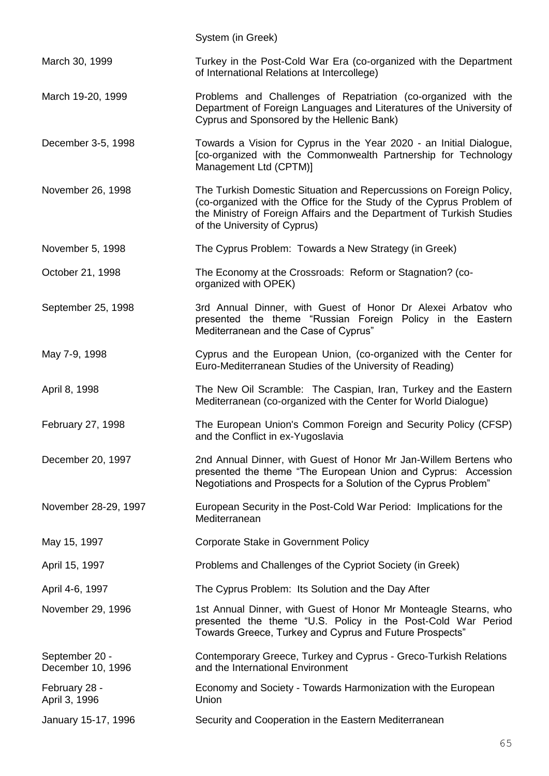|                                     | System (in Greek)                                                                                                                                                                                                                                    |
|-------------------------------------|------------------------------------------------------------------------------------------------------------------------------------------------------------------------------------------------------------------------------------------------------|
| March 30, 1999                      | Turkey in the Post-Cold War Era (co-organized with the Department<br>of International Relations at Intercollege)                                                                                                                                     |
| March 19-20, 1999                   | Problems and Challenges of Repatriation (co-organized with the<br>Department of Foreign Languages and Literatures of the University of<br>Cyprus and Sponsored by the Hellenic Bank)                                                                 |
| December 3-5, 1998                  | Towards a Vision for Cyprus in the Year 2020 - an Initial Dialogue,<br>[co-organized with the Commonwealth Partnership for Technology<br>Management Ltd (CPTM)]                                                                                      |
| November 26, 1998                   | The Turkish Domestic Situation and Repercussions on Foreign Policy,<br>(co-organized with the Office for the Study of the Cyprus Problem of<br>the Ministry of Foreign Affairs and the Department of Turkish Studies<br>of the University of Cyprus) |
| November 5, 1998                    | The Cyprus Problem: Towards a New Strategy (in Greek)                                                                                                                                                                                                |
| October 21, 1998                    | The Economy at the Crossroads: Reform or Stagnation? (co-<br>organized with OPEK)                                                                                                                                                                    |
| September 25, 1998                  | 3rd Annual Dinner, with Guest of Honor Dr Alexei Arbatov who<br>presented the theme "Russian Foreign Policy in the Eastern<br>Mediterranean and the Case of Cyprus"                                                                                  |
| May 7-9, 1998                       | Cyprus and the European Union, (co-organized with the Center for<br>Euro-Mediterranean Studies of the University of Reading)                                                                                                                         |
| April 8, 1998                       | The New Oil Scramble: The Caspian, Iran, Turkey and the Eastern<br>Mediterranean (co-organized with the Center for World Dialogue)                                                                                                                   |
| February 27, 1998                   | The European Union's Common Foreign and Security Policy (CFSP)<br>and the Conflict in ex-Yugoslavia                                                                                                                                                  |
| December 20, 1997                   | 2nd Annual Dinner, with Guest of Honor Mr Jan-Willem Bertens who<br>presented the theme "The European Union and Cyprus: Accession<br>Negotiations and Prospects for a Solution of the Cyprus Problem"                                                |
| November 28-29, 1997                | European Security in the Post-Cold War Period: Implications for the<br>Mediterranean                                                                                                                                                                 |
| May 15, 1997                        | Corporate Stake in Government Policy                                                                                                                                                                                                                 |
| April 15, 1997                      | Problems and Challenges of the Cypriot Society (in Greek)                                                                                                                                                                                            |
| April 4-6, 1997                     | The Cyprus Problem: Its Solution and the Day After                                                                                                                                                                                                   |
| November 29, 1996                   | 1st Annual Dinner, with Guest of Honor Mr Monteagle Stearns, who<br>presented the theme "U.S. Policy in the Post-Cold War Period<br>Towards Greece, Turkey and Cyprus and Future Prospects"                                                          |
| September 20 -<br>December 10, 1996 | Contemporary Greece, Turkey and Cyprus - Greco-Turkish Relations<br>and the International Environment                                                                                                                                                |
| February 28 -<br>April 3, 1996      | Economy and Society - Towards Harmonization with the European<br>Union                                                                                                                                                                               |
| January 15-17, 1996                 | Security and Cooperation in the Eastern Mediterranean                                                                                                                                                                                                |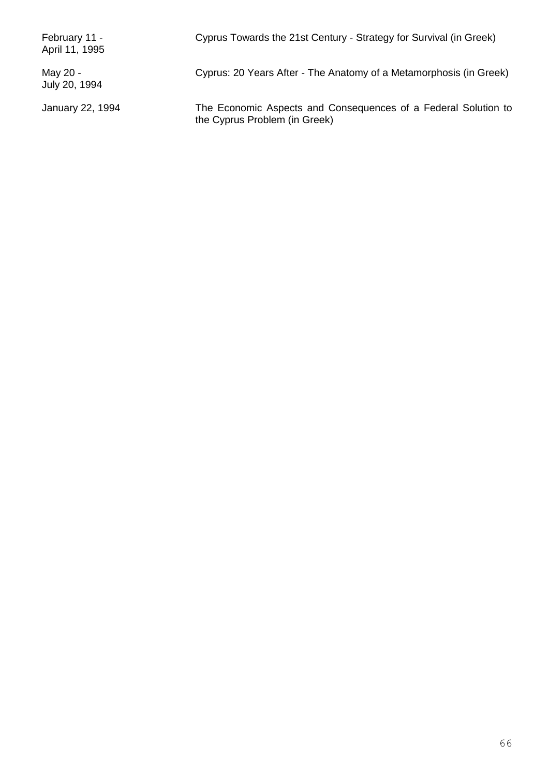| February 11 -<br>April 11, 1995 | Cyprus Towards the 21st Century - Strategy for Survival (in Greek)                              |
|---------------------------------|-------------------------------------------------------------------------------------------------|
| May 20 -<br>July 20, 1994       | Cyprus: 20 Years After - The Anatomy of a Metamorphosis (in Greek)                              |
| January 22, 1994                | The Economic Aspects and Consequences of a Federal Solution to<br>the Cyprus Problem (in Greek) |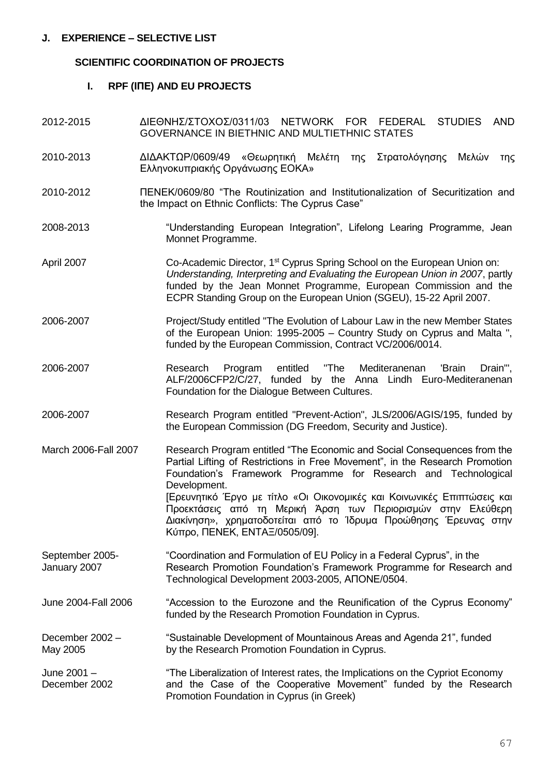#### **SCIENTIFIC COORDINATION OF PROJECTS**

#### **I. RPF (ΙΠΕ) AND EU PROJECTS**

- 2012-2015 ΔΙΕΘΝΗΣ/ΣΤΟΧΟΣ/0311/03 NETWORK FOR FEDERAL STUDIES AND GOVERNANCE IN BIETHNIC AND MULTIETHNIC STATES
- 2010-2013 ΔΙΔΑΚΤΩΡ/0609/49 «Θεωρητική Μελέτη της Στρατολόγησης Μελών της Ελληνοκυπριακής Οργάνωσης ΕΟΚΑ»
- 2010-2012 ΠΕΝΕΚ/0609/80 "The Routinization and Institutionalization of Securitization and the Impact on Ethnic Conflicts: The Cyprus Case"
- 2008-2013 "Understanding European Integration", Lifelong Learing Programme, Jean Monnet Programme.
- April 2007 Co-Academic Director, 1<sup>st</sup> Cyprus Spring School on the European Union on: *Understanding, Interpreting and Evaluating the European Union in 2007*, partly funded by the Jean Monnet Programme, European Commission and the ECPR Standing Group on the European Union (SGEU), 15-22 April 2007.
- 2006-2007 Project/Study entitled "The Evolution of Labour Law in the new Member States of the European Union: 1995-2005 – Country Study on Cyprus and Malta ", funded by the European Commission, Contract VC/2006/0014.
- 2006-2007 Research Program entitled "The Mediteranenan 'Brain Drain'", ALF/2006CFP2/C/27, funded by the Anna Lindh Euro-Mediteranenan Foundation for the Dialogue Between Cultures.
- 2006-2007 Research Program entitled "Prevent-Action", JLS/2006/AGIS/195, funded by the European Commission (DG Freedom, Security and Justice).
- March 2006-Fall 2007 Research Program entitled "The Economic and Social Consequences from the Partial Lifting of Restrictions in Free Movement", in the Research Promotion Foundation's Framework Programme for Research and Technological Development. [Ερευνητικό Έργο με τίτλο «Οι Οικονομικές και Κοινωνικές Επιπτώσεις και Προεκτάσεις από τη Μερική Άρση των Περιορισμών στην Ελεύθερη Διακίνηση», χρηματοδοτείται από το Ίδρυμα Προώθησης Έρευνας στην Κύπρο, ΠΕΝΕΚ, ΕΝΤΑΞ/0505/09].
- September 2005- "Coordination and Formulation of EU Policy in a Federal Cyprus", in the January 2007 Research Promotion Foundation's Framework Programme for Research and Technological Development 2003-2005, ΑΠΟΝΕ/0504.
- June 2004-Fall 2006 "Accession to the Eurozone and the Reunification of the Cyprus Economy" funded by the Research Promotion Foundation in Cyprus.

December 2002 – "Sustainable Development of Mountainous Areas and Agenda 21", funded May 2005 by the Research Promotion Foundation in Cyprus.

June 2001 – "The Liberalization of Interest rates, the Implications on the Cypriot Economy December 2002 and the Case of the Cooperative Movement" funded by the Research Promotion Foundation in Cyprus (in Greek)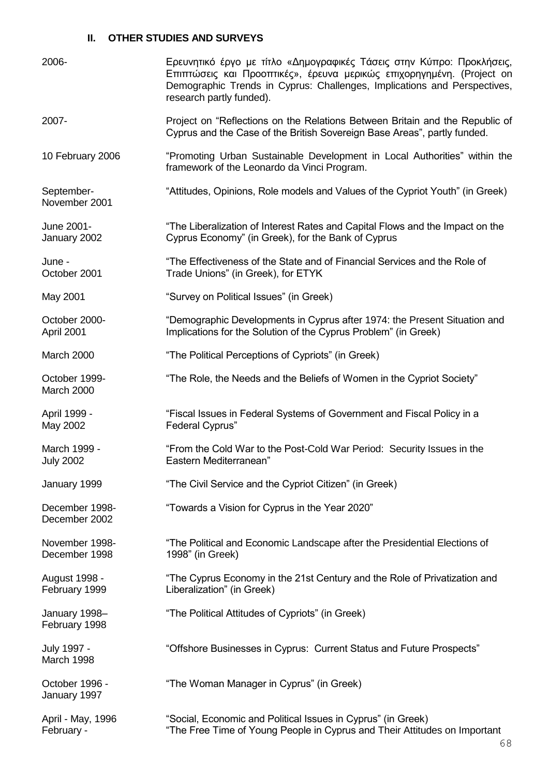## **II. OTHER STUDIES AND SURVEYS**

| 2006-                            | Ερευνητικό έργο με τίτλο «Δημογραφικές Τάσεις στην Κύπρο: Προκλήσεις,<br>Επιπτώσεις και Προοπτικές», έρευνα μερικώς επιχορηγημένη. (Project on<br>Demographic Trends in Cyprus: Challenges, Implications and Perspectives,<br>research partly funded). |
|----------------------------------|--------------------------------------------------------------------------------------------------------------------------------------------------------------------------------------------------------------------------------------------------------|
| 2007-                            | Project on "Reflections on the Relations Between Britain and the Republic of<br>Cyprus and the Case of the British Sovereign Base Areas", partly funded.                                                                                               |
| 10 February 2006                 | "Promoting Urban Sustainable Development in Local Authorities" within the<br>framework of the Leonardo da Vinci Program.                                                                                                                               |
| September-<br>November 2001      | "Attitudes, Opinions, Role models and Values of the Cypriot Youth" (in Greek)                                                                                                                                                                          |
| June 2001-<br>January 2002       | "The Liberalization of Interest Rates and Capital Flows and the Impact on the<br>Cyprus Economy" (in Greek), for the Bank of Cyprus                                                                                                                    |
| June -<br>October 2001           | "The Effectiveness of the State and of Financial Services and the Role of<br>Trade Unions" (in Greek), for ETYK                                                                                                                                        |
| May 2001                         | "Survey on Political Issues" (in Greek)                                                                                                                                                                                                                |
| October 2000-<br>April 2001      | "Demographic Developments in Cyprus after 1974: the Present Situation and<br>Implications for the Solution of the Cyprus Problem" (in Greek)                                                                                                           |
| March 2000                       | "The Political Perceptions of Cypriots" (in Greek)                                                                                                                                                                                                     |
| October 1999-<br>March 2000      | "The Role, the Needs and the Beliefs of Women in the Cypriot Society"                                                                                                                                                                                  |
| April 1999 -<br>May 2002         | "Fiscal Issues in Federal Systems of Government and Fiscal Policy in a<br><b>Federal Cyprus"</b>                                                                                                                                                       |
| March 1999 -<br><b>July 2002</b> | "From the Cold War to the Post-Cold War Period: Security Issues in the<br>Eastern Mediterranean"                                                                                                                                                       |
| January 1999                     | "The Civil Service and the Cypriot Citizen" (in Greek)                                                                                                                                                                                                 |
| December 1998-<br>December 2002  | "Towards a Vision for Cyprus in the Year 2020"                                                                                                                                                                                                         |
| November 1998-<br>December 1998  | "The Political and Economic Landscape after the Presidential Elections of<br>1998" (in Greek)                                                                                                                                                          |
| August 1998 -<br>February 1999   | "The Cyprus Economy in the 21st Century and the Role of Privatization and<br>Liberalization" (in Greek)                                                                                                                                                |
| January 1998-<br>February 1998   | "The Political Attitudes of Cypriots" (in Greek)                                                                                                                                                                                                       |
| July 1997 -<br>March 1998        | "Offshore Businesses in Cyprus: Current Status and Future Prospects"                                                                                                                                                                                   |
| October 1996 -<br>January 1997   | "The Woman Manager in Cyprus" (in Greek)                                                                                                                                                                                                               |
| April - May, 1996<br>February -  | "Social, Economic and Political Issues in Cyprus" (in Greek)<br>"The Free Time of Young People in Cyprus and Their Attitudes on Important                                                                                                              |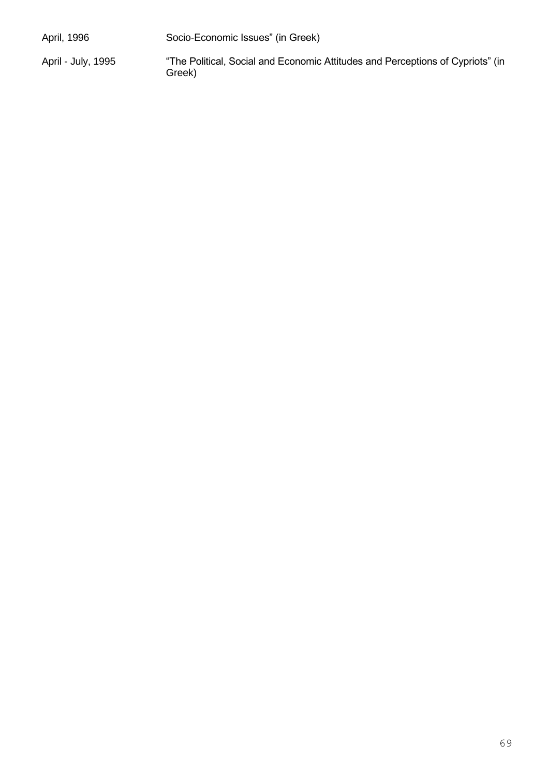| April, 1996        | Socio-Economic Issues" (in Greek)                                                        |
|--------------------|------------------------------------------------------------------------------------------|
| April - July, 1995 | "The Political, Social and Economic Attitudes and Perceptions of Cypriots" (in<br>Greek) |